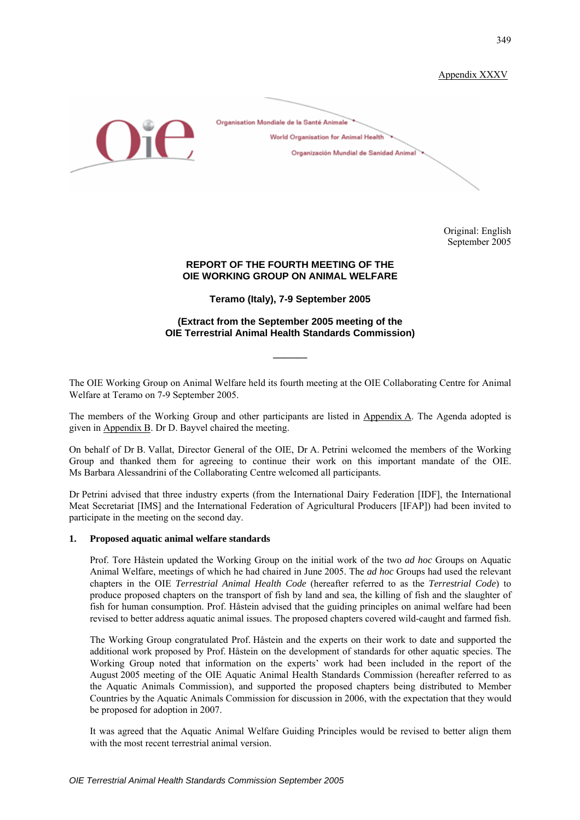Appendix XXXV



Organisation Mondiale de la Santé Animale World Organisation for Animal Health Organización Mundial de Sanidad Animal

> Original: English September 2005

# **REPORT OF THE FOURTH MEETING OF THE OIE WORKING GROUP ON ANIMAL WELFARE**

**Teramo (Italy), 7-9 September 2005** 

### **(Extract from the September 2005 meeting of the OIE Terrestrial Animal Health Standards Commission)**

**\_\_\_\_\_\_\_** 

The OIE Working Group on Animal Welfare held its fourth meeting at the OIE Collaborating Centre for Animal Welfare at Teramo on 7-9 September 2005.

The members of the Working Group and other participants are listed in Appendix A. The Agenda adopted is given in Appendix B. Dr D. Bayvel chaired the meeting.

On behalf of Dr B. Vallat, Director General of the OIE, Dr A. Petrini welcomed the members of the Working Group and thanked them for agreeing to continue their work on this important mandate of the OIE. Ms Barbara Alessandrini of the Collaborating Centre welcomed all participants.

Dr Petrini advised that three industry experts (from the International Dairy Federation [IDF], the International Meat Secretariat [IMS] and the International Federation of Agricultural Producers [IFAP]) had been invited to participate in the meeting on the second day.

#### **1. Proposed aquatic animal welfare standards**

Prof. Tore Håstein updated the Working Group on the initial work of the two *ad hoc* Groups on Aquatic Animal Welfare, meetings of which he had chaired in June 2005. The *ad hoc* Groups had used the relevant chapters in the OIE *Terrestrial Animal Health Code* (hereafter referred to as the *Terrestrial Code*) to produce proposed chapters on the transport of fish by land and sea, the killing of fish and the slaughter of fish for human consumption. Prof. Håstein advised that the guiding principles on animal welfare had been revised to better address aquatic animal issues. The proposed chapters covered wild-caught and farmed fish.

The Working Group congratulated Prof. Håstein and the experts on their work to date and supported the additional work proposed by Prof. Håstein on the development of standards for other aquatic species. The Working Group noted that information on the experts' work had been included in the report of the August 2005 meeting of the OIE Aquatic Animal Health Standards Commission (hereafter referred to as the Aquatic Animals Commission), and supported the proposed chapters being distributed to Member Countries by the Aquatic Animals Commission for discussion in 2006, with the expectation that they would be proposed for adoption in 2007.

It was agreed that the Aquatic Animal Welfare Guiding Principles would be revised to better align them with the most recent terrestrial animal version.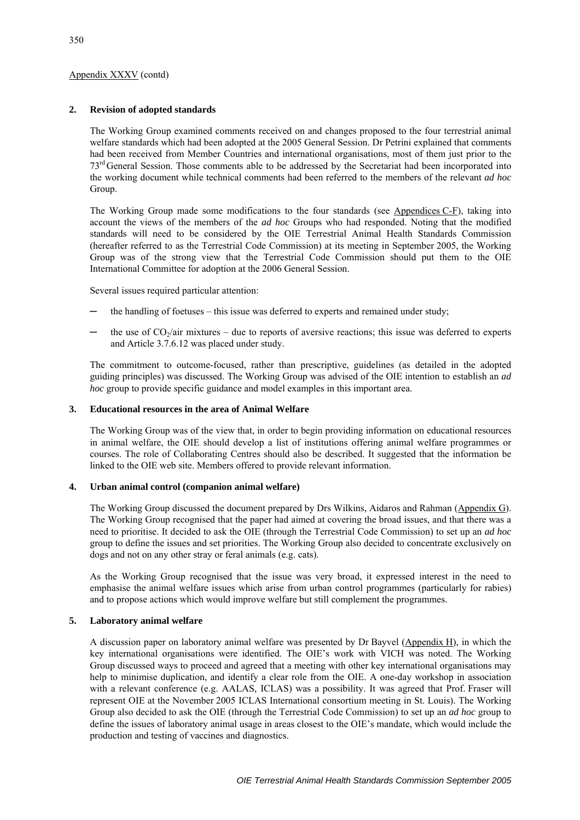#### **2. Revision of adopted standards**

The Working Group examined comments received on and changes proposed to the four terrestrial animal welfare standards which had been adopted at the 2005 General Session. Dr Petrini explained that comments had been received from Member Countries and international organisations, most of them just prior to the 73rd General Session. Those comments able to be addressed by the Secretariat had been incorporated into the working document while technical comments had been referred to the members of the relevant *ad hoc* Group.

The Working Group made some modifications to the four standards (see Appendices C-F), taking into account the views of the members of the *ad hoc* Groups who had responded. Noting that the modified standards will need to be considered by the OIE Terrestrial Animal Health Standards Commission (hereafter referred to as the Terrestrial Code Commission) at its meeting in September 2005, the Working Group was of the strong view that the Terrestrial Code Commission should put them to the OIE International Committee for adoption at the 2006 General Session.

Several issues required particular attention:

- the handling of foetuses this issue was deferred to experts and remained under study;
- the use of  $CO_2/a$ ir mixtures due to reports of aversive reactions; this issue was deferred to experts and Article 3.7.6.12 was placed under study.

The commitment to outcome-focused, rather than prescriptive, guidelines (as detailed in the adopted guiding principles) was discussed. The Working Group was advised of the OIE intention to establish an *ad hoc* group to provide specific guidance and model examples in this important area.

#### **3. Educational resources in the area of Animal Welfare**

The Working Group was of the view that, in order to begin providing information on educational resources in animal welfare, the OIE should develop a list of institutions offering animal welfare programmes or courses. The role of Collaborating Centres should also be described. It suggested that the information be linked to the OIE web site. Members offered to provide relevant information.

#### **4. Urban animal control (companion animal welfare)**

The Working Group discussed the document prepared by Drs Wilkins, Aidaros and Rahman (Appendix G). The Working Group recognised that the paper had aimed at covering the broad issues, and that there was a need to prioritise. It decided to ask the OIE (through the Terrestrial Code Commission) to set up an *ad hoc* group to define the issues and set priorities. The Working Group also decided to concentrate exclusively on dogs and not on any other stray or feral animals (e.g. cats).

As the Working Group recognised that the issue was very broad, it expressed interest in the need to emphasise the animal welfare issues which arise from urban control programmes (particularly for rabies) and to propose actions which would improve welfare but still complement the programmes.

#### **5. Laboratory animal welfare**

A discussion paper on laboratory animal welfare was presented by Dr Bayvel (Appendix H), in which the key international organisations were identified. The OIE's work with VICH was noted. The Working Group discussed ways to proceed and agreed that a meeting with other key international organisations may help to minimise duplication, and identify a clear role from the OIE. A one-day workshop in association with a relevant conference (e.g. AALAS, ICLAS) was a possibility. It was agreed that Prof. Fraser will represent OIE at the November 2005 ICLAS International consortium meeting in St. Louis). The Working Group also decided to ask the OIE (through the Terrestrial Code Commission) to set up an *ad hoc* group to define the issues of laboratory animal usage in areas closest to the OIE's mandate, which would include the production and testing of vaccines and diagnostics.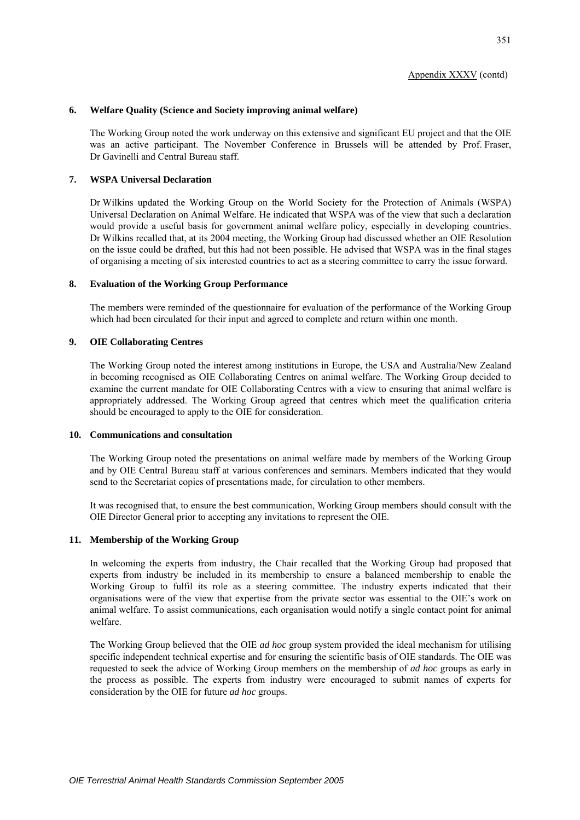#### **6. Welfare Quality (Science and Society improving animal welfare)**

The Working Group noted the work underway on this extensive and significant EU project and that the OIE was an active participant. The November Conference in Brussels will be attended by Prof. Fraser, Dr Gavinelli and Central Bureau staff.

#### **7. WSPA Universal Declaration**

Dr Wilkins updated the Working Group on the World Society for the Protection of Animals (WSPA) Universal Declaration on Animal Welfare. He indicated that WSPA was of the view that such a declaration would provide a useful basis for government animal welfare policy, especially in developing countries. Dr Wilkins recalled that, at its 2004 meeting, the Working Group had discussed whether an OIE Resolution on the issue could be drafted, but this had not been possible. He advised that WSPA was in the final stages of organising a meeting of six interested countries to act as a steering committee to carry the issue forward.

#### **8. Evaluation of the Working Group Performance**

The members were reminded of the questionnaire for evaluation of the performance of the Working Group which had been circulated for their input and agreed to complete and return within one month.

#### **9. OIE Collaborating Centres**

The Working Group noted the interest among institutions in Europe, the USA and Australia/New Zealand in becoming recognised as OIE Collaborating Centres on animal welfare. The Working Group decided to examine the current mandate for OIE Collaborating Centres with a view to ensuring that animal welfare is appropriately addressed. The Working Group agreed that centres which meet the qualification criteria should be encouraged to apply to the OIE for consideration.

#### **10. Communications and consultation**

The Working Group noted the presentations on animal welfare made by members of the Working Group and by OIE Central Bureau staff at various conferences and seminars. Members indicated that they would send to the Secretariat copies of presentations made, for circulation to other members.

It was recognised that, to ensure the best communication, Working Group members should consult with the OIE Director General prior to accepting any invitations to represent the OIE.

#### **11. Membership of the Working Group**

In welcoming the experts from industry, the Chair recalled that the Working Group had proposed that experts from industry be included in its membership to ensure a balanced membership to enable the Working Group to fulfil its role as a steering committee. The industry experts indicated that their organisations were of the view that expertise from the private sector was essential to the OIE's work on animal welfare. To assist communications, each organisation would notify a single contact point for animal welfare.

The Working Group believed that the OIE *ad hoc* group system provided the ideal mechanism for utilising specific independent technical expertise and for ensuring the scientific basis of OIE standards. The OIE was requested to seek the advice of Working Group members on the membership of *ad hoc* groups as early in the process as possible. The experts from industry were encouraged to submit names of experts for consideration by the OIE for future *ad hoc* groups.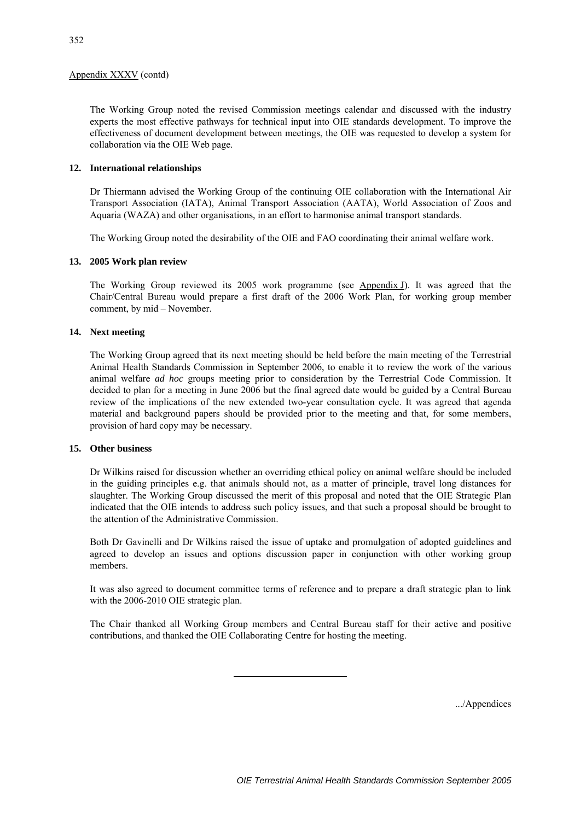The Working Group noted the revised Commission meetings calendar and discussed with the industry experts the most effective pathways for technical input into OIE standards development. To improve the effectiveness of document development between meetings, the OIE was requested to develop a system for collaboration via the OIE Web page.

#### **12. International relationships**

Dr Thiermann advised the Working Group of the continuing OIE collaboration with the International Air Transport Association (IATA), Animal Transport Association (AATA), World Association of Zoos and Aquaria (WAZA) and other organisations, in an effort to harmonise animal transport standards.

The Working Group noted the desirability of the OIE and FAO coordinating their animal welfare work.

#### **13. 2005 Work plan review**

The Working Group reviewed its 2005 work programme (see Appendix J). It was agreed that the Chair/Central Bureau would prepare a first draft of the 2006 Work Plan, for working group member comment, by mid – November.

#### **14. Next meeting**

The Working Group agreed that its next meeting should be held before the main meeting of the Terrestrial Animal Health Standards Commission in September 2006, to enable it to review the work of the various animal welfare *ad hoc* groups meeting prior to consideration by the Terrestrial Code Commission. It decided to plan for a meeting in June 2006 but the final agreed date would be guided by a Central Bureau review of the implications of the new extended two-year consultation cycle. It was agreed that agenda material and background papers should be provided prior to the meeting and that, for some members, provision of hard copy may be necessary.

#### **15. Other business**

Dr Wilkins raised for discussion whether an overriding ethical policy on animal welfare should be included in the guiding principles e.g. that animals should not, as a matter of principle, travel long distances for slaughter. The Working Group discussed the merit of this proposal and noted that the OIE Strategic Plan indicated that the OIE intends to address such policy issues, and that such a proposal should be brought to the attention of the Administrative Commission.

Both Dr Gavinelli and Dr Wilkins raised the issue of uptake and promulgation of adopted guidelines and agreed to develop an issues and options discussion paper in conjunction with other working group members.

It was also agreed to document committee terms of reference and to prepare a draft strategic plan to link with the 2006-2010 OIE strategic plan.

The Chair thanked all Working Group members and Central Bureau staff for their active and positive contributions, and thanked the OIE Collaborating Centre for hosting the meeting.

.../Appendices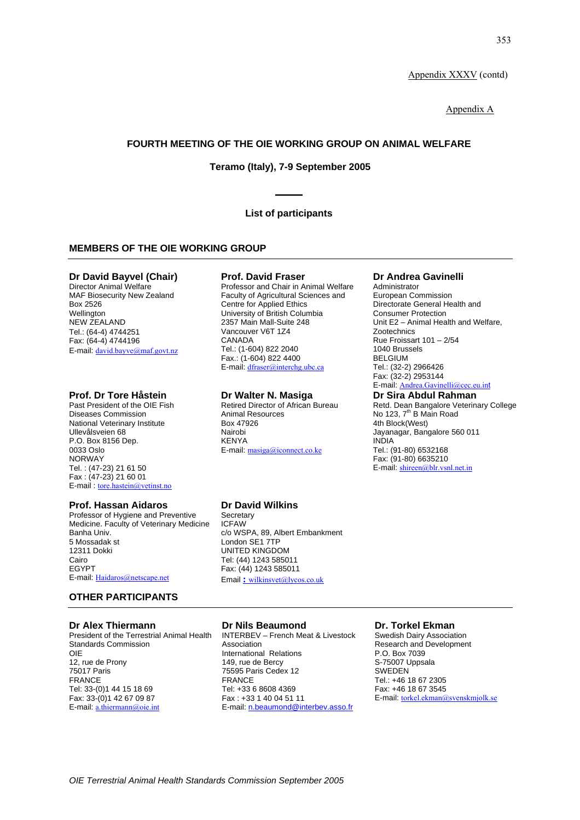Appendix A

### **FOURTH MEETING OF THE OIE WORKING GROUP ON ANIMAL WELFARE**

#### **Teramo (Italy), 7-9 September 2005**

#### **List of participants**

**\_\_\_\_\_**

#### **MEMBERS OF THE OIE WORKING GROUP**

#### **Dr David Bayvel (Chair)**

Director Animal Welfare MAF Biosecurity New Zealand Box 2526 **Wellington** NEW ZEALAND Tel.: (64-4) 4744251 Fax: (64-4) 4744196 E-mail: david.bayve@maf.govt.nz

#### **Prof. Dr Tore Håstein**

Past President of the OIE Fish Diseases Commission National Veterinary Institute Ullevålsveien 68 P.O. Box 8156 Dep. 0033 Oslo **NORWAY** Tel. : (47-23) 21 61 50 Fax : (47-23) 21 60 01 E-mail : tore.hastein@vetinst.no

#### **Prof. Hassan Aidaros**

Professor of Hygiene and Preventive Medicine. Faculty of Veterinary Medicine Banha Univ. 5 Mossadak st 12311 Dokki Cairo EGYPT E-mail: Haidaros@netscape.net

#### **OTHER PARTICIPANTS**

#### **Dr Alex Thiermann**

President of the Terrestrial Animal Health Standards Commission OIE 12, rue de Prony 75017 Paris FRANCE Tel: 33-(0)1 44 15 18 69 Fax: 33-(0)1 42 67 09 87 E-mail: a.thiermann@oie.int

#### **Prof. David Fraser**

Professor and Chair in Animal Welfare Faculty of Agricultural Sciences and Centre for Applied Ethics University of British Columbia 2357 Main Mall-Suite 248 Vancouver V6T 1Z4 CANADA Tel.: (1-604) 822 2040 Fax.: (1-604) 822 4400 E-mail: dfraser@interchg.ubc.ca

#### **Dr Walter N. Masiga**

Retired Director of African Bureau Animal Resources Box 47926 Nairobi KENYA E-mail: masiga@iconnect.co.ke

#### **Dr David Wilkins**

**Secretary** ICFAW c/o WSPA, 89, Albert Embankment London SE1 7TP UNITED KINGDOM Tel: (44) 1243 585011 Fax: (44) 1243 585011

#### **Dr Andrea Gavinelli**

Administrator European Commission Directorate General Health and Consumer Protection Unit E2 – Animal Health and Welfare, Zootechnics Rue Froissart 101 – 2/54 1040 Brussels BELGIUM Tel.: (32-2) 2966426 Fax: (32-2) 2953144 E-mail: Andrea.Gavinelli@cec.eu.int

#### **Dr Sira Abdul Rahman**

Retd. Dean Bangalore Veterinary College No 123, 7<sup>th</sup> B Main Road 4th Block(West) Jayanagar, Bangalore 560 011 INDIA Tel.: (91-80) 6532168 Fax: (91-80) 6635210 E-mail: shireen@blr.vsnl.net.in

Email **:** wilkinsvet@lycos.co.uk **Dr Nils Beaumond** 

INTERBEV – French Meat & Livestock Association International Relations 149, rue de Bercy 75595 Paris Cedex 12 FRANCE Tel: +33 6 8608 4369 Fax : +33 1 40 04 51 11 E-mail: n.beaumond@interbev.asso.fr

#### **Dr. Torkel Ekman**

Swedish Dairy Association Research and Development P.O. Box 7039 S-75007 Uppsala SWEDEN Tel.: +46 18 67 2305 Fax: +46 18 67 3545 E-mail: torkel.ekman@svenskmjolk.se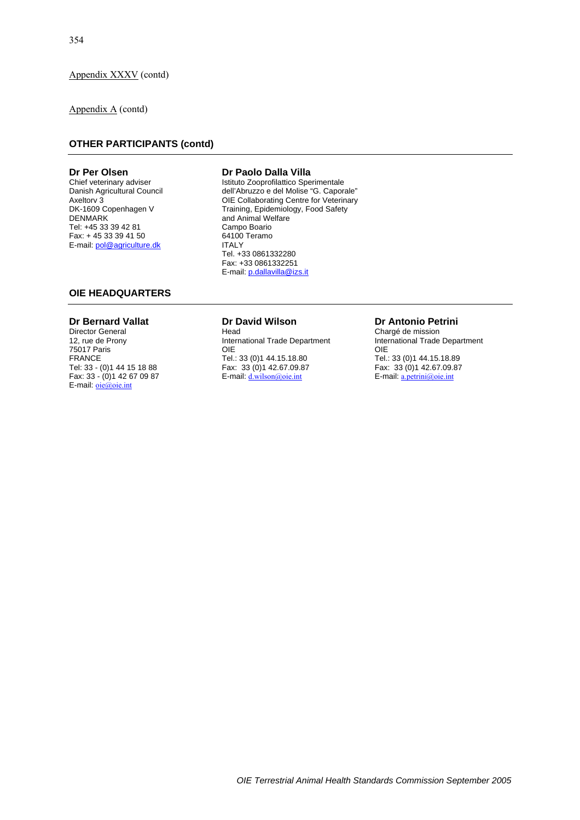Appendix A (contd)

# **OTHER PARTICIPANTS (contd)**

#### **Dr Per Olsen**

Chief veterinary adviser Danish Agricultural Council Axeltorv 3 DK-1609 Copenhagen V DENMARK Tel: +45 33 39 42 81 Fax: + 45 33 39 41 50 E-mail: pol@agriculture.dk

#### **Dr Paolo Dalla Villa**

Istituto Zooprofilattico Sperimentale dell'Abruzzo e del Molise "G. Caporale" OIE Collaborating Centre for Veterinary Training, Epidemiology, Food Safety and Animal Welfare Campo Boario 64100 Teramo ITALY Tel. +33 0861332280 Fax: +33 0861332251 E-mail: p.dallavilla@izs.it

# **OIE HEADQUARTERS**

#### **Dr Bernard Vallat**

Director General 12, rue de Prony 75017 Paris FRANCE Tel: 33 - (0)1 44 15 18 88 Fax: 33 - (0)1 42 67 09 87 E-mail: oie@oie.int

#### **Dr David Wilson**

Head International Trade Department OIE Tel.: 33 (0)1 44.15.18.80 Fax: 33 (0) 1 42.67.09.87 E-mail: d.wilson@oie.int

# **Dr Antonio Petrini**

Chargé de mission International Trade Department OIE Tel.: 33 (0)1 44.15.18.89 Fax: 33 (0) 1 42.67.09.87 E-mail: a.petrini@oie.int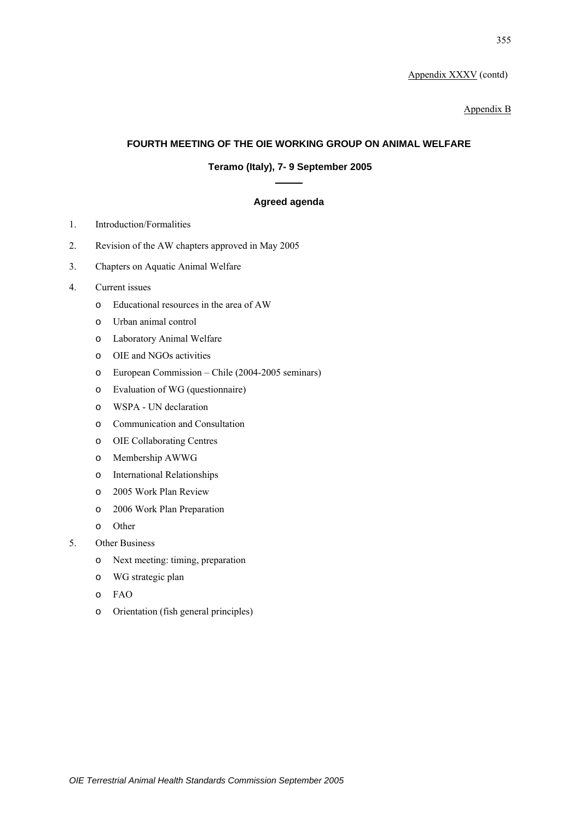# Appendix B

# **FOURTH MEETING OF THE OIE WORKING GROUP ON ANIMAL WELFARE**

### **Teramo (Italy), 7- 9 September 2005**   $\overline{\phantom{a}}$

### **Agreed agenda**

- 1. Introduction/Formalities
- 2. Revision of the AW chapters approved in May 2005
- 3. Chapters on Aquatic Animal Welfare
- 4. Current issues
	- o Educational resources in the area of AW
	- o Urban animal control
	- o Laboratory Animal Welfare
	- o OIE and NGOs activities
	- o European Commission Chile (2004-2005 seminars)
	- o Evaluation of WG (questionnaire)
	- o WSPA UN declaration
	- o Communication and Consultation
	- o OIE Collaborating Centres
	- o Membership AWWG
	- o International Relationships
	- o 2005 Work Plan Review
	- o 2006 Work Plan Preparation
	- o Other
- 5. Other Business
	- o Next meeting: timing, preparation
	- o WG strategic plan
	- o FAO
	- o Orientation (fish general principles)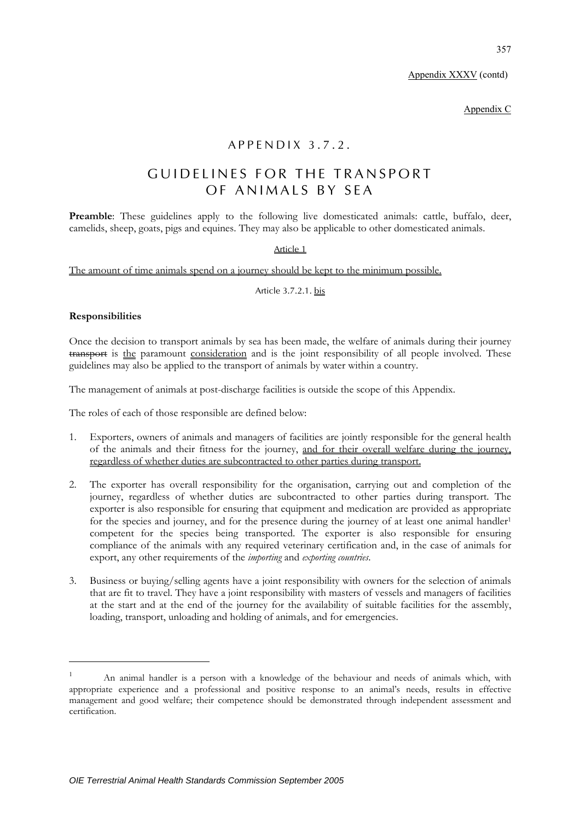Appendix C

# APPENDIX 3.7.2.

# GUIDELINES FOR THE TRANSPORT OF ANIMALS BY SEA

**Preamble**: These guidelines apply to the following live domesticated animals: cattle, buffalo, deer, camelids, sheep, goats, pigs and equines. They may also be applicable to other domesticated animals.

# Article 1

The amount of time animals spend on a journey should be kept to the minimum possible.

Article 3.7.2.1. bis

# **Responsibilities**

l

Once the decision to transport animals by sea has been made, the welfare of animals during their journey transport is the paramount consideration and is the joint responsibility of all people involved. These guidelines may also be applied to the transport of animals by water within a country.

The management of animals at post-discharge facilities is outside the scope of this Appendix.

The roles of each of those responsible are defined below:

- 1. Exporters, owners of animals and managers of facilities are jointly responsible for the general health of the animals and their fitness for the journey, and for their overall welfare during the journey, regardless of whether duties are subcontracted to other parties during transport.
- 2. The exporter has overall responsibility for the organisation, carrying out and completion of the journey, regardless of whether duties are subcontracted to other parties during transport. The exporter is also responsible for ensuring that equipment and medication are provided as appropriate for the species and journey, and for the presence during the journey of at least one animal handler<sup>1</sup> competent for the species being transported. The exporter is also responsible for ensuring compliance of the animals with any required veterinary certification and, in the case of animals for export, any other requirements of the *importing* and *exporting countries*.
- 3. Business or buying/selling agents have a joint responsibility with owners for the selection of animals that are fit to travel. They have a joint responsibility with masters of vessels and managers of facilities at the start and at the end of the journey for the availability of suitable facilities for the assembly, loading, transport, unloading and holding of animals, and for emergencies.

<sup>1</sup> An animal handler is a person with a knowledge of the behaviour and needs of animals which, with appropriate experience and a professional and positive response to an animal's needs, results in effective management and good welfare; their competence should be demonstrated through independent assessment and certification.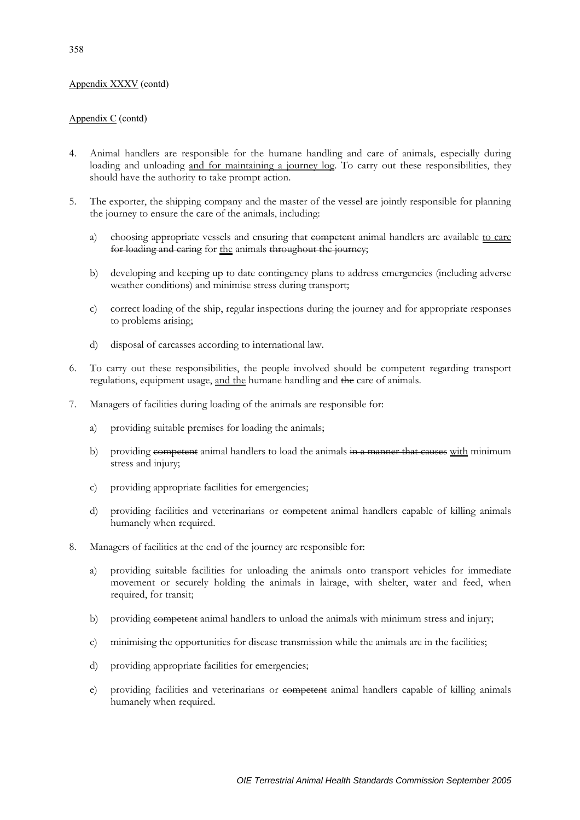### Appendix C (contd)

- 4. Animal handlers are responsible for the humane handling and care of animals, especially during loading and unloading and for maintaining a journey log. To carry out these responsibilities, they should have the authority to take prompt action.
- 5. The exporter, the shipping company and the master of the vessel are jointly responsible for planning the journey to ensure the care of the animals, including:
	- a) choosing appropriate vessels and ensuring that competent animal handlers are available to care for loading and caring for the animals throughout the journey;
	- b) developing and keeping up to date contingency plans to address emergencies (including adverse weather conditions) and minimise stress during transport;
	- c) correct loading of the ship, regular inspections during the journey and for appropriate responses to problems arising;
	- d) disposal of carcasses according to international law.
- 6. To carry out these responsibilities, the people involved should be competent regarding transport regulations, equipment usage, and the humane handling and the care of animals.
- 7. Managers of facilities during loading of the animals are responsible for:
	- a) providing suitable premises for loading the animals;
	- b) providing competent animal handlers to load the animals in a manner that causes with minimum stress and injury;
	- c) providing appropriate facilities for emergencies;
	- d) providing facilities and veterinarians or competent animal handlers capable of killing animals humanely when required.
- 8. Managers of facilities at the end of the journey are responsible for:
	- a) providing suitable facilities for unloading the animals onto transport vehicles for immediate movement or securely holding the animals in lairage, with shelter, water and feed, when required, for transit;
	- b) providing competent animal handlers to unload the animals with minimum stress and injury;
	- c) minimising the opportunities for disease transmission while the animals are in the facilities;
	- d) providing appropriate facilities for emergencies;
	- e) providing facilities and veterinarians or competent animal handlers capable of killing animals humanely when required.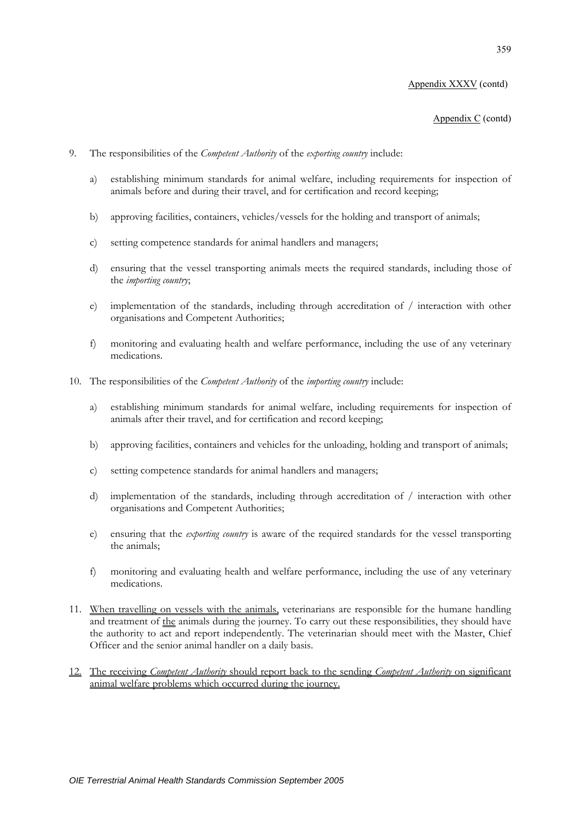# Appendix C (contd)

- 9. The responsibilities of the *Competent Authority* of the *exporting country* include:
	- a) establishing minimum standards for animal welfare, including requirements for inspection of animals before and during their travel, and for certification and record keeping;
	- b) approving facilities, containers, vehicles/vessels for the holding and transport of animals;
	- c) setting competence standards for animal handlers and managers;
	- d) ensuring that the vessel transporting animals meets the required standards, including those of the *importing country*;
	- e) implementation of the standards, including through accreditation of / interaction with other organisations and Competent Authorities;
	- f) monitoring and evaluating health and welfare performance, including the use of any veterinary medications.
- 10. The responsibilities of the *Competent Authority* of the *importing country* include:
	- a) establishing minimum standards for animal welfare, including requirements for inspection of animals after their travel, and for certification and record keeping;
	- b) approving facilities, containers and vehicles for the unloading, holding and transport of animals;
	- c) setting competence standards for animal handlers and managers;
	- d) implementation of the standards, including through accreditation of / interaction with other organisations and Competent Authorities;
	- e) ensuring that the *exporting country* is aware of the required standards for the vessel transporting the animals;
	- f) monitoring and evaluating health and welfare performance, including the use of any veterinary medications.
- 11. When travelling on vessels with the animals, veterinarians are responsible for the humane handling and treatment of the animals during the journey. To carry out these responsibilities, they should have the authority to act and report independently. The veterinarian should meet with the Master, Chief Officer and the senior animal handler on a daily basis.
- 12. The receiving *Competent Authority* should report back to the sending *Competent Authority* on significant animal welfare problems which occurred during the journey.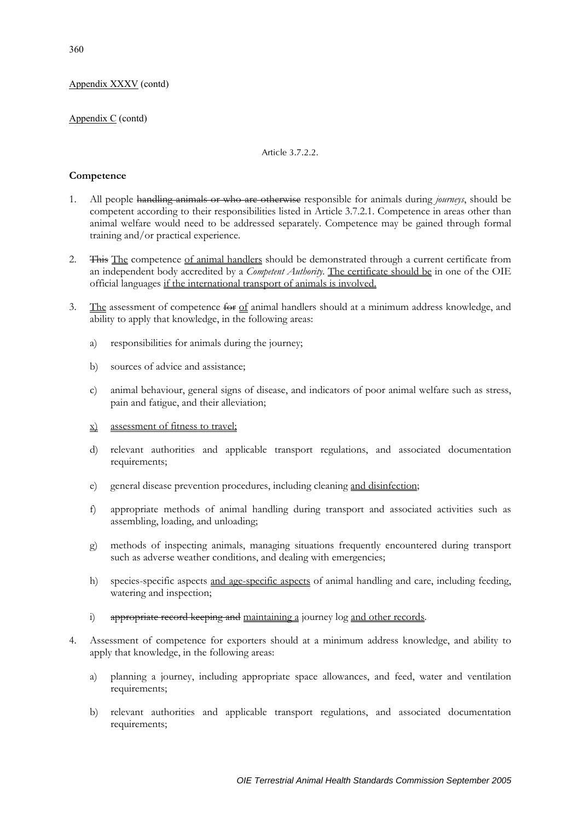# Appendix C (contd)

#### Article 3.7.2.2.

# **Competence**

- 1. All people handling animals or who are otherwise responsible for animals during *journeys*, should be competent according to their responsibilities listed in Article 3.7.2.1. Competence in areas other than animal welfare would need to be addressed separately. Competence may be gained through formal training and/or practical experience.
- 2. This The competence of animal handlers should be demonstrated through a current certificate from an independent body accredited by a *Competent Authority.* The certificate should be in one of the OIE official languages if the international transport of animals is involved.
- 3. The assessment of competence for of animal handlers should at a minimum address knowledge, and ability to apply that knowledge, in the following areas:
	- a) responsibilities for animals during the journey;
	- b) sources of advice and assistance;
	- c) animal behaviour, general signs of disease, and indicators of poor animal welfare such as stress, pain and fatigue, and their alleviation;
	- x) assessment of fitness to travel;
	- d) relevant authorities and applicable transport regulations, and associated documentation requirements;
	- e) general disease prevention procedures, including cleaning and disinfection;
	- f) appropriate methods of animal handling during transport and associated activities such as assembling, loading, and unloading;
	- g) methods of inspecting animals, managing situations frequently encountered during transport such as adverse weather conditions, and dealing with emergencies;
	- h) species-specific aspects and age-specific aspects of animal handling and care, including feeding, watering and inspection;
	- i) appropriate record keeping and maintaining a journey log and other records.
- 4. Assessment of competence for exporters should at a minimum address knowledge, and ability to apply that knowledge, in the following areas:
	- a) planning a journey, including appropriate space allowances, and feed, water and ventilation requirements;
	- b) relevant authorities and applicable transport regulations, and associated documentation requirements;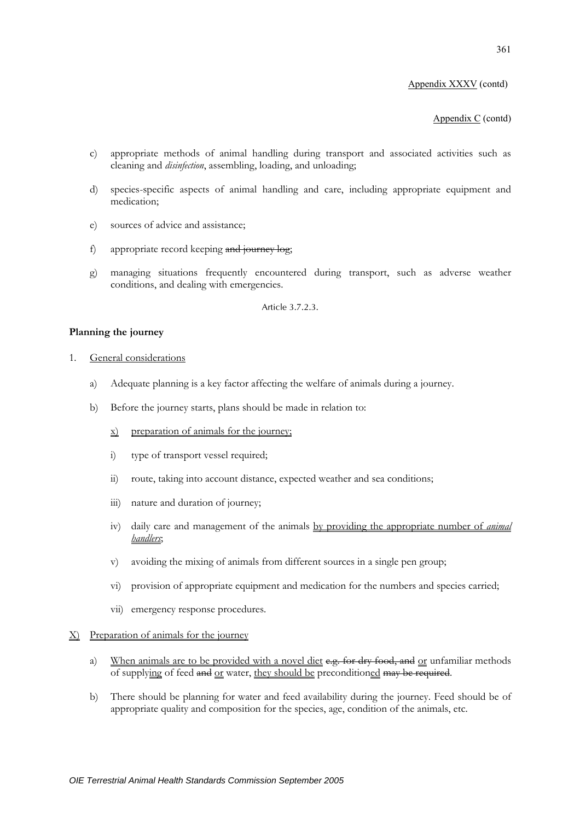# Appendix C (contd)

- c) appropriate methods of animal handling during transport and associated activities such as cleaning and *disinfection*, assembling, loading, and unloading;
- d) species-specific aspects of animal handling and care, including appropriate equipment and medication;
- e) sources of advice and assistance;
- f) appropriate record keeping and journey log;
- g) managing situations frequently encountered during transport, such as adverse weather conditions, and dealing with emergencies.

Article 3.7.2.3.

# **Planning the journey**

#### 1. General considerations

- a) Adequate planning is a key factor affecting the welfare of animals during a journey.
- b) Before the journey starts, plans should be made in relation to:
	- x) preparation of animals for the journey;
	- i) type of transport vessel required;
	- ii) route, taking into account distance, expected weather and sea conditions;
	- iii) nature and duration of journey;
	- iv) daily care and management of the animals by providing the appropriate number of *animal handlers*;
	- v) avoiding the mixing of animals from different sources in a single pen group;
	- vi) provision of appropriate equipment and medication for the numbers and species carried;
	- vii) emergency response procedures.

# X) Preparation of animals for the journey

- a) When animals are to be provided with a novel diet e.g. for dry food, and or unfamiliar methods of supplying of feed and or water, they should be preconditioned may be required.
- b) There should be planning for water and feed availability during the journey. Feed should be of appropriate quality and composition for the species, age, condition of the animals, etc.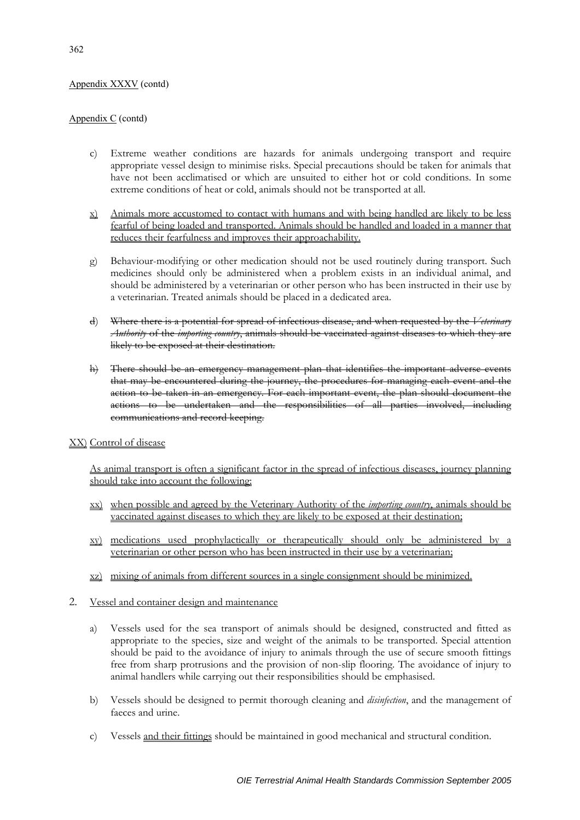# Appendix C (contd)

- c) Extreme weather conditions are hazards for animals undergoing transport and require appropriate vessel design to minimise risks. Special precautions should be taken for animals that have not been acclimatised or which are unsuited to either hot or cold conditions. In some extreme conditions of heat or cold, animals should not be transported at all.
- x) Animals more accustomed to contact with humans and with being handled are likely to be less fearful of being loaded and transported. Animals should be handled and loaded in a manner that reduces their fearfulness and improves their approachability.
- g) Behaviour-modifying or other medication should not be used routinely during transport. Such medicines should only be administered when a problem exists in an individual animal, and should be administered by a veterinarian or other person who has been instructed in their use by a veterinarian. Treated animals should be placed in a dedicated area.
- d) Where there is a potential for spread of infectious disease, and when requested by the *Veterinary Authority* of the *importing country*, animals should be vaccinated against diseases to which they are likely to be exposed at their destination.
- h) There should be an emergency management plan that identifies the important adverse events that may be encountered during the journey, the procedures for managing each event and the action to be taken in an emergency. For each important event, the plan should document the actions to be undertaken and the responsibilities of all parties involved, including communications and record keeping.
- XX) Control of disease

As animal transport is often a significant factor in the spread of infectious diseases, journey planning should take into account the following:

- xx) when possible and agreed by the Veterinary Authority of the *importing country*, animals should be vaccinated against diseases to which they are likely to be exposed at their destination;
- xy) medications used prophylactically or therapeutically should only be administered by a veterinarian or other person who has been instructed in their use by a veterinarian;
- xz) mixing of animals from different sources in a single consignment should be minimized.
- 2. Vessel and container design and maintenance
	- a) Vessels used for the sea transport of animals should be designed, constructed and fitted as appropriate to the species, size and weight of the animals to be transported. Special attention should be paid to the avoidance of injury to animals through the use of secure smooth fittings free from sharp protrusions and the provision of non-slip flooring. The avoidance of injury to animal handlers while carrying out their responsibilities should be emphasised.
	- b) Vessels should be designed to permit thorough cleaning and *disinfection*, and the management of faeces and urine.
	- c) Vessels and their fittings should be maintained in good mechanical and structural condition.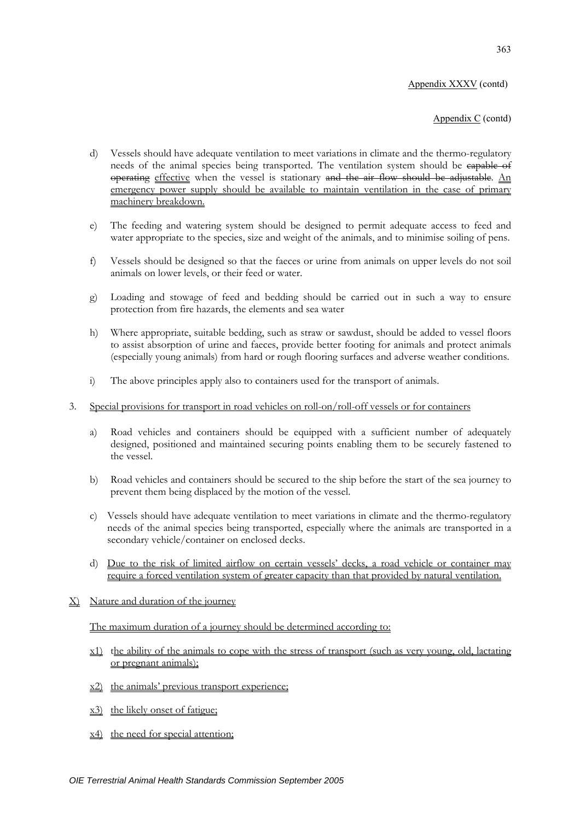# Appendix C (contd)

- d) Vessels should have adequate ventilation to meet variations in climate and the thermo-regulatory needs of the animal species being transported. The ventilation system should be eapable of operating effective when the vessel is stationary and the air flow should be adjustable. An emergency power supply should be available to maintain ventilation in the case of primary machinery breakdown.
- e) The feeding and watering system should be designed to permit adequate access to feed and water appropriate to the species, size and weight of the animals, and to minimise soiling of pens.
- f) Vessels should be designed so that the faeces or urine from animals on upper levels do not soil animals on lower levels, or their feed or water.
- g) Loading and stowage of feed and bedding should be carried out in such a way to ensure protection from fire hazards, the elements and sea water
- h) Where appropriate, suitable bedding, such as straw or sawdust, should be added to vessel floors to assist absorption of urine and faeces, provide better footing for animals and protect animals (especially young animals) from hard or rough flooring surfaces and adverse weather conditions.
- i) The above principles apply also to containers used for the transport of animals.
- 3. Special provisions for transport in road vehicles on roll-on/roll-off vessels or for containers
	- a) Road vehicles and containers should be equipped with a sufficient number of adequately designed, positioned and maintained securing points enabling them to be securely fastened to the vessel.
	- b) Road vehicles and containers should be secured to the ship before the start of the sea journey to prevent them being displaced by the motion of the vessel.
	- c) Vessels should have adequate ventilation to meet variations in climate and the thermo-regulatory needs of the animal species being transported, especially where the animals are transported in a secondary vehicle*/*container on enclosed decks.
	- d) Due to the risk of limited airflow on certain vessels' decks, a road vehicle or container may require a forced ventilation system of greater capacity than that provided by natural ventilation.
- X) Nature and duration of the journey

#### The maximum duration of a journey should be determined according to:

- x1) the ability of the animals to cope with the stress of transport (such as very young, old, lactating or pregnant animals);
- x2) the animals' previous transport experience;
- x3) the likely onset of fatigue;
- x4) the need for special attention;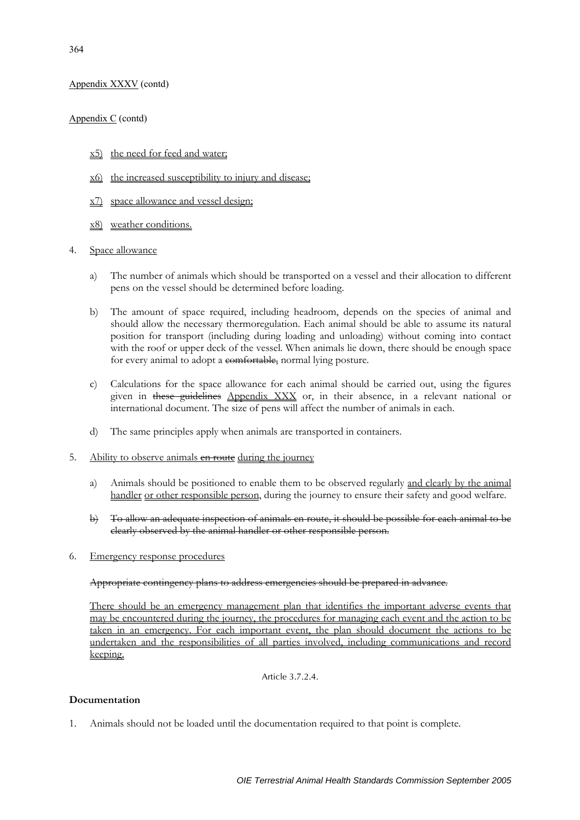### Appendix C (contd)

- x5) the need for feed and water;
- x6) the increased susceptibility to injury and disease;
- x7) space allowance and vessel design;
- x8) weather conditions.

# 4. Space allowance

- a) The number of animals which should be transported on a vessel and their allocation to different pens on the vessel should be determined before loading.
- b) The amount of space required, including headroom, depends on the species of animal and should allow the necessary thermoregulation. Each animal should be able to assume its natural position for transport (including during loading and unloading) without coming into contact with the roof or upper deck of the vessel. When animals lie down, there should be enough space for every animal to adopt a comfortable, normal lying posture.
- c) Calculations for the space allowance for each animal should be carried out, using the figures given in these guidelines Appendix XXX or, in their absence, in a relevant national or international document. The size of pens will affect the number of animals in each.
- d) The same principles apply when animals are transported in containers.

#### 5. Ability to observe animals en route during the journey

- a) Animals should be positioned to enable them to be observed regularly and clearly by the animal handler or other responsible person, during the journey to ensure their safety and good welfare.
- b) To allow an adequate inspection of animals en route, it should be possible for each animal to be clearly observed by the animal handler or other responsible person.
- 6. Emergency response procedures

Appropriate contingency plans to address emergencies should be prepared in advance.

There should be an emergency management plan that identifies the important adverse events that may be encountered during the journey, the procedures for managing each event and the action to be taken in an emergency. For each important event, the plan should document the actions to be undertaken and the responsibilities of all parties involved, including communications and record keeping.

Article 3.7.2.4.

# **Documentation**

1. Animals should not be loaded until the documentation required to that point is complete.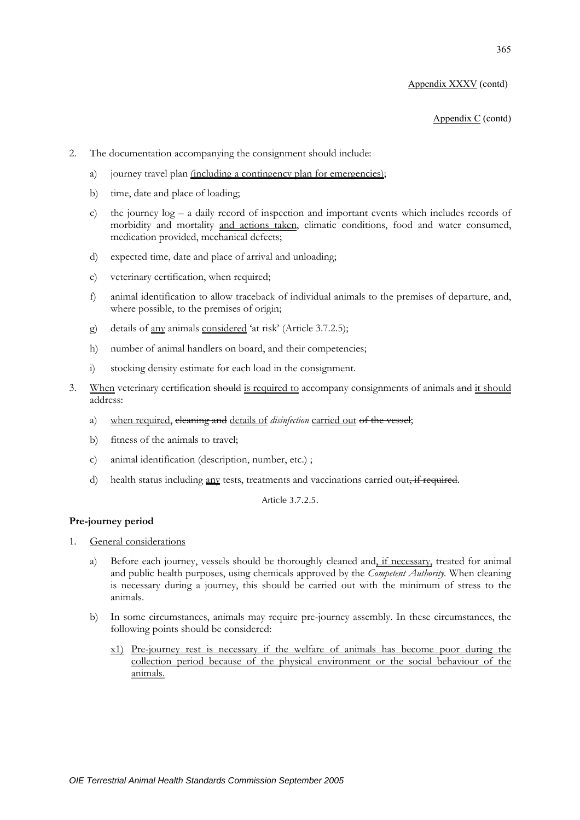### Appendix C (contd)

- 2. The documentation accompanying the consignment should include:
	- a) journey travel plan (including a contingency plan for emergencies);
	- b) time, date and place of loading;
	- c) the journey log a daily record of inspection and important events which includes records of morbidity and mortality and actions taken, climatic conditions, food and water consumed, medication provided, mechanical defects;
	- d) expected time, date and place of arrival and unloading;
	- e) veterinary certification, when required;
	- f) animal identification to allow traceback of individual animals to the premises of departure, and, where possible, to the premises of origin;
	- g) details of any animals considered 'at risk' (Article 3.7.2.5);
	- h) number of animal handlers on board, and their competencies;
	- i) stocking density estimate for each load in the consignment.
- 3. When veterinary certification should is required to accompany consignments of animals and it should address:
	- a) when required, cleaning and details of *disinfection* carried out of the vessel;
	- b) fitness of the animals to travel;
	- c) animal identification (description, number, etc.) ;
	- d) health status including any tests, treatments and vaccinations carried out, if required.

Article 3.7.2.5.

# **Pre-journey period**

- 1. General considerations
	- a) Before each journey, vessels should be thoroughly cleaned and, if necessary, treated for animal and public health purposes, using chemicals approved by the *Competent Authority.* When cleaning is necessary during a journey, this should be carried out with the minimum of stress to the animals.
	- b) In some circumstances, animals may require pre-journey assembly. In these circumstances, the following points should be considered:
		- x1) Pre-journey rest is necessary if the welfare of animals has become poor during the collection period because of the physical environment or the social behaviour of the animals.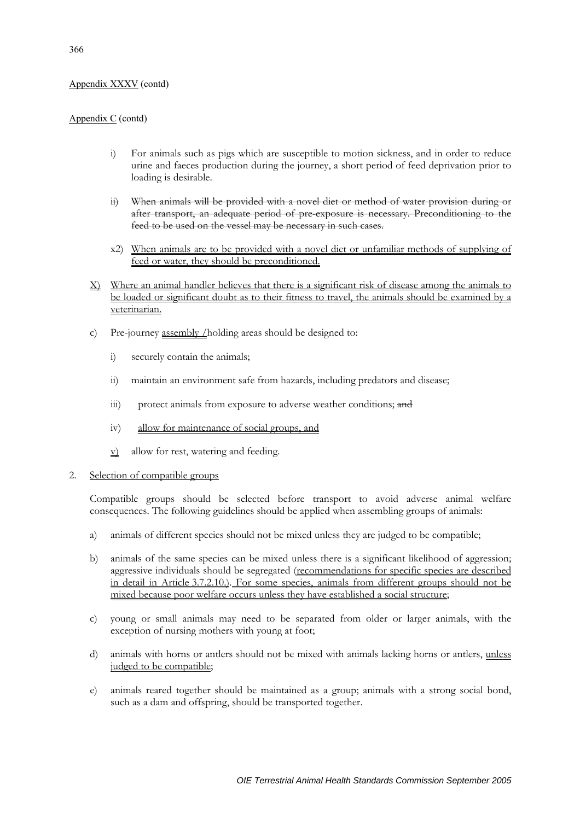# Appendix C (contd)

- i) For animals such as pigs which are susceptible to motion sickness, and in order to reduce urine and faeces production during the journey, a short period of feed deprivation prior to loading is desirable.
- ii) When animals will be provided with a novel diet or method of water provision during or after transport, an adequate period of pre-exposure is necessary. Preconditioning to the feed to be used on the vessel may be necessary in such cases.
- x2) When animals are to be provided with a novel diet or unfamiliar methods of supplying of feed or water, they should be preconditioned.
- X) Where an animal handler believes that there is a significant risk of disease among the animals to be loaded or significant doubt as to their fitness to travel, the animals should be examined by a veterinarian.
- c) Pre-journey assembly /holding areas should be designed to:
	- i) securely contain the animals;
	- ii) maintain an environment safe from hazards, including predators and disease;
	- iii) protect animals from exposure to adverse weather conditions; and
	- iv) allow for maintenance of social groups, and
	- v) allow for rest, watering and feeding.

#### 2. Selection of compatible groups

Compatible groups should be selected before transport to avoid adverse animal welfare consequences. The following guidelines should be applied when assembling groups of animals:

- a) animals of different species should not be mixed unless they are judged to be compatible;
- b) animals of the same species can be mixed unless there is a significant likelihood of aggression; aggressive individuals should be segregated (recommendations for specific species are described in detail in Article 3.7.2.10.). For some species, animals from different groups should not be mixed because poor welfare occurs unless they have established a social structure;
- c) young or small animals may need to be separated from older or larger animals, with the exception of nursing mothers with young at foot;
- d) animals with horns or antlers should not be mixed with animals lacking horns or antlers, unless judged to be compatible;
- e) animals reared together should be maintained as a group; animals with a strong social bond, such as a dam and offspring, should be transported together.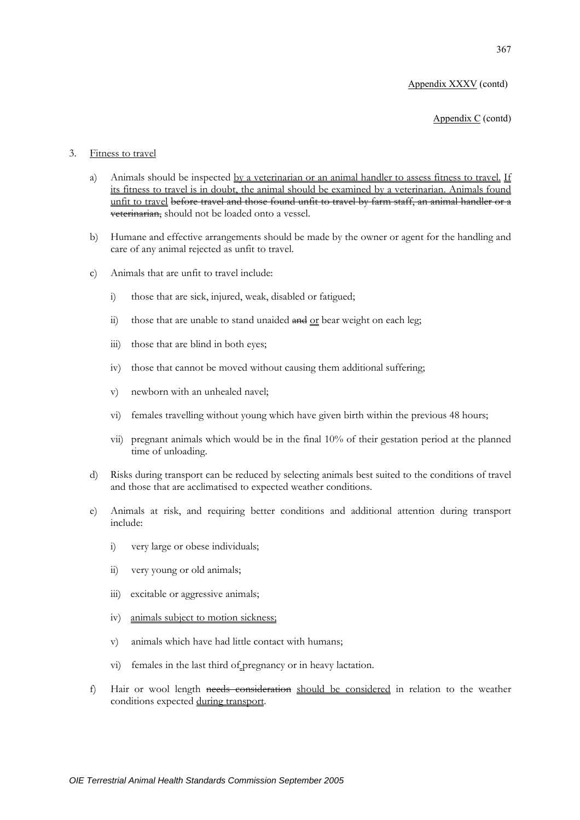### Appendix C (contd)

#### 3. Fitness to travel

- a) Animals should be inspected by a veterinarian or an animal handler to assess fitness to travel. If its fitness to travel is in doubt, the animal should be examined by a veterinarian. Animals found unfit to travel before travel and those found unfit to travel by farm staff, an animal handler or a veterinarian, should not be loaded onto a vessel.
- b) Humane and effective arrangements should be made by the owner or agent for the handling and care of any animal rejected as unfit to travel.
- c) Animals that are unfit to travel include:
	- i) those that are sick, injured, weak, disabled or fatigued;
	- ii) those that are unable to stand unaided and or bear weight on each leg;
	- iii) those that are blind in both eyes;
	- iv) those that cannot be moved without causing them additional suffering;
	- v) newborn with an unhealed navel;
	- vi) females travelling without young which have given birth within the previous 48 hours;
	- vii) pregnant animals which would be in the final 10% of their gestation period at the planned time of unloading.
- d) Risks during transport can be reduced by selecting animals best suited to the conditions of travel and those that are acclimatised to expected weather conditions.
- e) Animals at risk, and requiring better conditions and additional attention during transport include:
	- i) very large or obese individuals;
	- ii) very young or old animals;
	- iii) excitable or aggressive animals;
	- iv) animals subject to motion sickness;
	- v) animals which have had little contact with humans;
	- vi) females in the last third of pregnancy or in heavy lactation.
- f) Hair or wool length needs consideration should be considered in relation to the weather conditions expected during transport.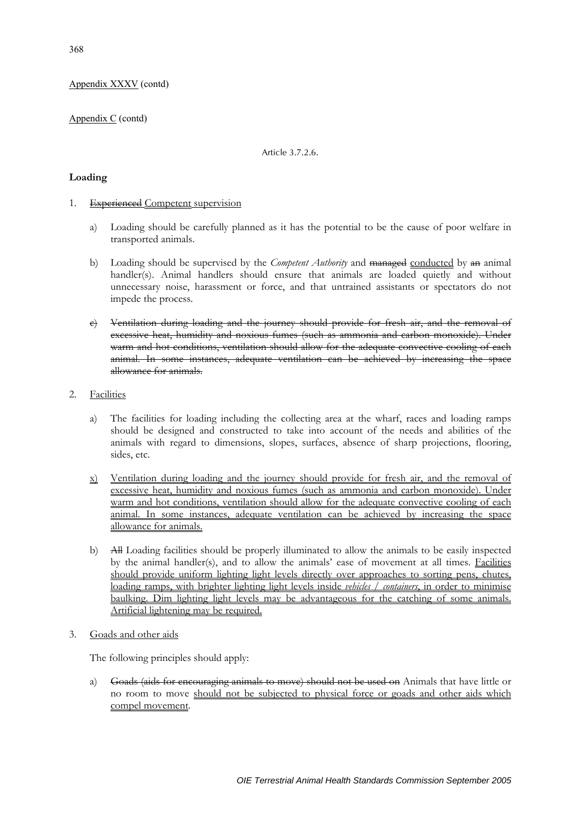# Appendix C (contd)

Article 3.7.2.6.

# **Loading**

- 1. Experienced Competent supervision
	- a) Loading should be carefully planned as it has the potential to be the cause of poor welfare in transported animals.
	- b) Loading should be supervised by the *Competent Authority* and managed conducted by an animal handler(s). Animal handlers should ensure that animals are loaded quietly and without unnecessary noise, harassment or force, and that untrained assistants or spectators do not impede the process.
	- c) Ventilation during loading and the journey should provide for fresh air, and the removal of excessive heat, humidity and noxious fumes (such as ammonia and carbon monoxide). Under warm and hot conditions, ventilation should allow for the adequate convective cooling of each animal. In some instances, adequate ventilation can be achieved by increasing the space allowance for animals.
- 2. Facilities
	- a) The facilities for loading including the collecting area at the wharf, races and loading ramps should be designed and constructed to take into account of the needs and abilities of the animals with regard to dimensions, slopes, surfaces, absence of sharp projections, flooring, sides, etc.
	- x) Ventilation during loading and the journey should provide for fresh air, and the removal of excessive heat, humidity and noxious fumes (such as ammonia and carbon monoxide). Under warm and hot conditions, ventilation should allow for the adequate convective cooling of each animal. In some instances, adequate ventilation can be achieved by increasing the space allowance for animals.
	- b) All Loading facilities should be properly illuminated to allow the animals to be easily inspected by the animal handler(s), and to allow the animals' ease of movement at all times. Facilities should provide uniform lighting light levels directly over approaches to sorting pens, chutes, loading ramps, with brighter lighting light levels inside *vehicles* / *containers*, in order to minimise baulking. Dim lighting light levels may be advantageous for the catching of some animals. Artificial lightening may be required.
- 3. Goads and other aids

The following principles should apply:

a) Goads (aids for encouraging animals to move) should not be used on Animals that have little or no room to move should not be subjected to physical force or goads and other aids which compel movement.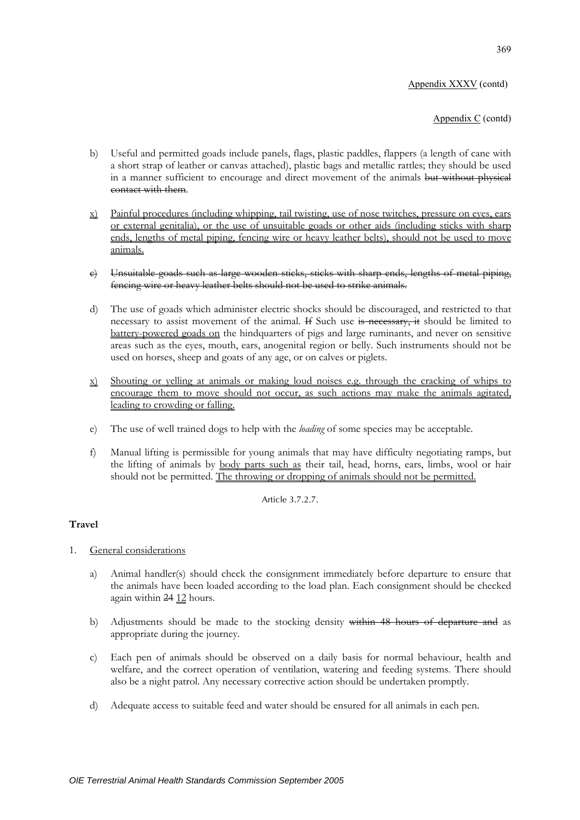# Appendix C (contd)

- b) Useful and permitted goads include panels, flags, plastic paddles, flappers (a length of cane with a short strap of leather or canvas attached), plastic bags and metallic rattles; they should be used in a manner sufficient to encourage and direct movement of the animals but without physical contact with them.
- x) Painful procedures (including whipping, tail twisting, use of nose twitches, pressure on eyes, ears or external genitalia), or the use of unsuitable goads or other aids (including sticks with sharp ends, lengths of metal piping, fencing wire or heavy leather belts), should not be used to move animals.
- c) Unsuitable goads such as large wooden sticks, sticks with sharp ends, lengths of metal piping, fencing wire or heavy leather belts should not be used to strike animals.
- d) The use of goads which administer electric shocks should be discouraged, and restricted to that necessary to assist movement of the animal. If Such use is necessary, it should be limited to battery-powered goads on the hindquarters of pigs and large ruminants, and never on sensitive areas such as the eyes, mouth, ears, anogenital region or belly. Such instruments should not be used on horses, sheep and goats of any age, or on calves or piglets.
- x) Shouting or yelling at animals or making loud noises e.g. through the cracking of whips to encourage them to move should not occur, as such actions may make the animals agitated, leading to crowding or falling.
- e) The use of well trained dogs to help with the *loading* of some species may be acceptable.
- f) Manual lifting is permissible for young animals that may have difficulty negotiating ramps, but the lifting of animals by **body parts such as** their tail, head, horns, ears, limbs, wool or hair should not be permitted. The throwing or dropping of animals should not be permitted.

Article 3.7.2.7.

# **Travel**

- 1. General considerations
	- a) Animal handler(s) should check the consignment immediately before departure to ensure that the animals have been loaded according to the load plan. Each consignment should be checked again within 24 12 hours.
	- b) Adjustments should be made to the stocking density within 48 hours of departure and as appropriate during the journey.
	- c) Each pen of animals should be observed on a daily basis for normal behaviour, health and welfare, and the correct operation of ventilation, watering and feeding systems. There should also be a night patrol. Any necessary corrective action should be undertaken promptly.
	- d) Adequate access to suitable feed and water should be ensured for all animals in each pen.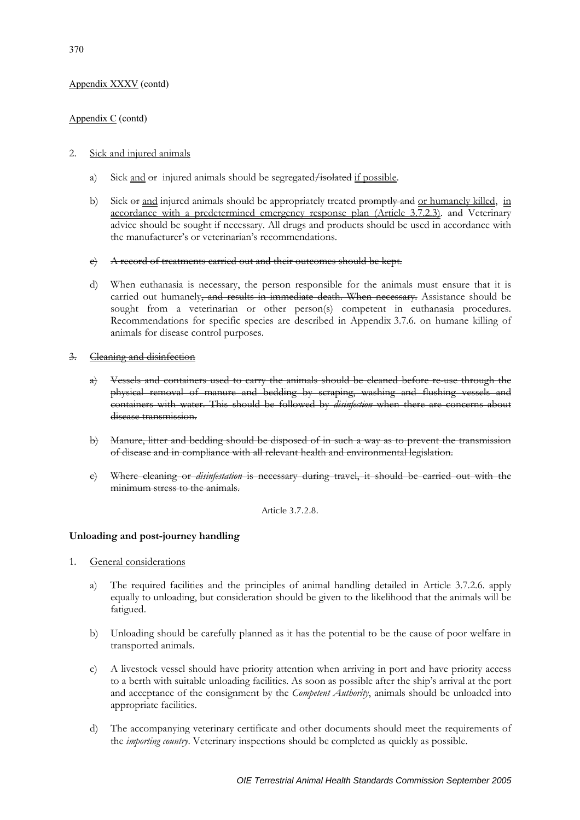# Appendix C (contd)

# 2. Sick and injured animals

- a) Sick and or injured animals should be segregated/isolated if possible.
- b) Sick  $\Theta$  and injured animals should be appropriately treated promptly and or humanely killed, in accordance with a predetermined emergency response plan (Article 3.7.2.3). and Veterinary advice should be sought if necessary. All drugs and products should be used in accordance with the manufacturer's or veterinarian's recommendations.
- c) A record of treatments carried out and their outcomes should be kept.
- d) When euthanasia is necessary, the person responsible for the animals must ensure that it is carried out humanely<del>, and results in immediate death. When necessary.</del> Assistance should be sought from a veterinarian or other person(s) competent in euthanasia procedures. Recommendations for specific species are described in Appendix 3.7.6. on humane killing of animals for disease control purposes.
- 3. Cleaning and disinfection
	- a) Vessels and containers used to carry the animals should be cleaned before re-use through the physical removal of manure and bedding by scraping, washing and flushing vessels and containers with water. This should be followed by *disinfection* when there are concerns about disease transmission.
	- b) Manure, litter and bedding should be disposed of in such a way as to prevent the transmission of disease and in compliance with all relevant health and environmental legislation.
	- c) Where cleaning or *disinfestation* is necessary during travel, it should be carried out with the minimum stress to the animals.
		- Article 3.7.2.8.

# **Unloading and post-journey handling**

- 1. General considerations
	- a) The required facilities and the principles of animal handling detailed in Article 3.7.2.6. apply equally to unloading, but consideration should be given to the likelihood that the animals will be fatigued.
	- b) Unloading should be carefully planned as it has the potential to be the cause of poor welfare in transported animals.
	- c) A livestock vessel should have priority attention when arriving in port and have priority access to a berth with suitable unloading facilities. As soon as possible after the ship's arrival at the port and acceptance of the consignment by the *Competent Authority*, animals should be unloaded into appropriate facilities.
	- d) The accompanying veterinary certificate and other documents should meet the requirements of the *importing country*. Veterinary inspections should be completed as quickly as possible.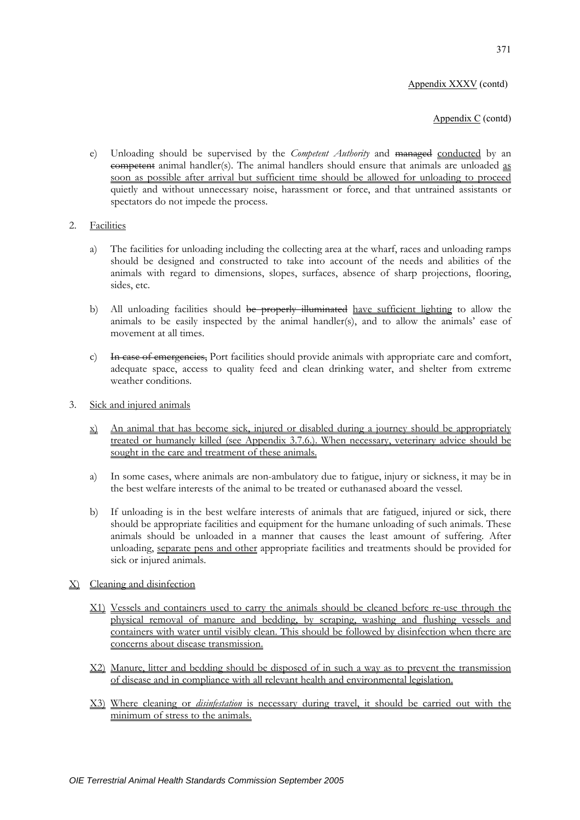# Appendix C (contd)

- e) Unloading should be supervised by the *Competent Authority* and managed conducted by an competent animal handler(s). The animal handlers should ensure that animals are unloaded as soon as possible after arrival but sufficient time should be allowed for unloading to proceed quietly and without unnecessary noise, harassment or force, and that untrained assistants or spectators do not impede the process.
- 2. Facilities
	- a) The facilities for unloading including the collecting area at the wharf, races and unloading ramps should be designed and constructed to take into account of the needs and abilities of the animals with regard to dimensions, slopes, surfaces, absence of sharp projections, flooring, sides, etc.
	- b) All unloading facilities should be properly illuminated have sufficient lighting to allow the animals to be easily inspected by the animal handler(s), and to allow the animals' ease of movement at all times.
	- c) In case of emergencies, Port facilities should provide animals with appropriate care and comfort, adequate space, access to quality feed and clean drinking water, and shelter from extreme weather conditions.
- 3. Sick and injured animals
	- x) An animal that has become sick, injured or disabled during a journey should be appropriately treated or humanely killed (see Appendix 3.7.6.). When necessary, veterinary advice should be sought in the care and treatment of these animals.
	- a) In some cases, where animals are non-ambulatory due to fatigue, injury or sickness, it may be in the best welfare interests of the animal to be treated or euthanased aboard the vessel.
	- b) If unloading is in the best welfare interests of animals that are fatigued, injured or sick, there should be appropriate facilities and equipment for the humane unloading of such animals. These animals should be unloaded in a manner that causes the least amount of suffering. After unloading, separate pens and other appropriate facilities and treatments should be provided for sick or injured animals.
- X) Cleaning and disinfection
	- X1) Vessels and containers used to carry the animals should be cleaned before re-use through the physical removal of manure and bedding, by scraping, washing and flushing vessels and containers with water until visibly clean. This should be followed by disinfection when there are concerns about disease transmission.
	- X2) Manure, litter and bedding should be disposed of in such a way as to prevent the transmission of disease and in compliance with all relevant health and environmental legislation.
	- X3) Where cleaning or *disinfestation* is necessary during travel, it should be carried out with the minimum of stress to the animals.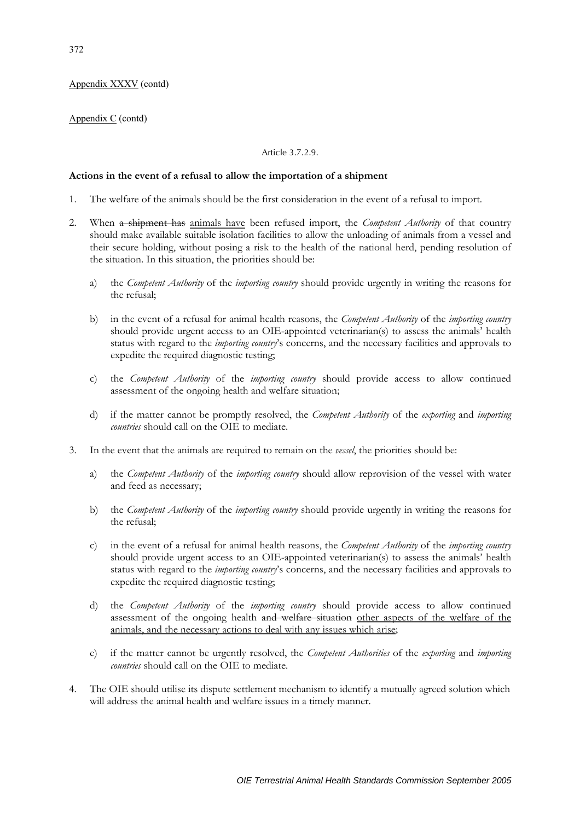# Appendix C (contd)

#### Article 3.7.2.9.

#### **Actions in the event of a refusal to allow the importation of a shipment**

- 1. The welfare of the animals should be the first consideration in the event of a refusal to import.
- 2. When a shipment has animals have been refused import, the *Competent Authority* of that country should make available suitable isolation facilities to allow the unloading of animals from a vessel and their secure holding, without posing a risk to the health of the national herd, pending resolution of the situation. In this situation, the priorities should be:
	- a) the *Competent Authority* of the *importing country* should provide urgently in writing the reasons for the refusal;
	- b) in the event of a refusal for animal health reasons, the *Competent Authority* of the *importing country* should provide urgent access to an OIE-appointed veterinarian(s) to assess the animals' health status with regard to the *importing country*'s concerns, and the necessary facilities and approvals to expedite the required diagnostic testing;
	- c) the *Competent Authority* of the *importing country* should provide access to allow continued assessment of the ongoing health and welfare situation;
	- d) if the matter cannot be promptly resolved, the *Competent Authority* of the *exporting* and *importing countries* should call on the OIE to mediate.
- 3. In the event that the animals are required to remain on the *vessel*, the priorities should be:
	- a) the *Competent Authority* of the *importing country* should allow reprovision of the vessel with water and feed as necessary;
	- b) the *Competent Authority* of the *importing country* should provide urgently in writing the reasons for the refusal;
	- c) in the event of a refusal for animal health reasons, the *Competent Authority* of the *importing country* should provide urgent access to an OIE-appointed veterinarian(s) to assess the animals' health status with regard to the *importing country*'s concerns, and the necessary facilities and approvals to expedite the required diagnostic testing;
	- d) the *Competent Authority* of the *importing country* should provide access to allow continued assessment of the ongoing health and welfare situation other aspects of the welfare of the animals, and the necessary actions to deal with any issues which arise;
	- e) if the matter cannot be urgently resolved, the *Competent Authorities* of the *exporting* and *importing countries* should call on the OIE to mediate.
- 4. The OIE should utilise its dispute settlement mechanism to identify a mutually agreed solution which will address the animal health and welfare issues in a timely manner.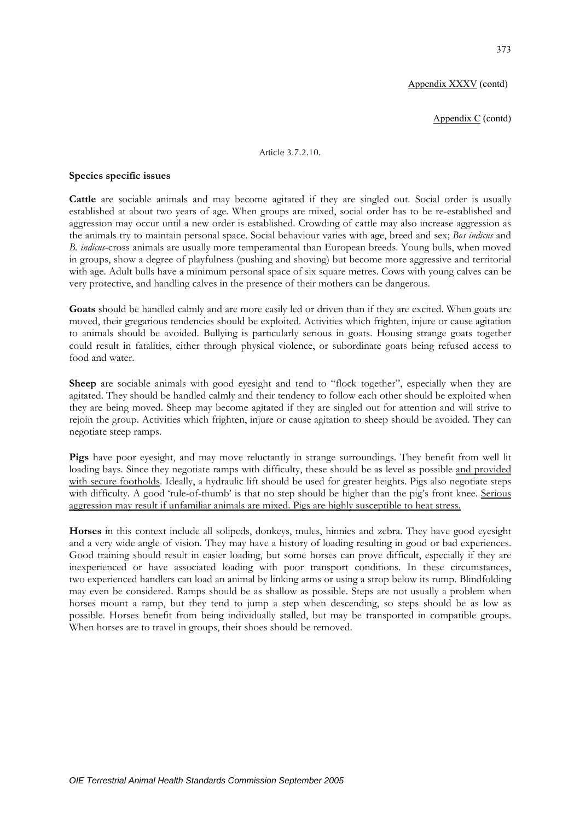Appendix C (contd)

#### Article 3.7.2.10.

### **Species specific issues**

**Cattle** are sociable animals and may become agitated if they are singled out. Social order is usually established at about two years of age. When groups are mixed, social order has to be re-established and aggression may occur until a new order is established. Crowding of cattle may also increase aggression as the animals try to maintain personal space. Social behaviour varies with age, breed and sex; *Bos indicus* and *B. indicus*-cross animals are usually more temperamental than European breeds. Young bulls, when moved in groups, show a degree of playfulness (pushing and shoving) but become more aggressive and territorial with age. Adult bulls have a minimum personal space of six square metres. Cows with young calves can be very protective, and handling calves in the presence of their mothers can be dangerous.

**Goats** should be handled calmly and are more easily led or driven than if they are excited. When goats are moved, their gregarious tendencies should be exploited. Activities which frighten, injure or cause agitation to animals should be avoided. Bullying is particularly serious in goats. Housing strange goats together could result in fatalities, either through physical violence, or subordinate goats being refused access to food and water.

**Sheep** are sociable animals with good eyesight and tend to "flock together", especially when they are agitated. They should be handled calmly and their tendency to follow each other should be exploited when they are being moved. Sheep may become agitated if they are singled out for attention and will strive to rejoin the group. Activities which frighten, injure or cause agitation to sheep should be avoided. They can negotiate steep ramps.

Pigs have poor eyesight, and may move reluctantly in strange surroundings. They benefit from well lit loading bays. Since they negotiate ramps with difficulty, these should be as level as possible and provided with secure footholds. Ideally, a hydraulic lift should be used for greater heights. Pigs also negotiate steps with difficulty. A good 'rule-of-thumb' is that no step should be higher than the pig's front knee. Serious aggression may result if unfamiliar animals are mixed. Pigs are highly susceptible to heat stress.

**Horses** in this context include all solipeds, donkeys, mules, hinnies and zebra. They have good eyesight and a very wide angle of vision. They may have a history of loading resulting in good or bad experiences. Good training should result in easier loading, but some horses can prove difficult, especially if they are inexperienced or have associated loading with poor transport conditions. In these circumstances, two experienced handlers can load an animal by linking arms or using a strop below its rump. Blindfolding may even be considered. Ramps should be as shallow as possible. Steps are not usually a problem when horses mount a ramp, but they tend to jump a step when descending, so steps should be as low as possible. Horses benefit from being individually stalled, but may be transported in compatible groups. When horses are to travel in groups, their shoes should be removed.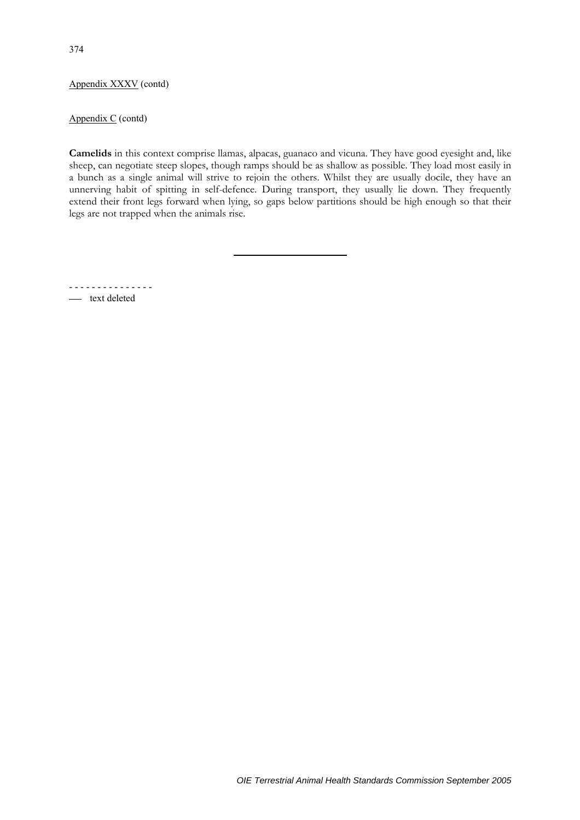Appendix C (contd)

**Camelids** in this context comprise llamas, alpacas, guanaco and vicuna. They have good eyesight and, like sheep, can negotiate steep slopes, though ramps should be as shallow as possible. They load most easily in a bunch as a single animal will strive to rejoin the others. Whilst they are usually docile, they have an unnerving habit of spitting in self-defence. During transport, they usually lie down. They frequently extend their front legs forward when lying, so gaps below partitions should be high enough so that their legs are not trapped when the animals rise.

- - - - - - - - - - - - - - - - text deleted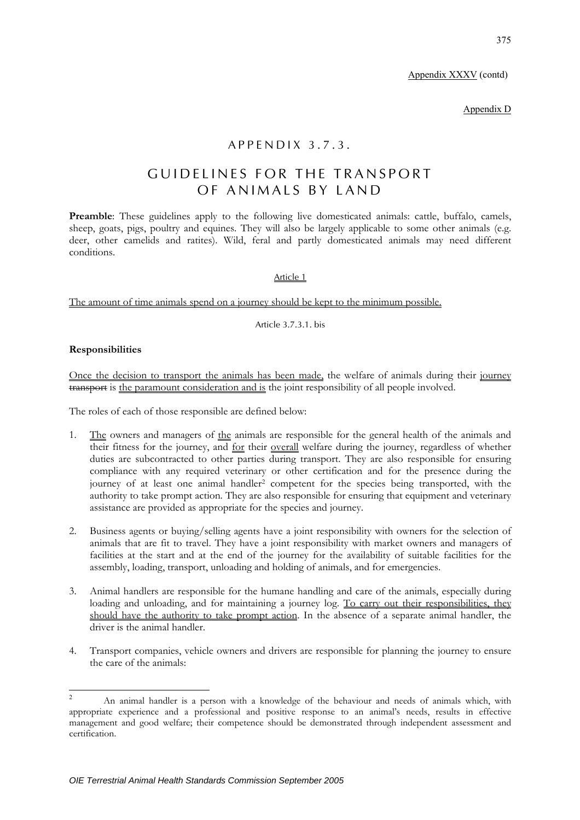# Appendix D

# APPENDIX 3.7.3.

# GUIDELINES FOR THE TRANSPORT OF ANIMALS BY LAND

**Preamble:** These guidelines apply to the following live domesticated animals: cattle, buffalo, camels, sheep, goats, pigs, poultry and equines. They will also be largely applicable to some other animals (e.g. deer, other camelids and ratites). Wild, feral and partly domesticated animals may need different conditions.

# Article 1

The amount of time animals spend on a journey should be kept to the minimum possible.

Article 3.7.3.1. bis

# **Responsibilities**

 $\overline{a}$ 

Once the decision to transport the animals has been made, the welfare of animals during their journey transport is the paramount consideration and is the joint responsibility of all people involved.

The roles of each of those responsible are defined below:

- 1. The owners and managers of the animals are responsible for the general health of the animals and their fitness for the journey, and for their overall welfare during the journey, regardless of whether duties are subcontracted to other parties during transport. They are also responsible for ensuring compliance with any required veterinary or other certification and for the presence during the journey of at least one animal handler<sup>2</sup> competent for the species being transported, with the authority to take prompt action. They are also responsible for ensuring that equipment and veterinary assistance are provided as appropriate for the species and journey.
- 2. Business agents or buying/selling agents have a joint responsibility with owners for the selection of animals that are fit to travel. They have a joint responsibility with market owners and managers of facilities at the start and at the end of the journey for the availability of suitable facilities for the assembly, loading, transport, unloading and holding of animals, and for emergencies.
- 3. Animal handlers are responsible for the humane handling and care of the animals, especially during loading and unloading, and for maintaining a journey log. To carry out their responsibilities, they should have the authority to take prompt action. In the absence of a separate animal handler, the driver is the animal handler.
- 4. Transport companies, vehicle owners and drivers are responsible for planning the journey to ensure the care of the animals:

<sup>2</sup> An animal handler is a person with a knowledge of the behaviour and needs of animals which, with appropriate experience and a professional and positive response to an animal's needs, results in effective management and good welfare; their competence should be demonstrated through independent assessment and certification.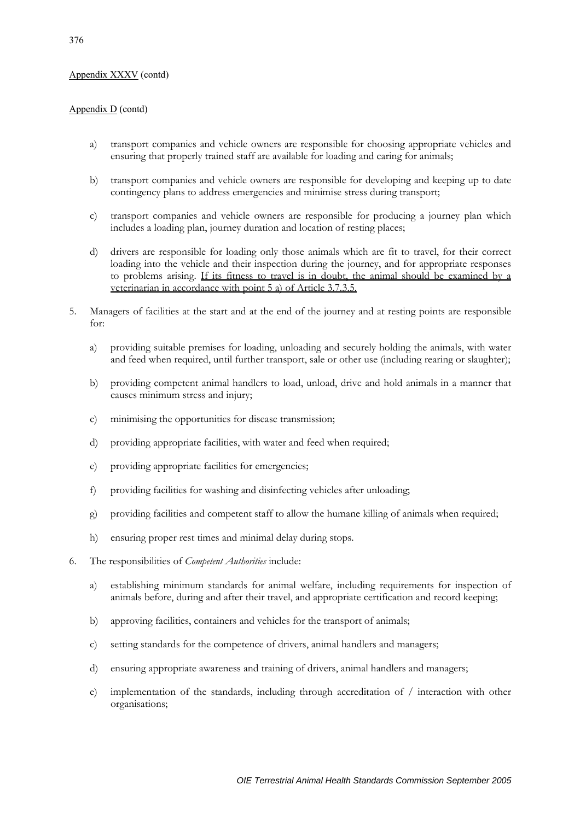#### Appendix D (contd)

- a) transport companies and vehicle owners are responsible for choosing appropriate vehicles and ensuring that properly trained staff are available for loading and caring for animals;
- b) transport companies and vehicle owners are responsible for developing and keeping up to date contingency plans to address emergencies and minimise stress during transport;
- c) transport companies and vehicle owners are responsible for producing a journey plan which includes a loading plan, journey duration and location of resting places;
- d) drivers are responsible for loading only those animals which are fit to travel, for their correct loading into the vehicle and their inspection during the journey, and for appropriate responses to problems arising. If its fitness to travel is in doubt, the animal should be examined by a veterinarian in accordance with point 5 a) of Article 3.7.3.5.
- 5. Managers of facilities at the start and at the end of the journey and at resting points are responsible for:
	- a) providing suitable premises for loading, unloading and securely holding the animals, with water and feed when required, until further transport, sale or other use (including rearing or slaughter);
	- b) providing competent animal handlers to load, unload, drive and hold animals in a manner that causes minimum stress and injury;
	- c) minimising the opportunities for disease transmission;
	- d) providing appropriate facilities, with water and feed when required;
	- e) providing appropriate facilities for emergencies;
	- f) providing facilities for washing and disinfecting vehicles after unloading;
	- g) providing facilities and competent staff to allow the humane killing of animals when required;
	- h) ensuring proper rest times and minimal delay during stops.
- 6. The responsibilities of *Competent Authorities* include:
	- a) establishing minimum standards for animal welfare, including requirements for inspection of animals before, during and after their travel, and appropriate certification and record keeping;
	- b) approving facilities, containers and vehicles for the transport of animals;
	- c) setting standards for the competence of drivers, animal handlers and managers;
	- d) ensuring appropriate awareness and training of drivers, animal handlers and managers;
	- e) implementation of the standards, including through accreditation of / interaction with other organisations;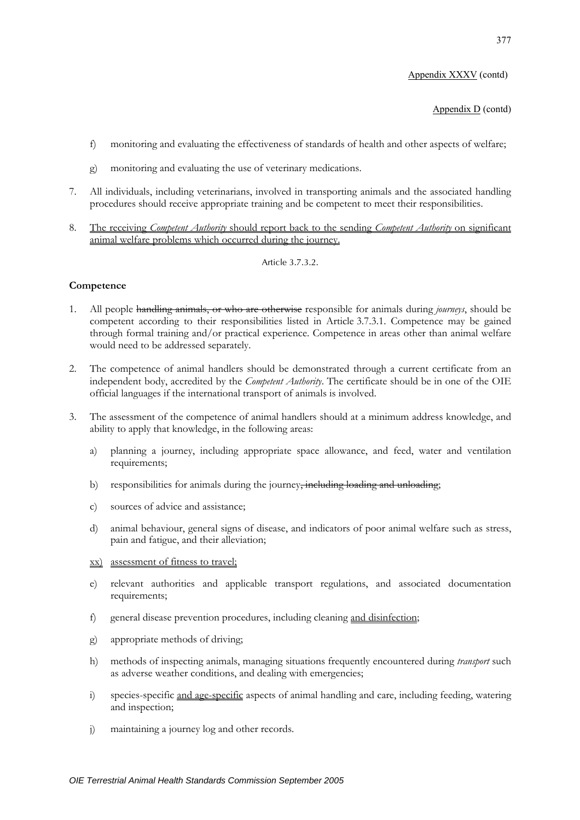# Appendix D (contd)

- f) monitoring and evaluating the effectiveness of standards of health and other aspects of welfare;
- g) monitoring and evaluating the use of veterinary medications.
- 7. All individuals, including veterinarians, involved in transporting animals and the associated handling procedures should receive appropriate training and be competent to meet their responsibilities.
- 8. The receiving *Competent Authority* should report back to the sending *Competent Authority* on significant animal welfare problems which occurred during the journey.

Article 3.7.3.2.

# **Competence**

- 1. All people handling animals, or who are otherwise responsible for animals during *journeys*, should be competent according to their responsibilities listed in Article 3.7.3.1. Competence may be gained through formal training and/or practical experience. Competence in areas other than animal welfare would need to be addressed separately.
- 2. The competence of animal handlers should be demonstrated through a current certificate from an independent body, accredited by the *Competent Authority*. The certificate should be in one of the OIE official languages if the international transport of animals is involved.
- 3. The assessment of the competence of animal handlers should at a minimum address knowledge, and ability to apply that knowledge, in the following areas:
	- a) planning a journey, including appropriate space allowance, and feed, water and ventilation requirements;
	- b) responsibilities for animals during the journey<del>, including loading and unloading</del>;
	- c) sources of advice and assistance;
	- d) animal behaviour, general signs of disease, and indicators of poor animal welfare such as stress, pain and fatigue, and their alleviation;
	- xx) assessment of fitness to travel;
	- e) relevant authorities and applicable transport regulations, and associated documentation requirements;
	- f) general disease prevention procedures, including cleaning and disinfection;
	- g) appropriate methods of driving;
	- h) methods of inspecting animals, managing situations frequently encountered during *transport* such as adverse weather conditions, and dealing with emergencies;
	- i) species-specific and age-specific aspects of animal handling and care, including feeding, watering and inspection;
	- j) maintaining a journey log and other records.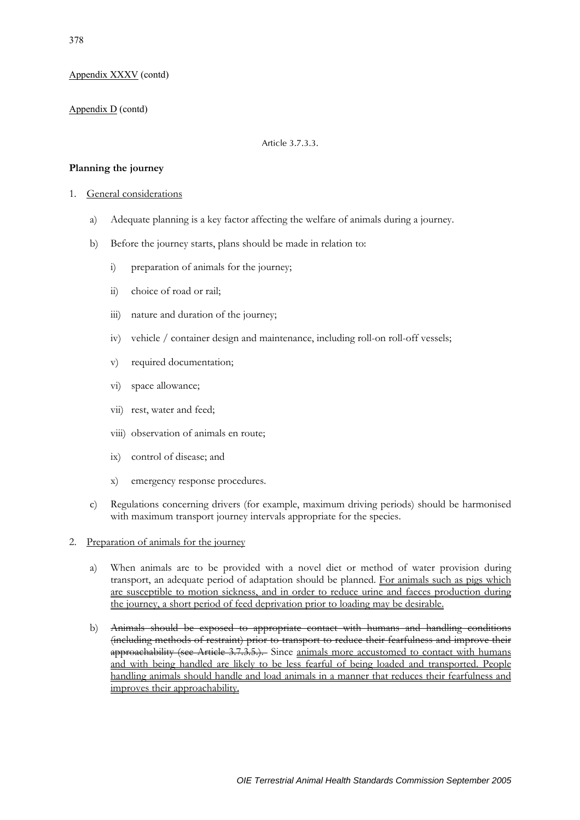Appendix D (contd)

#### Article 3.7.3.3.

### **Planning the journey**

- 1. General considerations
	- a) Adequate planning is a key factor affecting the welfare of animals during a journey.
	- b) Before the journey starts, plans should be made in relation to:
		- i) preparation of animals for the journey;
		- ii) choice of road or rail;
		- iii) nature and duration of the journey;
		- iv) vehicle / container design and maintenance, including roll-on roll-off vessels;
		- v) required documentation;
		- vi) space allowance;
		- vii) rest, water and feed;
		- viii) observation of animals en route;
		- ix) control of disease; and
		- x) emergency response procedures.
	- c) Regulations concerning drivers (for example, maximum driving periods) should be harmonised with maximum transport journey intervals appropriate for the species.

# 2. Preparation of animals for the journey

- a) When animals are to be provided with a novel diet or method of water provision during transport, an adequate period of adaptation should be planned. For animals such as pigs which are susceptible to motion sickness, and in order to reduce urine and faeces production during the journey, a short period of feed deprivation prior to loading may be desirable.
- b) Animals should be exposed to appropriate contact with humans and handling conditions (including methods of restraint) prior to transport to reduce their fearfulness and improve their approachability (see Article 3.7.3.5.). Since animals more accustomed to contact with humans and with being handled are likely to be less fearful of being loaded and transported. People handling animals should handle and load animals in a manner that reduces their fearfulness and improves their approachability.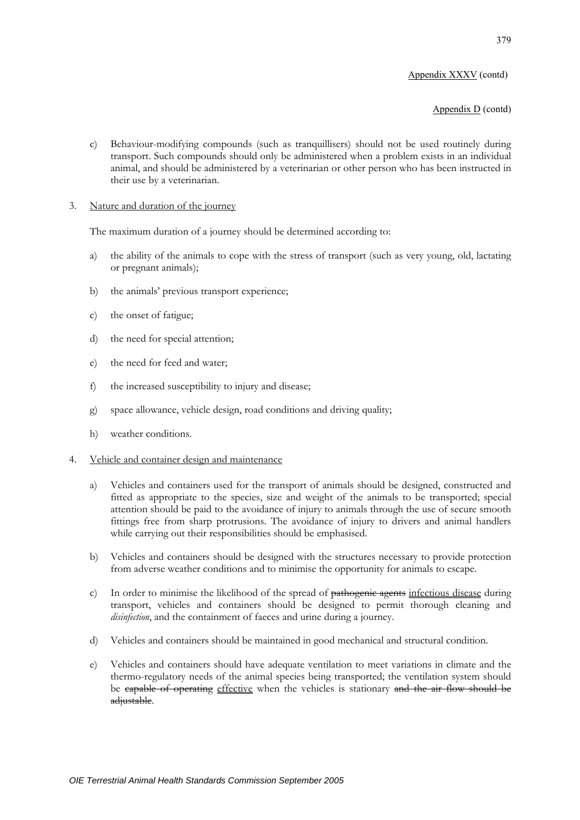# Appendix D (contd)

c) Behaviour-modifying compounds (such as tranquillisers) should not be used routinely during transport. Such compounds should only be administered when a problem exists in an individual animal, and should be administered by a veterinarian or other person who has been instructed in their use by a veterinarian.

# 3. Nature and duration of the journey

The maximum duration of a journey should be determined according to:

- a) the ability of the animals to cope with the stress of transport (such as very young, old, lactating or pregnant animals);
- b) the animals' previous transport experience;
- c) the onset of fatigue;
- d) the need for special attention;
- e) the need for feed and water;
- f) the increased susceptibility to injury and disease;
- g) space allowance, vehicle design, road conditions and driving quality;
- h) weather conditions.

# 4. Vehicle and container design and maintenance

- a) Vehicles and containers used for the transport of animals should be designed, constructed and fitted as appropriate to the species, size and weight of the animals to be transported; special attention should be paid to the avoidance of injury to animals through the use of secure smooth fittings free from sharp protrusions. The avoidance of injury to drivers and animal handlers while carrying out their responsibilities should be emphasised.
- b) Vehicles and containers should be designed with the structures necessary to provide protection from adverse weather conditions and to minimise the opportunity for animals to escape.
- c) In order to minimise the likelihood of the spread of pathogenic agents infectious disease during transport, vehicles and containers should be designed to permit thorough cleaning and *disinfection*, and the containment of faeces and urine during a journey.
- d) Vehicles and containers should be maintained in good mechanical and structural condition.
- e) Vehicles and containers should have adequate ventilation to meet variations in climate and the thermo-regulatory needs of the animal species being transported; the ventilation system should be capable of operating effective when the vehicles is stationary and the air flow should be adjustable.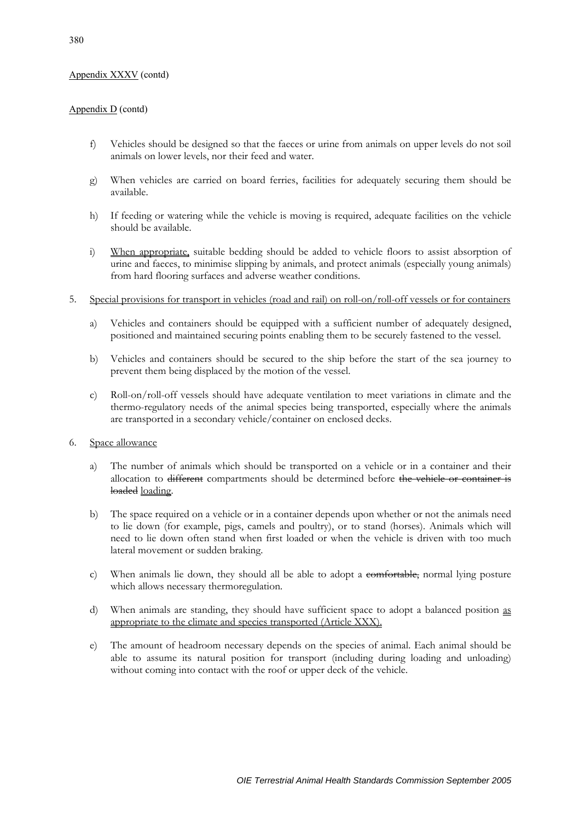### Appendix D (contd)

- f) Vehicles should be designed so that the faeces or urine from animals on upper levels do not soil animals on lower levels, nor their feed and water.
- g) When vehicles are carried on board ferries, facilities for adequately securing them should be available.
- h) If feeding or watering while the vehicle is moving is required, adequate facilities on the vehicle should be available.
- i) When appropriate, suitable bedding should be added to vehicle floors to assist absorption of urine and faeces, to minimise slipping by animals, and protect animals (especially young animals) from hard flooring surfaces and adverse weather conditions.
- 5. Special provisions for transport in vehicles (road and rail) on roll-on/roll-off vessels or for containers
	- a) Vehicles and containers should be equipped with a sufficient number of adequately designed, positioned and maintained securing points enabling them to be securely fastened to the vessel.
	- b) Vehicles and containers should be secured to the ship before the start of the sea journey to prevent them being displaced by the motion of the vessel.
	- c) Roll-on/roll-off vessels should have adequate ventilation to meet variations in climate and the thermo-regulatory needs of the animal species being transported, especially where the animals are transported in a secondary vehicle/container on enclosed decks.
- 6. Space allowance
	- a) The number of animals which should be transported on a vehicle or in a container and their allocation to different compartments should be determined before the vehicle or container is loaded loading.
	- b) The space required on a vehicle or in a container depends upon whether or not the animals need to lie down (for example, pigs, camels and poultry), or to stand (horses). Animals which will need to lie down often stand when first loaded or when the vehicle is driven with too much lateral movement or sudden braking.
	- c) When animals lie down, they should all be able to adopt a comfortable, normal lying posture which allows necessary thermoregulation.
	- d) When animals are standing, they should have sufficient space to adopt a balanced position as appropriate to the climate and species transported (Article XXX).
	- e) The amount of headroom necessary depends on the species of animal. Each animal should be able to assume its natural position for transport (including during loading and unloading) without coming into contact with the roof or upper deck of the vehicle.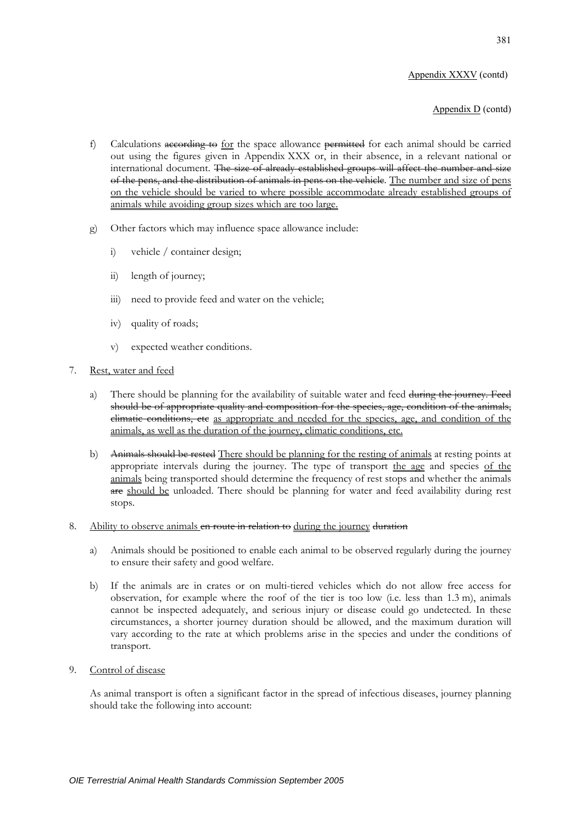Appendix D (contd)

- f) Calculations according to for the space allowance permitted for each animal should be carried out using the figures given in Appendix XXX or, in their absence, in a relevant national or international document. The size of already established groups will affect the number and size of the pens, and the distribution of animals in pens on the vehicle. The number and size of pens on the vehicle should be varied to where possible accommodate already established groups of animals while avoiding group sizes which are too large.
- g) Other factors which may influence space allowance include:
	- i) vehicle / container design;
	- ii) length of journey;
	- iii) need to provide feed and water on the vehicle;
	- iv) quality of roads;
	- v) expected weather conditions.
- 7. Rest, water and feed
	- a) There should be planning for the availability of suitable water and feed during the journey. Feed should be of appropriate quality and composition for the species, age, condition of the animals, climatic conditions, etc as appropriate and needed for the species, age, and condition of the animals, as well as the duration of the journey, climatic conditions, etc.
	- b) Animals should be rested There should be planning for the resting of animals at resting points at appropriate intervals during the journey. The type of transport the age and species of the animals being transported should determine the frequency of rest stops and whether the animals are should be unloaded. There should be planning for water and feed availability during rest stops.

# 8. Ability to observe animals en route in relation to during the journey duration

- a) Animals should be positioned to enable each animal to be observed regularly during the journey to ensure their safety and good welfare.
- b) If the animals are in crates or on multi-tiered vehicles which do not allow free access for observation, for example where the roof of the tier is too low (i.e. less than 1.3 m), animals cannot be inspected adequately, and serious injury or disease could go undetected. In these circumstances, a shorter journey duration should be allowed, and the maximum duration will vary according to the rate at which problems arise in the species and under the conditions of transport.
- 9. Control of disease

As animal transport is often a significant factor in the spread of infectious diseases, journey planning should take the following into account: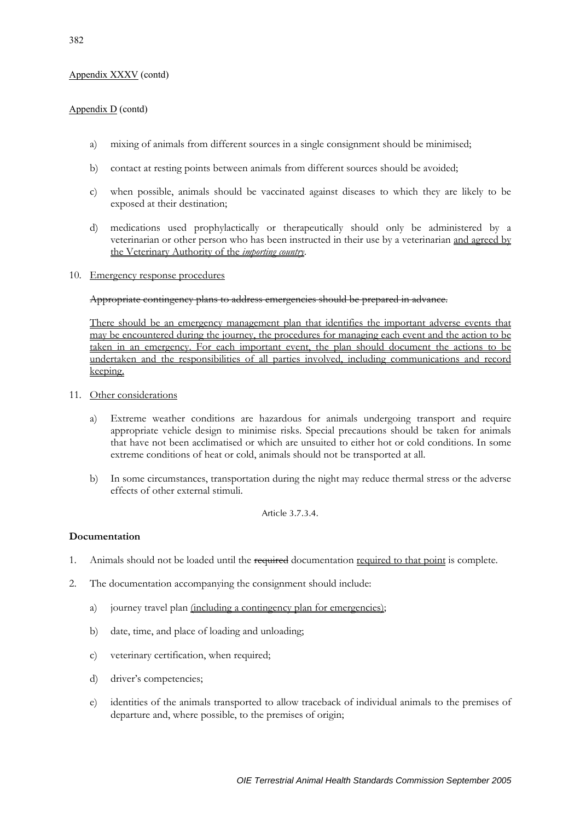### Appendix D (contd)

- a) mixing of animals from different sources in a single consignment should be minimised;
- b) contact at resting points between animals from different sources should be avoided;
- c) when possible, animals should be vaccinated against diseases to which they are likely to be exposed at their destination;
- d) medications used prophylactically or therapeutically should only be administered by a veterinarian or other person who has been instructed in their use by a veterinarian and agreed by the Veterinary Authority of the *importing country*.
- 10. Emergency response procedures

#### Appropriate contingency plans to address emergencies should be prepared in advance.

There should be an emergency management plan that identifies the important adverse events that may be encountered during the journey, the procedures for managing each event and the action to be taken in an emergency. For each important event, the plan should document the actions to be undertaken and the responsibilities of all parties involved, including communications and record keeping.

- 11. Other considerations
	- a) Extreme weather conditions are hazardous for animals undergoing transport and require appropriate vehicle design to minimise risks. Special precautions should be taken for animals that have not been acclimatised or which are unsuited to either hot or cold conditions. In some extreme conditions of heat or cold, animals should not be transported at all.
	- b) In some circumstances, transportation during the night may reduce thermal stress or the adverse effects of other external stimuli.

Article 3.7.3.4.

### **Documentation**

- 1. Animals should not be loaded until the required documentation required to that point is complete.
- 2. The documentation accompanying the consignment should include:
	- a) journey travel plan (including a contingency plan for emergencies);
	- b) date, time, and place of loading and unloading;
	- c) veterinary certification, when required;
	- d) driver's competencies;
	- e) identities of the animals transported to allow traceback of individual animals to the premises of departure and, where possible, to the premises of origin;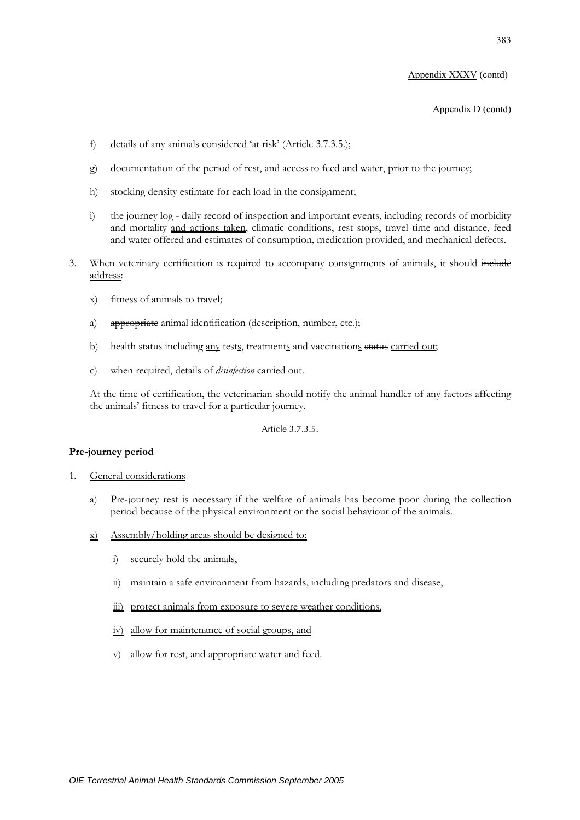# Appendix D (contd)

- f) details of any animals considered 'at risk' (Article 3.7.3.5.);
- g) documentation of the period of rest, and access to feed and water, prior to the journey;
- h) stocking density estimate for each load in the consignment;
- i) the journey log daily record of inspection and important events, including records of morbidity and mortality and actions taken, climatic conditions, rest stops, travel time and distance, feed and water offered and estimates of consumption, medication provided, and mechanical defects.
- 3. When veterinary certification is required to accompany consignments of animals, it should include address:
	- x) fitness of animals to travel;
	- a) appropriate animal identification (description, number, etc.);
	- b) health status including any tests, treatments and vaccinations status carried out;
	- c) when required, details of *disinfection* carried out.

At the time of certification, the veterinarian should notify the animal handler of any factors affecting the animals' fitness to travel for a particular journey.

Article 3.7.3.5.

# **Pre-journey period**

- 1. General considerations
	- a) Pre-journey rest is necessary if the welfare of animals has become poor during the collection period because of the physical environment or the social behaviour of the animals.
	- x) Assembly/holding areas should be designed to:
		- i) securely hold the animals,
		- ii) maintain a safe environment from hazards, including predators and disease,
		- iii) protect animals from exposure to severe weather conditions,
		- iv) allow for maintenance of social groups, and
		- v) allow for rest, and appropriate water and feed.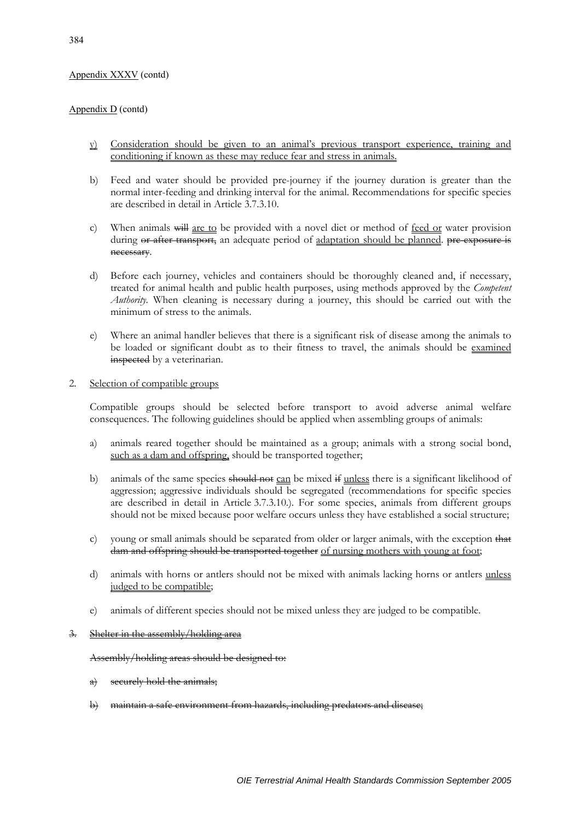### Appendix D (contd)

- y) Consideration should be given to an animal's previous transport experience, training and conditioning if known as these may reduce fear and stress in animals.
- b) Feed and water should be provided pre-journey if the journey duration is greater than the normal inter-feeding and drinking interval for the animal. Recommendations for specific species are described in detail in Article 3.7.3.10.
- c) When animals  $\frac{1}{w+1}$  are to be provided with a novel diet or method of feed or water provision during or after transport, an adequate period of adaptation should be planned. pre-exposure is necessary.
- d) Before each journey, vehicles and containers should be thoroughly cleaned and, if necessary, treated for animal health and public health purposes, using methods approved by the *Competent Authority.* When cleaning is necessary during a journey, this should be carried out with the minimum of stress to the animals.
- e) Where an animal handler believes that there is a significant risk of disease among the animals to be loaded or significant doubt as to their fitness to travel, the animals should be examined inspected by a veterinarian.

#### 2. Selection of compatible groups

Compatible groups should be selected before transport to avoid adverse animal welfare consequences. The following guidelines should be applied when assembling groups of animals:

- a) animals reared together should be maintained as a group; animals with a strong social bond, such as a dam and offspring, should be transported together;
- b) animals of the same species should not can be mixed if unless there is a significant likelihood of aggression; aggressive individuals should be segregated (recommendations for specific species are described in detail in Article 3.7.3.10.). For some species, animals from different groups should not be mixed because poor welfare occurs unless they have established a social structure;
- c) voung or small animals should be separated from older or larger animals, with the exception that dam and offspring should be transported together of nursing mothers with young at foot;
- d) animals with horns or antlers should not be mixed with animals lacking horns or antlers unless judged to be compatible;
- e) animals of different species should not be mixed unless they are judged to be compatible.

# 3. Shelter in the assembly/holding area

Assembly/holding areas should be designed to:

- a) securely hold the animals;
- b) maintain a safe environment from hazards, including predators and disease;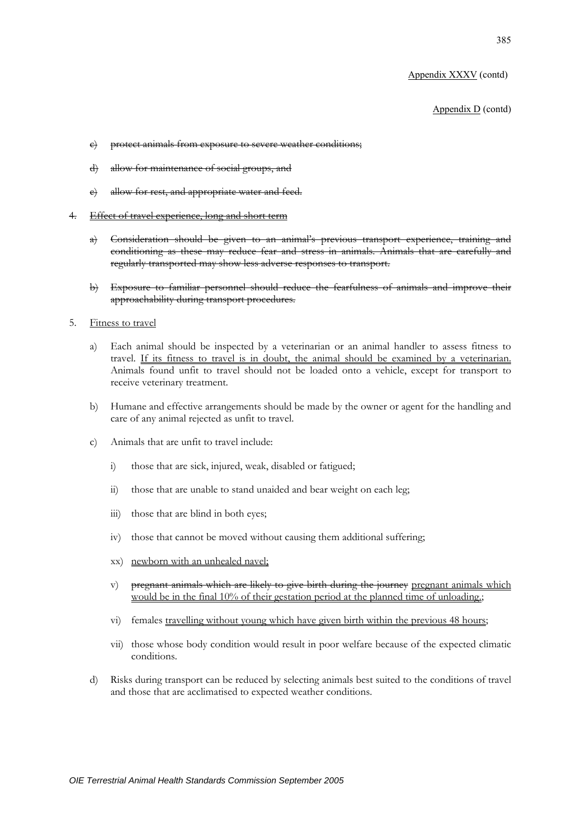Appendix D (contd)

- c) protect animals from exposure to severe weather conditions;
- d) allow for maintenance of social groups, and
- e) allow for rest, and appropriate water and feed.
- 4. Effect of travel experience, long and short term
	- a) Consideration should be given to an animal's previous transport experience, training conditioning as these may reduce fear and stress in animals. Animals that are carefully and regularly transported may show less adverse responses to transport.
	- b) Exposure to familiar personnel should reduce the fearfulness of animals and improve their approachability during transport procedures.
- 5. Fitness to travel
	- a) Each animal should be inspected by a veterinarian or an animal handler to assess fitness to travel. If its fitness to travel is in doubt, the animal should be examined by a veterinarian. Animals found unfit to travel should not be loaded onto a vehicle, except for transport to receive veterinary treatment.
	- b) Humane and effective arrangements should be made by the owner or agent for the handling and care of any animal rejected as unfit to travel.
	- c) Animals that are unfit to travel include:
		- i) those that are sick, injured, weak, disabled or fatigued;
		- ii) those that are unable to stand unaided and bear weight on each leg;
		- iii) those that are blind in both eyes;
		- iv) those that cannot be moved without causing them additional suffering;
		- xx) newborn with an unhealed navel;
		- v) pregnant animals which are likely to give birth during the journey pregnant animals which would be in the final 10% of their gestation period at the planned time of unloading.;
		- vi) females travelling without young which have given birth within the previous 48 hours;
		- vii) those whose body condition would result in poor welfare because of the expected climatic conditions.
	- d) Risks during transport can be reduced by selecting animals best suited to the conditions of travel and those that are acclimatised to expected weather conditions.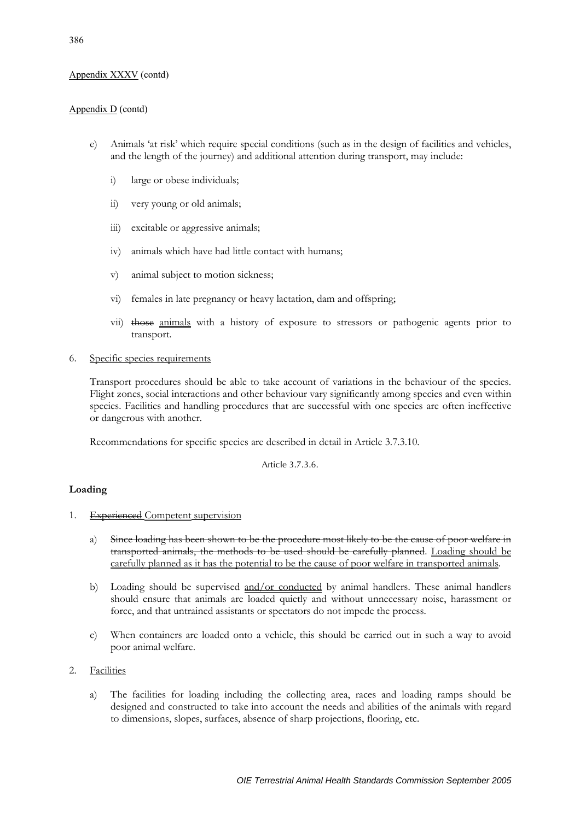### Appendix D (contd)

- e) Animals 'at risk' which require special conditions (such as in the design of facilities and vehicles, and the length of the journey) and additional attention during transport, may include:
	- i) large or obese individuals;
	- ii) very young or old animals;
	- iii) excitable or aggressive animals;
	- iv) animals which have had little contact with humans;
	- v) animal subject to motion sickness;
	- vi) females in late pregnancy or heavy lactation, dam and offspring;
	- vii) those animals with a history of exposure to stressors or pathogenic agents prior to transport.
- 6. Specific species requirements

Transport procedures should be able to take account of variations in the behaviour of the species. Flight zones, social interactions and other behaviour vary significantly among species and even within species. Facilities and handling procedures that are successful with one species are often ineffective or dangerous with another.

Recommendations for specific species are described in detail in Article 3.7.3.10.

Article 3.7.3.6.

#### **Loading**

- 1. Experienced Competent supervision
	- a) Since loading has been shown to be the procedure most likely to be the cause of poor welfare in transported animals, the methods to be used should be carefully planned. Loading should be carefully planned as it has the potential to be the cause of poor welfare in transported animals.
	- b) Loading should be supervised and/or conducted by animal handlers. These animal handlers should ensure that animals are loaded quietly and without unnecessary noise, harassment or force, and that untrained assistants or spectators do not impede the process.
	- c) When containers are loaded onto a vehicle, this should be carried out in such a way to avoid poor animal welfare.
- 2. Facilities
	- a) The facilities for loading including the collecting area, races and loading ramps should be designed and constructed to take into account the needs and abilities of the animals with regard to dimensions, slopes, surfaces, absence of sharp projections, flooring, etc.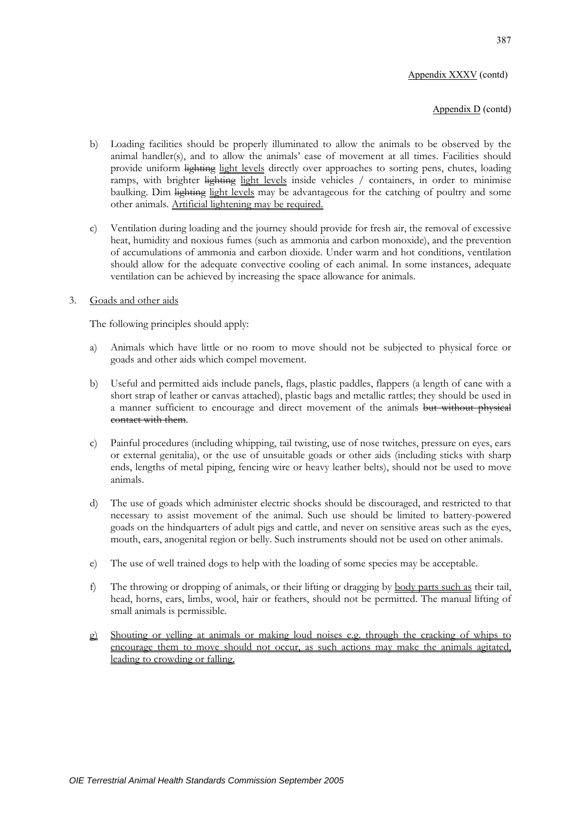## Appendix D (contd)

- b) Loading facilities should be properly illuminated to allow the animals to be observed by the animal handler(s), and to allow the animals' ease of movement at all times. Facilities should provide uniform lighting light levels directly over approaches to sorting pens, chutes, loading ramps, with brighter  $l$  lighting light levels inside vehicles / containers, in order to minimise baulking. Dim lighting light levels may be advantageous for the catching of poultry and some other animals. Artificial lightening may be required.
- c) Ventilation during loading and the journey should provide for fresh air, the removal of excessive heat, humidity and noxious fumes (such as ammonia and carbon monoxide), and the prevention of accumulations of ammonia and carbon dioxide. Under warm and hot conditions, ventilation should allow for the adequate convective cooling of each animal. In some instances, adequate ventilation can be achieved by increasing the space allowance for animals.

### 3. Goads and other aids

The following principles should apply:

- a) Animals which have little or no room to move should not be subjected to physical force or goads and other aids which compel movement.
- b) Useful and permitted aids include panels, flags, plastic paddles, flappers (a length of cane with a short strap of leather or canvas attached), plastic bags and metallic rattles; they should be used in a manner sufficient to encourage and direct movement of the animals but without physical contact with them.
- c) Painful procedures (including whipping, tail twisting, use of nose twitches, pressure on eyes, ears or external genitalia), or the use of unsuitable goads or other aids (including sticks with sharp ends, lengths of metal piping, fencing wire or heavy leather belts), should not be used to move animals.
- d) The use of goads which administer electric shocks should be discouraged, and restricted to that necessary to assist movement of the animal. Such use should be limited to battery-powered goads on the hindquarters of adult pigs and cattle, and never on sensitive areas such as the eyes, mouth, ears, anogenital region or belly. Such instruments should not be used on other animals.
- e) The use of well trained dogs to help with the loading of some species may be acceptable.
- f) The throwing or dropping of animals, or their lifting or dragging by body parts such as their tail, head, horns, ears, limbs, wool, hair or feathers, should not be permitted. The manual lifting of small animals is permissible.
- g) Shouting or yelling at animals or making loud noises e.g. through the cracking of whips to encourage them to move should not occur, as such actions may make the animals agitated, leading to crowding or falling.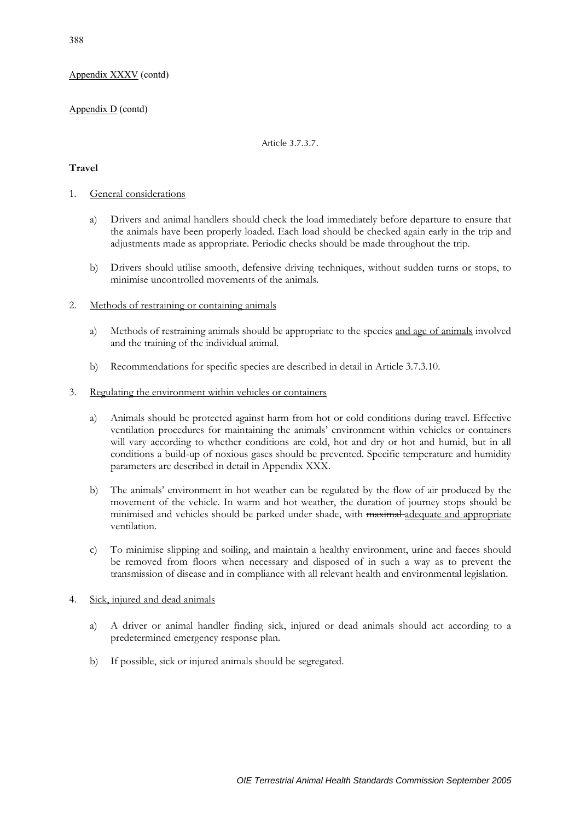## Appendix D (contd)

#### Article 3.7.3.7.

### **Travel**

### 1. General considerations

- a) Drivers and animal handlers should check the load immediately before departure to ensure that the animals have been properly loaded. Each load should be checked again early in the trip and adjustments made as appropriate. Periodic checks should be made throughout the trip.
- b) Drivers should utilise smooth, defensive driving techniques, without sudden turns or stops, to minimise uncontrolled movements of the animals.

#### 2. Methods of restraining or containing animals

- a) Methods of restraining animals should be appropriate to the species and age of animals involved and the training of the individual animal.
- b) Recommendations for specific species are described in detail in Article 3.7.3.10.

#### 3. Regulating the environment within vehicles or containers

- a) Animals should be protected against harm from hot or cold conditions during travel. Effective ventilation procedures for maintaining the animals' environment within vehicles or containers will vary according to whether conditions are cold, hot and dry or hot and humid, but in all conditions a build-up of noxious gases should be prevented. Specific temperature and humidity parameters are described in detail in Appendix XXX.
- b) The animals' environment in hot weather can be regulated by the flow of air produced by the movement of the vehicle. In warm and hot weather, the duration of journey stops should be minimised and vehicles should be parked under shade, with maximal adequate and appropriate ventilation.
- c) To minimise slipping and soiling, and maintain a healthy environment, urine and faeces should be removed from floors when necessary and disposed of in such a way as to prevent the transmission of disease and in compliance with all relevant health and environmental legislation.
- 4. Sick, injured and dead animals
	- a) A driver or animal handler finding sick, injured or dead animals should act according to a predetermined emergency response plan.
	- b) If possible, sick or injured animals should be segregated.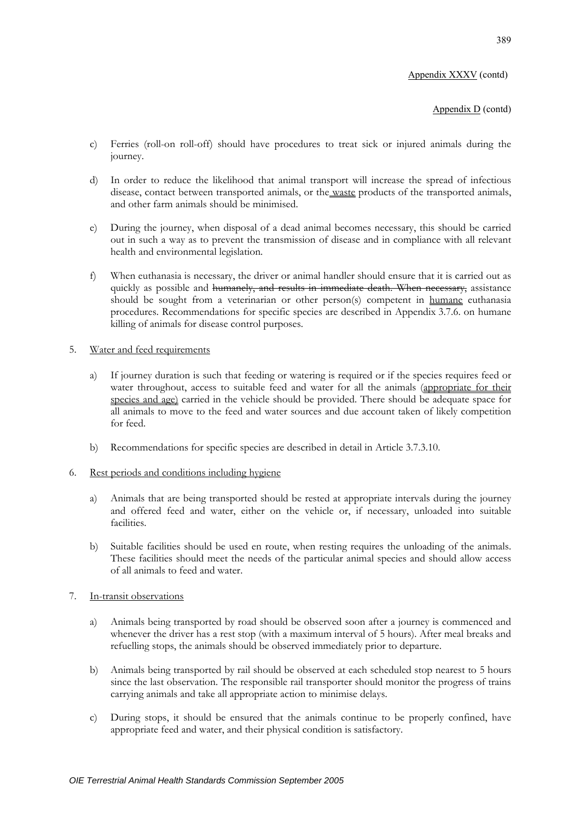# Appendix D (contd)

- c) Ferries (roll-on roll-off) should have procedures to treat sick or injured animals during the journey.
- d) In order to reduce the likelihood that animal transport will increase the spread of infectious disease, contact between transported animals, or the waste products of the transported animals, and other farm animals should be minimised.
- e) During the journey, when disposal of a dead animal becomes necessary, this should be carried out in such a way as to prevent the transmission of disease and in compliance with all relevant health and environmental legislation.
- f) When euthanasia is necessary, the driver or animal handler should ensure that it is carried out as quickly as possible and humanely, and results in immediate death. When necessary, assistance should be sought from a veterinarian or other person(s) competent in humane euthanasia procedures. Recommendations for specific species are described in Appendix 3.7.6. on humane killing of animals for disease control purposes.
- 5. Water and feed requirements
	- a) If journey duration is such that feeding or watering is required or if the species requires feed or water throughout, access to suitable feed and water for all the animals (appropriate for their species and age) carried in the vehicle should be provided. There should be adequate space for all animals to move to the feed and water sources and due account taken of likely competition for feed.
	- b) Recommendations for specific species are described in detail in Article 3.7.3.10.
- 6. Rest periods and conditions including hygiene
	- a) Animals that are being transported should be rested at appropriate intervals during the journey and offered feed and water, either on the vehicle or, if necessary, unloaded into suitable facilities.
	- b) Suitable facilities should be used en route, when resting requires the unloading of the animals. These facilities should meet the needs of the particular animal species and should allow access of all animals to feed and water.
- 7. In-transit observations
	- a) Animals being transported by road should be observed soon after a journey is commenced and whenever the driver has a rest stop (with a maximum interval of 5 hours). After meal breaks and refuelling stops, the animals should be observed immediately prior to departure.
	- b) Animals being transported by rail should be observed at each scheduled stop nearest to 5 hours since the last observation. The responsible rail transporter should monitor the progress of trains carrying animals and take all appropriate action to minimise delays.
	- c) During stops, it should be ensured that the animals continue to be properly confined, have appropriate feed and water, and their physical condition is satisfactory.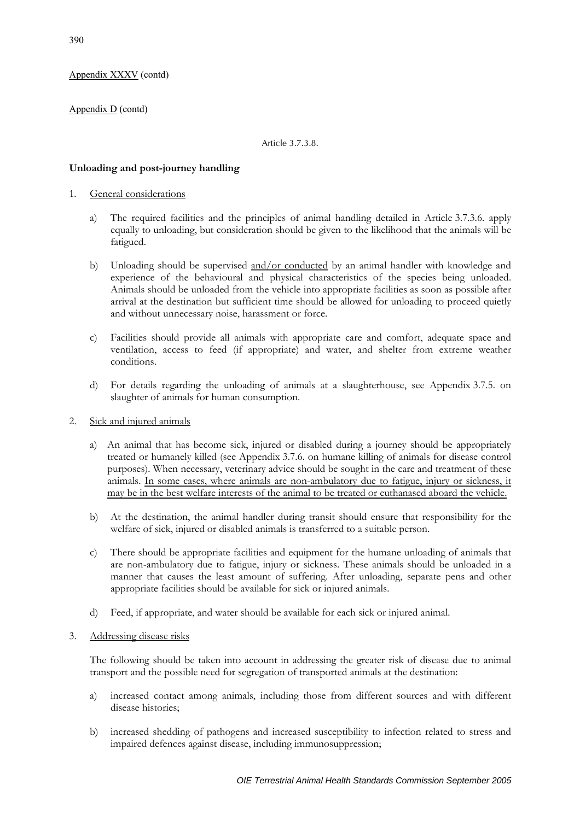Appendix D (contd)

Article 3.7.3.8.

## **Unloading and post-journey handling**

### 1. General considerations

- a) The required facilities and the principles of animal handling detailed in Article 3.7.3.6. apply equally to unloading, but consideration should be given to the likelihood that the animals will be fatigued.
- b) Unloading should be supervised and/or conducted by an animal handler with knowledge and experience of the behavioural and physical characteristics of the species being unloaded. Animals should be unloaded from the vehicle into appropriate facilities as soon as possible after arrival at the destination but sufficient time should be allowed for unloading to proceed quietly and without unnecessary noise, harassment or force.
- c) Facilities should provide all animals with appropriate care and comfort, adequate space and ventilation, access to feed (if appropriate) and water, and shelter from extreme weather conditions.
- d) For details regarding the unloading of animals at a slaughterhouse, see Appendix 3.7.5. on slaughter of animals for human consumption.
- 2. Sick and injured animals
	- a) An animal that has become sick, injured or disabled during a journey should be appropriately treated or humanely killed (see Appendix 3.7.6. on humane killing of animals for disease control purposes). When necessary, veterinary advice should be sought in the care and treatment of these animals. In some cases, where animals are non-ambulatory due to fatigue, injury or sickness, it may be in the best welfare interests of the animal to be treated or euthanased aboard the vehicle.
	- b) At the destination, the animal handler during transit should ensure that responsibility for the welfare of sick, injured or disabled animals is transferred to a suitable person.
	- c) There should be appropriate facilities and equipment for the humane unloading of animals that are non-ambulatory due to fatigue, injury or sickness. These animals should be unloaded in a manner that causes the least amount of suffering. After unloading, separate pens and other appropriate facilities should be available for sick or injured animals.
	- d) Feed, if appropriate, and water should be available for each sick or injured animal.
- 3. Addressing disease risks

The following should be taken into account in addressing the greater risk of disease due to animal transport and the possible need for segregation of transported animals at the destination:

- a) increased contact among animals, including those from different sources and with different disease histories;
- b) increased shedding of pathogens and increased susceptibility to infection related to stress and impaired defences against disease, including immunosuppression;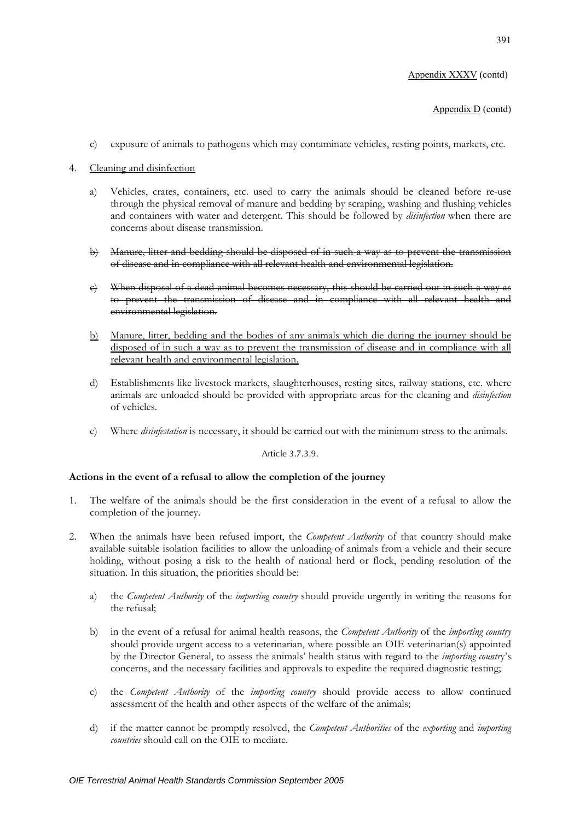# Appendix D (contd)

- c) exposure of animals to pathogens which may contaminate vehicles, resting points, markets, etc.
- 4. Cleaning and disinfection
	- a) Vehicles, crates, containers, etc. used to carry the animals should be cleaned before re-use through the physical removal of manure and bedding by scraping, washing and flushing vehicles and containers with water and detergent. This should be followed by *disinfection* when there are concerns about disease transmission.
	- b) Manure, litter and bedding should be disposed of in such a way as to prevent the transmission of disease and in compliance with all relevant health and environmental legislation.
	- c) When disposal of a dead animal becomes necessary, this should be carried out in such a way as to prevent the transmission of disease and in compliance with all relevant health and environmental legislation.
	- b) Manure, litter, bedding and the bodies of any animals which die during the journey should be disposed of in such a way as to prevent the transmission of disease and in compliance with all relevant health and environmental legislation.
	- d) Establishments like livestock markets, slaughterhouses, resting sites, railway stations, etc. where animals are unloaded should be provided with appropriate areas for the cleaning and *disinfection* of vehicles.
	- e) Where *disinfestation* is necessary, it should be carried out with the minimum stress to the animals.

# Article 3.7.3.9.

# **Actions in the event of a refusal to allow the completion of the journey**

- 1. The welfare of the animals should be the first consideration in the event of a refusal to allow the completion of the journey.
- 2. When the animals have been refused import, the *Competent Authority* of that country should make available suitable isolation facilities to allow the unloading of animals from a vehicle and their secure holding, without posing a risk to the health of national herd or flock, pending resolution of the situation. In this situation, the priorities should be:
	- a) the *Competent Authority* of the *importing country* should provide urgently in writing the reasons for the refusal;
	- b) in the event of a refusal for animal health reasons, the *Competent Authority* of the *importing country* should provide urgent access to a veterinarian, where possible an OIE veterinarian(s) appointed by the Director General, to assess the animals' health status with regard to the *importing countr*y's concerns, and the necessary facilities and approvals to expedite the required diagnostic testing;
	- c) the *Competent Authority* of the *importing country* should provide access to allow continued assessment of the health and other aspects of the welfare of the animals;
	- d) if the matter cannot be promptly resolved, the *Competent Authorities* of the *exporting* and *importing countries* should call on the OIE to mediate.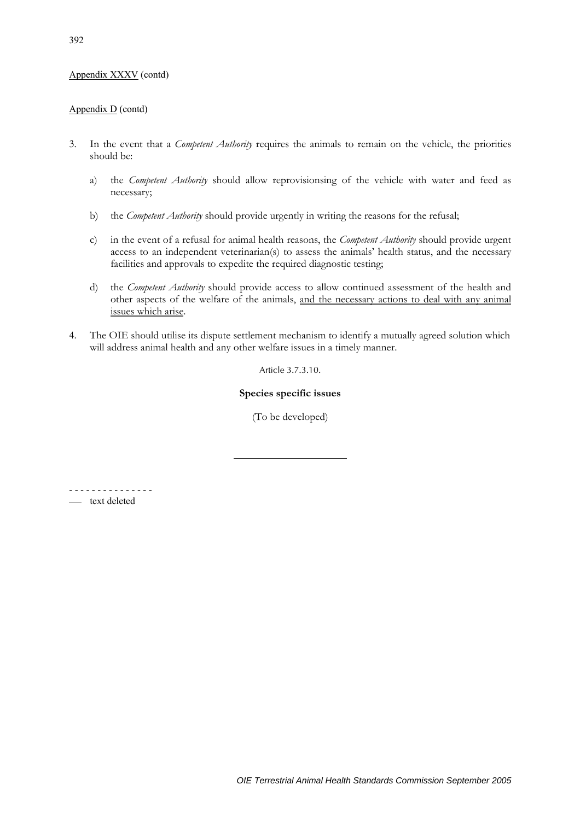### Appendix D (contd)

- 3. In the event that a *Competent Authority* requires the animals to remain on the vehicle, the priorities should be:
	- a) the *Competent Authority* should allow reprovisionsing of the vehicle with water and feed as necessary;
	- b) the *Competent Authority* should provide urgently in writing the reasons for the refusal;
	- c) in the event of a refusal for animal health reasons, the *Competent Authority* should provide urgent access to an independent veterinarian(s) to assess the animals' health status, and the necessary facilities and approvals to expedite the required diagnostic testing;
	- d) the *Competent Authority* should provide access to allow continued assessment of the health and other aspects of the welfare of the animals, and the necessary actions to deal with any animal issues which arise.
- 4. The OIE should utilise its dispute settlement mechanism to identify a mutually agreed solution which will address animal health and any other welfare issues in a timely manner.

Article 3.7.3.10.

### **Species specific issues**

(To be developed)

- - - - - - - - - - - - - - - - text deleted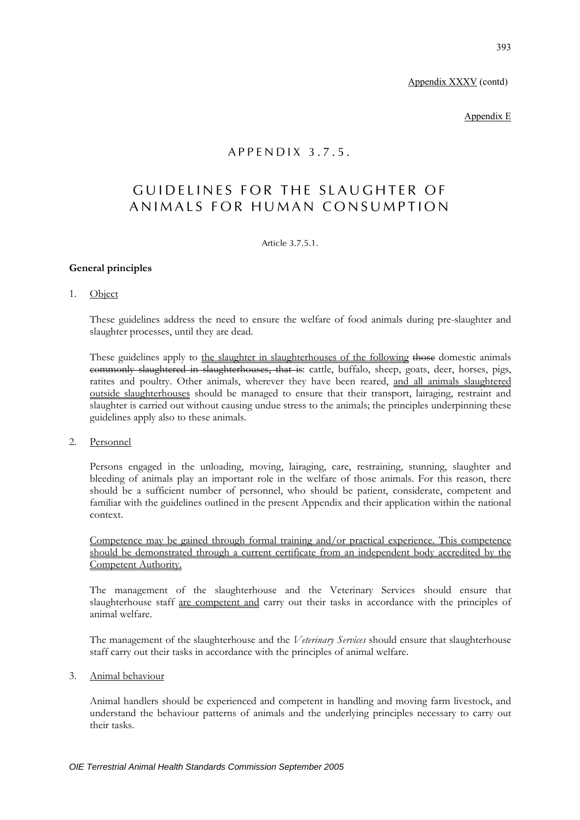Appendix E

# APPENDIX 3.7.5.

# GUIDELINES FOR THE SLAUGHTER OF ANIMALS FOR HUMAN CONSUMPTION

Article 3.7.5.1.

# **General principles**

1. Object

These guidelines address the need to ensure the welfare of food animals during pre-slaughter and slaughter processes, until they are dead.

These guidelines apply to the slaughter in slaughterhouses of the following those domestic animals commonly slaughtered in slaughterhouses, that is: cattle, buffalo, sheep, goats, deer, horses, pigs, ratites and poultry. Other animals, wherever they have been reared, and all animals slaughtered outside slaughterhouses should be managed to ensure that their transport, lairaging, restraint and slaughter is carried out without causing undue stress to the animals; the principles underpinning these guidelines apply also to these animals.

2. Personnel

Persons engaged in the unloading, moving, lairaging, care, restraining, stunning, slaughter and bleeding of animals play an important role in the welfare of those animals. For this reason, there should be a sufficient number of personnel, who should be patient, considerate, competent and familiar with the guidelines outlined in the present Appendix and their application within the national context.

Competence may be gained through formal training and/or practical experience. This competence should be demonstrated through a current certificate from an independent body accredited by the Competent Authority.

The management of the slaughterhouse and the Veterinary Services should ensure that slaughterhouse staff are competent and carry out their tasks in accordance with the principles of animal welfare.

The management of the slaughterhouse and the *Veterinary Services* should ensure that slaughterhouse staff carry out their tasks in accordance with the principles of animal welfare.

3. Animal behaviour

Animal handlers should be experienced and competent in handling and moving farm livestock, and understand the behaviour patterns of animals and the underlying principles necessary to carry out their tasks.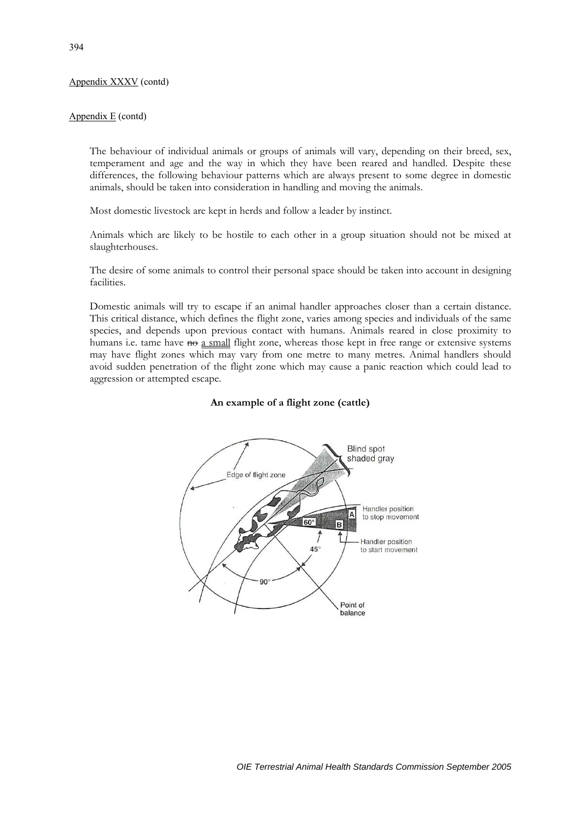#### Appendix  $E$  (contd)

The behaviour of individual animals or groups of animals will vary, depending on their breed, sex, temperament and age and the way in which they have been reared and handled. Despite these differences, the following behaviour patterns which are always present to some degree in domestic animals, should be taken into consideration in handling and moving the animals.

Most domestic livestock are kept in herds and follow a leader by instinct.

Animals which are likely to be hostile to each other in a group situation should not be mixed at slaughterhouses.

The desire of some animals to control their personal space should be taken into account in designing facilities.

Domestic animals will try to escape if an animal handler approaches closer than a certain distance. This critical distance, which defines the flight zone, varies among species and individuals of the same species, and depends upon previous contact with humans. Animals reared in close proximity to humans i.e. tame have  $\theta$  a small flight zone, whereas those kept in free range or extensive systems may have flight zones which may vary from one metre to many metres. Animal handlers should avoid sudden penetration of the flight zone which may cause a panic reaction which could lead to aggression or attempted escape.

### **An example of a flight zone (cattle)**

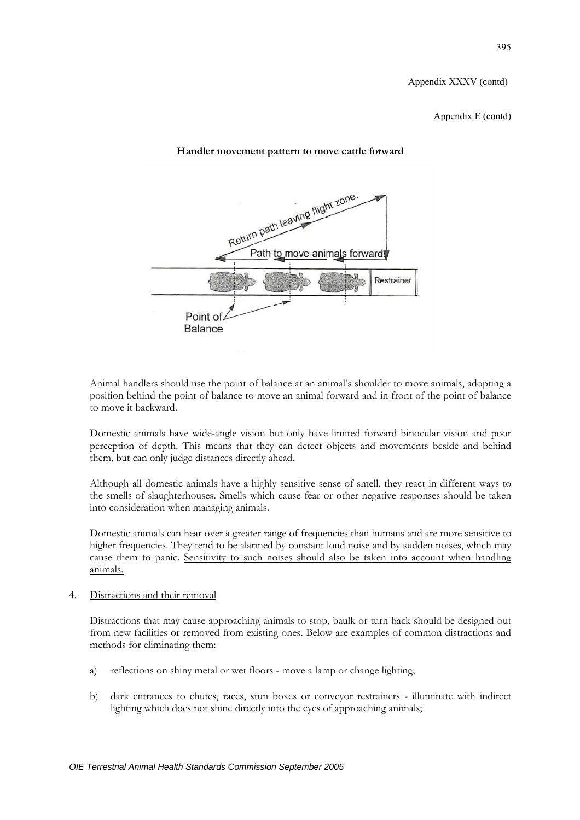### Appendix  $E$  (contd)



### **Handler movement pattern to move cattle forward**

Animal handlers should use the point of balance at an animal's shoulder to move animals, adopting a position behind the point of balance to move an animal forward and in front of the point of balance to move it backward.

Domestic animals have wide-angle vision but only have limited forward binocular vision and poor perception of depth. This means that they can detect objects and movements beside and behind them, but can only judge distances directly ahead.

Although all domestic animals have a highly sensitive sense of smell, they react in different ways to the smells of slaughterhouses. Smells which cause fear or other negative responses should be taken into consideration when managing animals.

Domestic animals can hear over a greater range of frequencies than humans and are more sensitive to higher frequencies. They tend to be alarmed by constant loud noise and by sudden noises, which may cause them to panic. Sensitivity to such noises should also be taken into account when handling animals.

### 4. Distractions and their removal

Distractions that may cause approaching animals to stop, baulk or turn back should be designed out from new facilities or removed from existing ones. Below are examples of common distractions and methods for eliminating them:

- a) reflections on shiny metal or wet floors move a lamp or change lighting;
- b) dark entrances to chutes, races, stun boxes or conveyor restrainers illuminate with indirect lighting which does not shine directly into the eyes of approaching animals;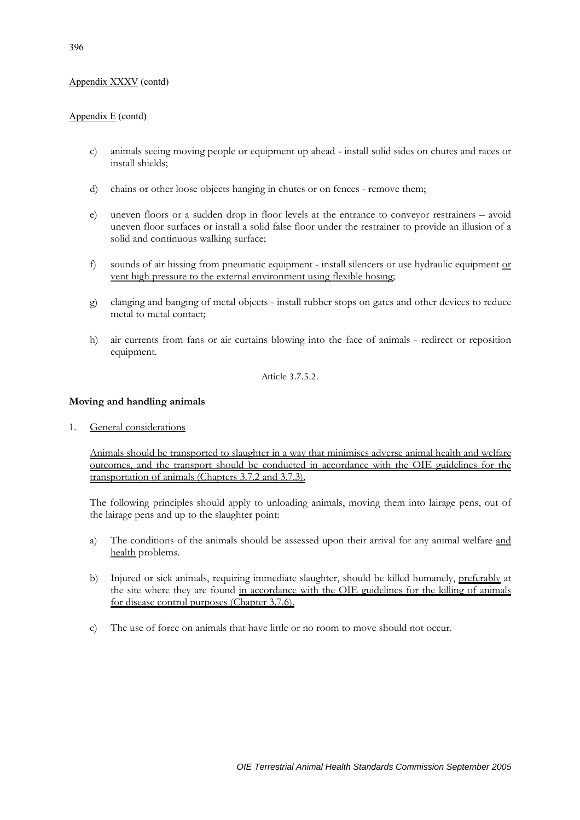#### Appendix  $E$  (contd)

- c) animals seeing moving people or equipment up ahead install solid sides on chutes and races or install shields;
- d) chains or other loose objects hanging in chutes or on fences remove them;
- e) uneven floors or a sudden drop in floor levels at the entrance to conveyor restrainers avoid uneven floor surfaces or install a solid false floor under the restrainer to provide an illusion of a solid and continuous walking surface;
- f) sounds of air hissing from pneumatic equipment install silencers or use hydraulic equipment  $o$ vent high pressure to the external environment using flexible hosing;
- g) clanging and banging of metal objects install rubber stops on gates and other devices to reduce metal to metal contact;
- h) air currents from fans or air curtains blowing into the face of animals redirect or reposition equipment.

Article 3.7.5.2.

#### **Moving and handling animals**

1. General considerations

Animals should be transported to slaughter in a way that minimises adverse animal health and welfare outcomes, and the transport should be conducted in accordance with the OIE guidelines for the transportation of animals (Chapters 3.7.2 and 3.7.3).

The following principles should apply to unloading animals, moving them into lairage pens, out of the lairage pens and up to the slaughter point:

- a) The conditions of the animals should be assessed upon their arrival for any animal welfare and health problems.
- b) Injured or sick animals, requiring immediate slaughter, should be killed humanely, preferably at the site where they are found in accordance with the OIE guidelines for the killing of animals for disease control purposes (Chapter 3.7.6).
- c) The use of force on animals that have little or no room to move should not occur.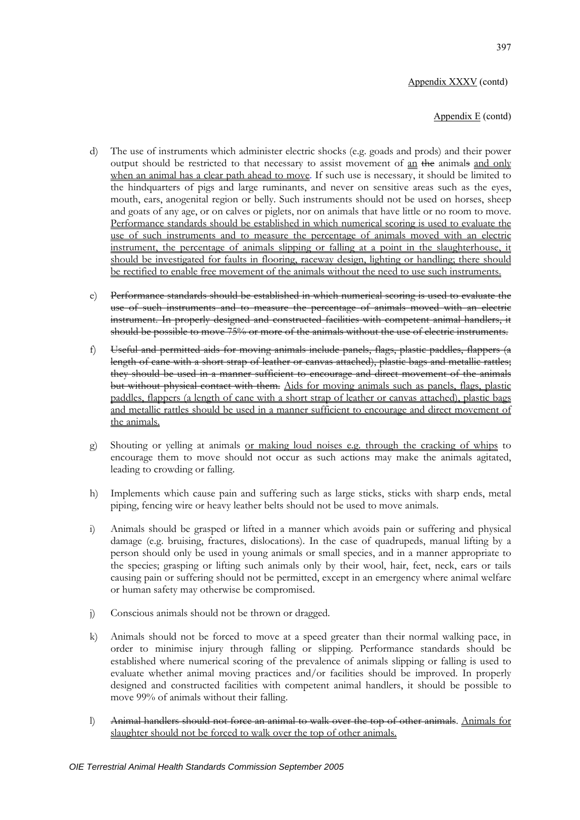# Appendix  $E$  (contd)

- d) The use of instruments which administer electric shocks (e.g. goads and prods) and their power output should be restricted to that necessary to assist movement of an the animals and only when an animal has a clear path ahead to move. If such use is necessary, it should be limited to the hindquarters of pigs and large ruminants, and never on sensitive areas such as the eyes, mouth, ears, anogenital region or belly. Such instruments should not be used on horses, sheep and goats of any age, or on calves or piglets, nor on animals that have little or no room to move. Performance standards should be established in which numerical scoring is used to evaluate the use of such instruments and to measure the percentage of animals moved with an electric instrument, the percentage of animals slipping or falling at a point in the slaughterhouse, it should be investigated for faults in flooring, raceway design, lighting or handling; there should be rectified to enable free movement of the animals without the need to use such instruments.
- e) Performance standards should be established in which numerical scoring is used to evaluate the use of such instruments and to measure the percentage of animals moved with an electric instrument. In properly designed and constructed facilities with competent animal handlers, it should be possible to move 75% or more of the animals without the use of electric instruments.
- f) Useful and permitted aids for moving animals include panels, flags, plastic paddles, flappers (a length of cane with a short strap of leather or canvas attached), plastic bags and metallic rattles; they should be used in a manner sufficient to encourage and direct movement of the animals but without physical contact with them. Aids for moving animals such as panels, flags, plastic paddles, flappers (a length of cane with a short strap of leather or canvas attached), plastic bags and metallic rattles should be used in a manner sufficient to encourage and direct movement of the animals.
- g) Shouting or yelling at animals or making loud noises e.g. through the cracking of whips to encourage them to move should not occur as such actions may make the animals agitated, leading to crowding or falling.
- h) Implements which cause pain and suffering such as large sticks, sticks with sharp ends, metal piping, fencing wire or heavy leather belts should not be used to move animals.
- i) Animals should be grasped or lifted in a manner which avoids pain or suffering and physical damage (e.g. bruising, fractures, dislocations). In the case of quadrupeds, manual lifting by a person should only be used in young animals or small species, and in a manner appropriate to the species; grasping or lifting such animals only by their wool, hair, feet, neck, ears or tails causing pain or suffering should not be permitted, except in an emergency where animal welfare or human safety may otherwise be compromised.
- j) Conscious animals should not be thrown or dragged.
- k) Animals should not be forced to move at a speed greater than their normal walking pace, in order to minimise injury through falling or slipping. Performance standards should be established where numerical scoring of the prevalence of animals slipping or falling is used to evaluate whether animal moving practices and/or facilities should be improved. In properly designed and constructed facilities with competent animal handlers, it should be possible to move 99% of animals without their falling.
- l) Animal handlers should not force an animal to walk over the top of other animals. Animals for slaughter should not be forced to walk over the top of other animals.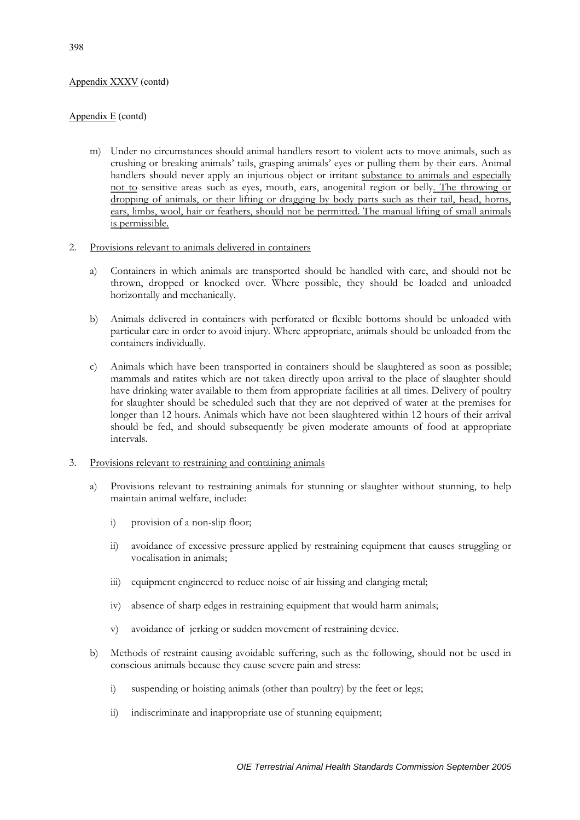### Appendix  $E$  (contd)

m) Under no circumstances should animal handlers resort to violent acts to move animals, such as crushing or breaking animals' tails, grasping animals' eyes or pulling them by their ears. Animal handlers should never apply an injurious object or irritant substance to animals and especially not to sensitive areas such as eyes, mouth, ears, anogenital region or belly. The throwing or dropping of animals, or their lifting or dragging by body parts such as their tail, head, horns, ears, limbs, wool, hair or feathers, should not be permitted. The manual lifting of small animals is permissible.

#### 2. Provisions relevant to animals delivered in containers

- a) Containers in which animals are transported should be handled with care, and should not be thrown, dropped or knocked over. Where possible, they should be loaded and unloaded horizontally and mechanically.
- b) Animals delivered in containers with perforated or flexible bottoms should be unloaded with particular care in order to avoid injury. Where appropriate, animals should be unloaded from the containers individually.
- c) Animals which have been transported in containers should be slaughtered as soon as possible; mammals and ratites which are not taken directly upon arrival to the place of slaughter should have drinking water available to them from appropriate facilities at all times. Delivery of poultry for slaughter should be scheduled such that they are not deprived of water at the premises for longer than 12 hours. Animals which have not been slaughtered within 12 hours of their arrival should be fed, and should subsequently be given moderate amounts of food at appropriate intervals.

#### 3. Provisions relevant to restraining and containing animals

- a) Provisions relevant to restraining animals for stunning or slaughter without stunning, to help maintain animal welfare, include:
	- i) provision of a non-slip floor;
	- ii) avoidance of excessive pressure applied by restraining equipment that causes struggling or vocalisation in animals;
	- iii) equipment engineered to reduce noise of air hissing and clanging metal;
	- iv) absence of sharp edges in restraining equipment that would harm animals;
	- v) avoidance of jerking or sudden movement of restraining device.
- b) Methods of restraint causing avoidable suffering, such as the following, should not be used in conscious animals because they cause severe pain and stress:
	- i) suspending or hoisting animals (other than poultry) by the feet or legs;
	- ii) indiscriminate and inappropriate use of stunning equipment;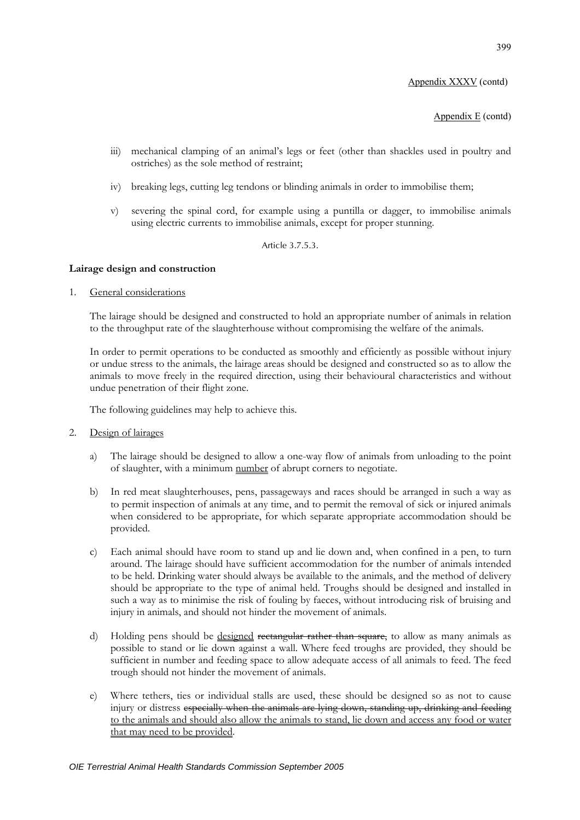# Appendix  $E$  (contd)

- iii) mechanical clamping of an animal's legs or feet (other than shackles used in poultry and ostriches) as the sole method of restraint;
- iv) breaking legs, cutting leg tendons or blinding animals in order to immobilise them;
- v) severing the spinal cord, for example using a puntilla or dagger, to immobilise animals using electric currents to immobilise animals, except for proper stunning.

Article 3.7.5.3.

### **Lairage design and construction**

1. General considerations

The lairage should be designed and constructed to hold an appropriate number of animals in relation to the throughput rate of the slaughterhouse without compromising the welfare of the animals.

In order to permit operations to be conducted as smoothly and efficiently as possible without injury or undue stress to the animals, the lairage areas should be designed and constructed so as to allow the animals to move freely in the required direction, using their behavioural characteristics and without undue penetration of their flight zone.

The following guidelines may help to achieve this.

- 2. Design of lairages
	- a) The lairage should be designed to allow a one-way flow of animals from unloading to the point of slaughter, with a minimum number of abrupt corners to negotiate.
	- b) In red meat slaughterhouses, pens, passageways and races should be arranged in such a way as to permit inspection of animals at any time, and to permit the removal of sick or injured animals when considered to be appropriate, for which separate appropriate accommodation should be provided.
	- c) Each animal should have room to stand up and lie down and, when confined in a pen, to turn around. The lairage should have sufficient accommodation for the number of animals intended to be held. Drinking water should always be available to the animals, and the method of delivery should be appropriate to the type of animal held. Troughs should be designed and installed in such a way as to minimise the risk of fouling by faeces, without introducing risk of bruising and injury in animals, and should not hinder the movement of animals.
	- d) Holding pens should be designed rectangular rather than square, to allow as many animals as possible to stand or lie down against a wall. Where feed troughs are provided, they should be sufficient in number and feeding space to allow adequate access of all animals to feed. The feed trough should not hinder the movement of animals.
	- e) Where tethers, ties or individual stalls are used, these should be designed so as not to cause injury or distress especially when the animals are lying down, standing up, drinking and feeding to the animals and should also allow the animals to stand, lie down and access any food or water that may need to be provided.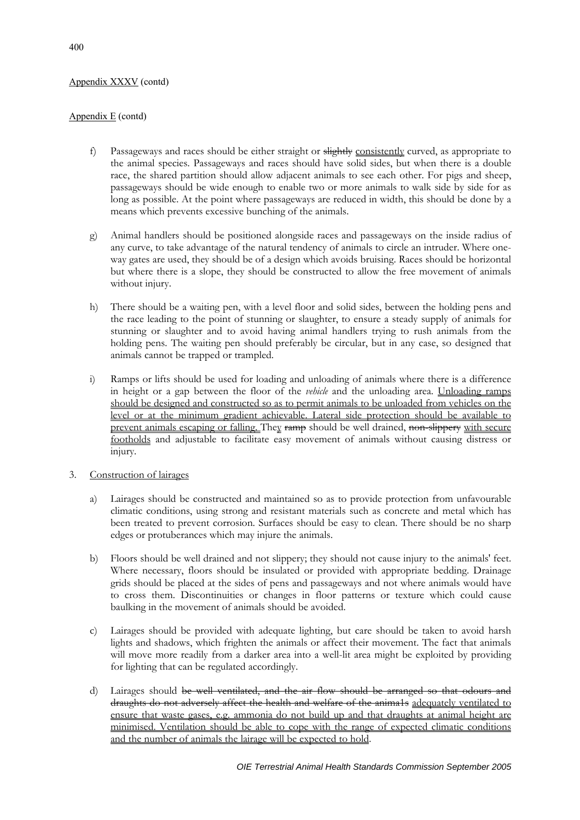# Appendix E (contd)

- f) Passageways and races should be either straight or slightly consistently curved, as appropriate to the animal species. Passageways and races should have solid sides, but when there is a double race, the shared partition should allow adjacent animals to see each other. For pigs and sheep, passageways should be wide enough to enable two or more animals to walk side by side for as long as possible. At the point where passageways are reduced in width, this should be done by a means which prevents excessive bunching of the animals.
- g) Animal handlers should be positioned alongside races and passageways on the inside radius of any curve, to take advantage of the natural tendency of animals to circle an intruder. Where oneway gates are used, they should be of a design which avoids bruising. Races should be horizontal but where there is a slope, they should be constructed to allow the free movement of animals without injury.
- h) There should be a waiting pen, with a level floor and solid sides, between the holding pens and the race leading to the point of stunning or slaughter, to ensure a steady supply of animals for stunning or slaughter and to avoid having animal handlers trying to rush animals from the holding pens. The waiting pen should preferably be circular, but in any case, so designed that animals cannot be trapped or trampled.
- i) Ramps or lifts should be used for loading and unloading of animals where there is a difference in height or a gap between the floor of the *vehicle* and the unloading area. Unloading ramps should be designed and constructed so as to permit animals to be unloaded from vehicles on the level or at the minimum gradient achievable. Lateral side protection should be available to prevent animals escaping or falling. They ramp should be well drained, non-slippery with secure footholds and adjustable to facilitate easy movement of animals without causing distress or injury.
- 3. Construction of lairages
	- a) Lairages should be constructed and maintained so as to provide protection from unfavourable climatic conditions, using strong and resistant materials such as concrete and metal which has been treated to prevent corrosion. Surfaces should be easy to clean. There should be no sharp edges or protuberances which may injure the animals.
	- b) Floors should be well drained and not slippery; they should not cause injury to the animals' feet. Where necessary, floors should be insulated or provided with appropriate bedding. Drainage grids should be placed at the sides of pens and passageways and not where animals would have to cross them. Discontinuities or changes in floor patterns or texture which could cause baulking in the movement of animals should be avoided.
	- c) Lairages should be provided with adequate lighting, but care should be taken to avoid harsh lights and shadows, which frighten the animals or affect their movement. The fact that animals will move more readily from a darker area into a well-lit area might be exploited by providing for lighting that can be regulated accordingly.
	- d) Lairages should be well ventilated, and the air flow should be arranged so that odours and draughts do not adversely affect the health and welfare of the anima1s adequately ventilated to ensure that waste gases, e.g. ammonia do not build up and that draughts at animal height are minimised. Ventilation should be able to cope with the range of expected climatic conditions and the number of animals the lairage will be expected to hold.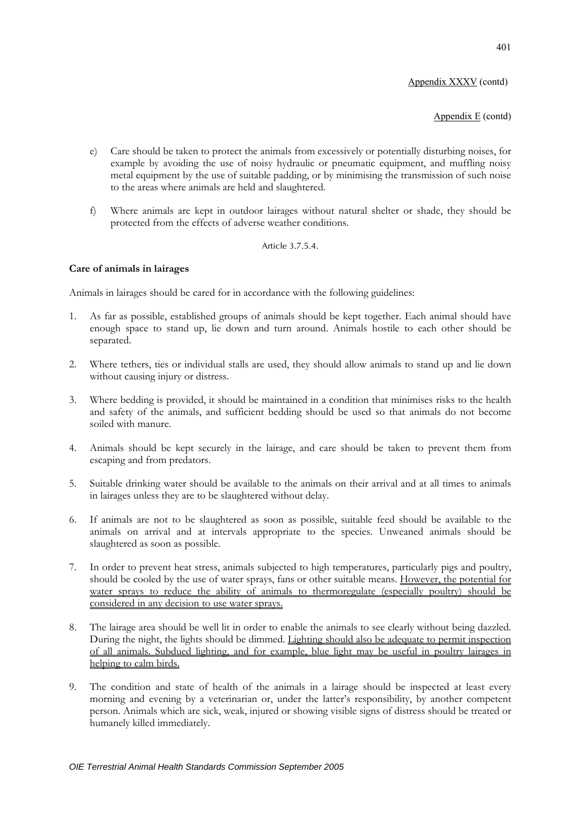## Appendix  $E$  (contd)

- e) Care should be taken to protect the animals from excessively or potentially disturbing noises, for example by avoiding the use of noisy hydraulic or pneumatic equipment, and muffling noisy metal equipment by the use of suitable padding, or by minimising the transmission of such noise to the areas where animals are held and slaughtered.
- f) Where animals are kept in outdoor lairages without natural shelter or shade, they should be protected from the effects of adverse weather conditions.

Article 3.7.5.4.

# **Care of animals in lairages**

Animals in lairages should be cared for in accordance with the following guidelines:

- 1. As far as possible, established groups of animals should be kept together. Each animal should have enough space to stand up, lie down and turn around. Animals hostile to each other should be separated.
- 2. Where tethers, ties or individual stalls are used, they should allow animals to stand up and lie down without causing injury or distress.
- 3. Where bedding is provided, it should be maintained in a condition that minimises risks to the health and safety of the animals, and sufficient bedding should be used so that animals do not become soiled with manure.
- 4. Animals should be kept securely in the lairage, and care should be taken to prevent them from escaping and from predators.
- 5. Suitable drinking water should be available to the animals on their arrival and at all times to animals in lairages unless they are to be slaughtered without delay.
- 6. If animals are not to be slaughtered as soon as possible, suitable feed should be available to the animals on arrival and at intervals appropriate to the species. Unweaned animals should be slaughtered as soon as possible.
- 7. In order to prevent heat stress, animals subjected to high temperatures, particularly pigs and poultry, should be cooled by the use of water sprays, fans or other suitable means. However, the potential for water sprays to reduce the ability of animals to thermoregulate (especially poultry) should be considered in any decision to use water sprays.
- 8. The lairage area should be well lit in order to enable the animals to see clearly without being dazzled. During the night, the lights should be dimmed. Lighting should also be adequate to permit inspection of all animals. Subdued lighting, and for example, blue light may be useful in poultry lairages in helping to calm birds.
- 9. The condition and state of health of the animals in a lairage should be inspected at least every morning and evening by a veterinarian or, under the latter's responsibility, by another competent person. Animals which are sick, weak, injured or showing visible signs of distress should be treated or humanely killed immediately.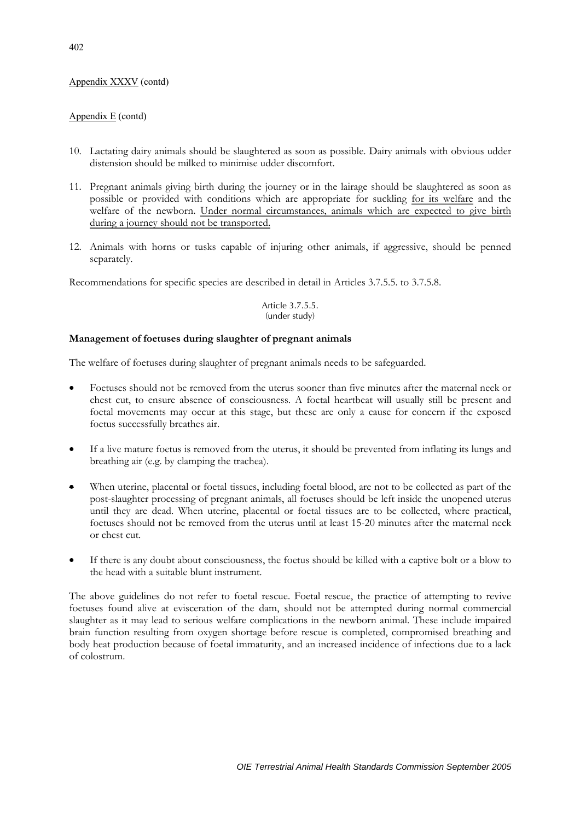# Appendix  $E$  (contd)

- 10. Lactating dairy animals should be slaughtered as soon as possible. Dairy animals with obvious udder distension should be milked to minimise udder discomfort.
- 11. Pregnant animals giving birth during the journey or in the lairage should be slaughtered as soon as possible or provided with conditions which are appropriate for suckling for its welfare and the welfare of the newborn. Under normal circumstances, animals which are expected to give birth during a journey should not be transported.
- 12. Animals with horns or tusks capable of injuring other animals, if aggressive, should be penned separately.

Recommendations for specific species are described in detail in Articles 3.7.5.5. to 3.7.5.8.

#### Article 3.7.5.5. (under study)

# **Management of foetuses during slaughter of pregnant animals**

The welfare of foetuses during slaughter of pregnant animals needs to be safeguarded.

- Foetuses should not be removed from the uterus sooner than five minutes after the maternal neck or chest cut, to ensure absence of consciousness. A foetal heartbeat will usually still be present and foetal movements may occur at this stage, but these are only a cause for concern if the exposed foetus successfully breathes air.
- If a live mature foetus is removed from the uterus, it should be prevented from inflating its lungs and breathing air (e.g. by clamping the trachea).
- When uterine, placental or foetal tissues, including foetal blood, are not to be collected as part of the post-slaughter processing of pregnant animals, all foetuses should be left inside the unopened uterus until they are dead. When uterine, placental or foetal tissues are to be collected, where practical, foetuses should not be removed from the uterus until at least 15-20 minutes after the maternal neck or chest cut.
- If there is any doubt about consciousness, the foetus should be killed with a captive bolt or a blow to the head with a suitable blunt instrument.

The above guidelines do not refer to foetal rescue. Foetal rescue, the practice of attempting to revive foetuses found alive at evisceration of the dam, should not be attempted during normal commercial slaughter as it may lead to serious welfare complications in the newborn animal. These include impaired brain function resulting from oxygen shortage before rescue is completed, compromised breathing and body heat production because of foetal immaturity, and an increased incidence of infections due to a lack of colostrum.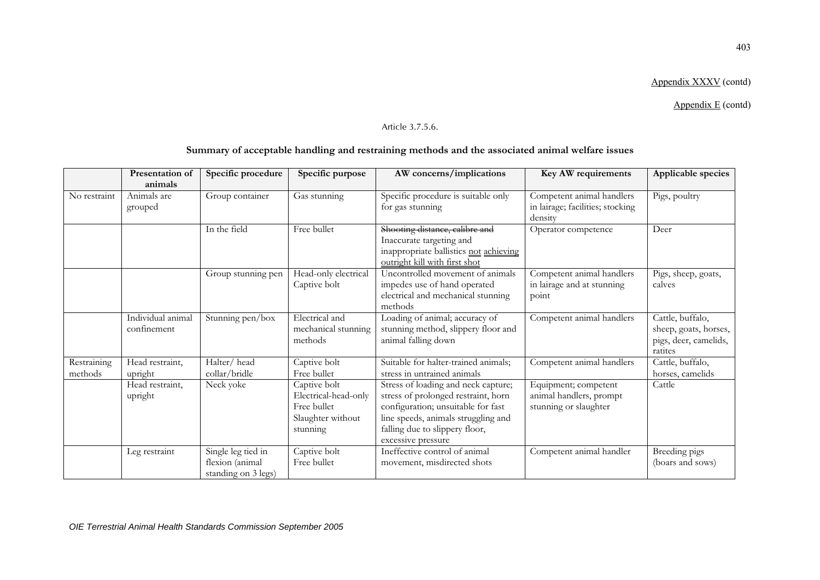Appendix E (contd)

#### Article 3.7.5.6.

# **Summary of acceptable handling and restraining methods and the associated animal welfare issues**

|                        | <b>Presentation of</b><br>animals | Specific procedure                                           | Specific purpose                                                                     | AW concerns/implications                                                                                                                                                                                        | Key AW requirements                                                      | Applicable species                                                            |
|------------------------|-----------------------------------|--------------------------------------------------------------|--------------------------------------------------------------------------------------|-----------------------------------------------------------------------------------------------------------------------------------------------------------------------------------------------------------------|--------------------------------------------------------------------------|-------------------------------------------------------------------------------|
| No restraint           | Animals are<br>grouped            | Group container                                              | Gas stunning                                                                         | Specific procedure is suitable only<br>for gas stunning                                                                                                                                                         | Competent animal handlers<br>in lairage; facilities; stocking<br>density | Pigs, poultry                                                                 |
|                        |                                   | In the field                                                 | Free bullet                                                                          | Shooting distance, calibre and<br>Inaccurate targeting and<br>inappropriate ballistics not achieving<br>outright kill with first shot                                                                           | Operator competence                                                      | Deer                                                                          |
|                        |                                   | Group stunning pen                                           | Head-only electrical<br>Captive bolt                                                 | Uncontrolled movement of animals<br>impedes use of hand operated<br>electrical and mechanical stunning<br>methods                                                                                               | Competent animal handlers<br>in lairage and at stunning<br>point         | Pigs, sheep, goats,<br>calves                                                 |
|                        | Individual animal<br>confinement  | Stunning pen/box                                             | Electrical and<br>mechanical stunning<br>methods                                     | Loading of animal; accuracy of<br>stunning method, slippery floor and<br>animal falling down                                                                                                                    | Competent animal handlers                                                | Cattle, buffalo,<br>sheep, goats, horses,<br>pigs, deer, camelids,<br>ratites |
| Restraining<br>methods | Head restraint,<br>upright        | Halter/head<br>collar/bridle                                 | Captive bolt<br>Free bullet                                                          | Suitable for halter-trained animals;<br>stress in untrained animals                                                                                                                                             | Competent animal handlers                                                | Cattle, buffalo,<br>horses, camelids                                          |
|                        | Head restraint,<br>upright        | Neck yoke                                                    | Captive bolt<br>Electrical-head-only<br>Free bullet<br>Slaughter without<br>stunning | Stress of loading and neck capture;<br>stress of prolonged restraint, horn<br>configuration; unsuitable for fast<br>line speeds, animals struggling and<br>falling due to slippery floor,<br>excessive pressure | Equipment; competent<br>animal handlers, prompt<br>stunning or slaughter | Cattle                                                                        |
|                        | Leg restraint                     | Single leg tied in<br>flexion (animal<br>standing on 3 legs) | Captive bolt<br>Free bullet                                                          | Ineffective control of animal<br>movement, misdirected shots                                                                                                                                                    | Competent animal handler                                                 | Breeding pigs<br>(boars and sows)                                             |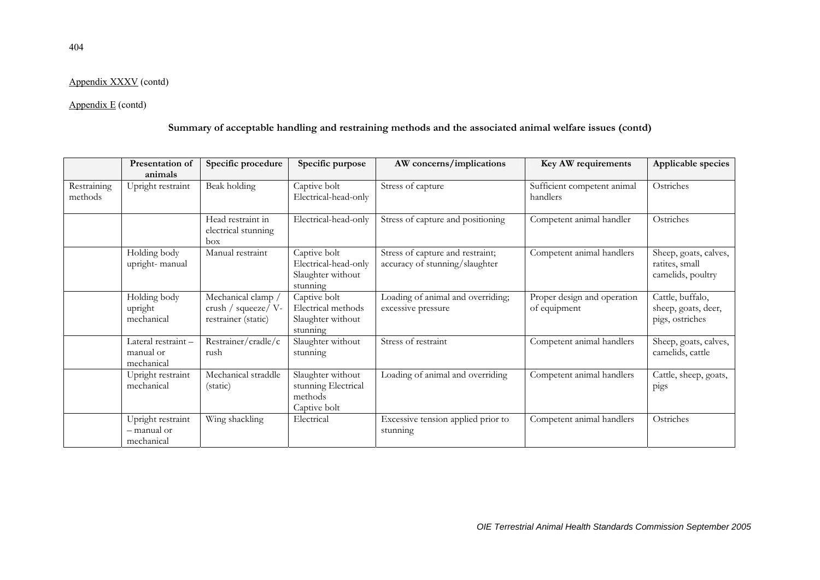# Appendix E (contd)

# **Summary of acceptable handling and restraining methods and the associated animal welfare issues (contd)**

|                        | Presentation of<br>animals                     | Specific procedure                                             | Specific purpose                                                      | AW concerns/implications                                           | Key AW requirements                         | Applicable species                                           |
|------------------------|------------------------------------------------|----------------------------------------------------------------|-----------------------------------------------------------------------|--------------------------------------------------------------------|---------------------------------------------|--------------------------------------------------------------|
| Restraining<br>methods | Upright restraint                              | Beak holding                                                   | Captive bolt<br>Electrical-head-only                                  | Stress of capture                                                  | Sufficient competent animal<br>handlers     | Ostriches                                                    |
|                        |                                                | Head restraint in<br>electrical stunning<br>box                | Electrical-head-only                                                  | Stress of capture and positioning                                  | Competent animal handler                    | Ostriches                                                    |
|                        | Holding body<br>upright-manual                 | Manual restraint                                               | Captive bolt<br>Electrical-head-only<br>Slaughter without<br>stunning | Stress of capture and restraint;<br>accuracy of stunning/slaughter | Competent animal handlers                   | Sheep, goats, calves,<br>ratites, small<br>camelids, poultry |
|                        | Holding body<br>upright<br>mechanical          | Mechanical clamp<br>crush / squeeze/ V-<br>restrainer (static) | Captive bolt<br>Electrical methods<br>Slaughter without<br>stunning   | Loading of animal and overriding;<br>excessive pressure            | Proper design and operation<br>of equipment | Cattle, buffalo,<br>sheep, goats, deer,<br>pigs, ostriches   |
|                        | Lateral restraint-<br>manual or<br>mechanical  | Restrainer/cradle/c<br>rush                                    | Slaughter without<br>stunning                                         | Stress of restraint                                                | Competent animal handlers                   | Sheep, goats, calves,<br>camelids, cattle                    |
|                        | Upright restraint<br>mechanical                | Mechanical straddle<br>(static)                                | Slaughter without<br>stunning Electrical<br>methods<br>Captive bolt   | Loading of animal and overriding                                   | Competent animal handlers                   | Cattle, sheep, goats,<br>pigs                                |
|                        | Upright restraint<br>- manual or<br>mechanical | Wing shackling                                                 | Electrical                                                            | Excessive tension applied prior to<br>stunning                     | Competent animal handlers                   | Ostriches                                                    |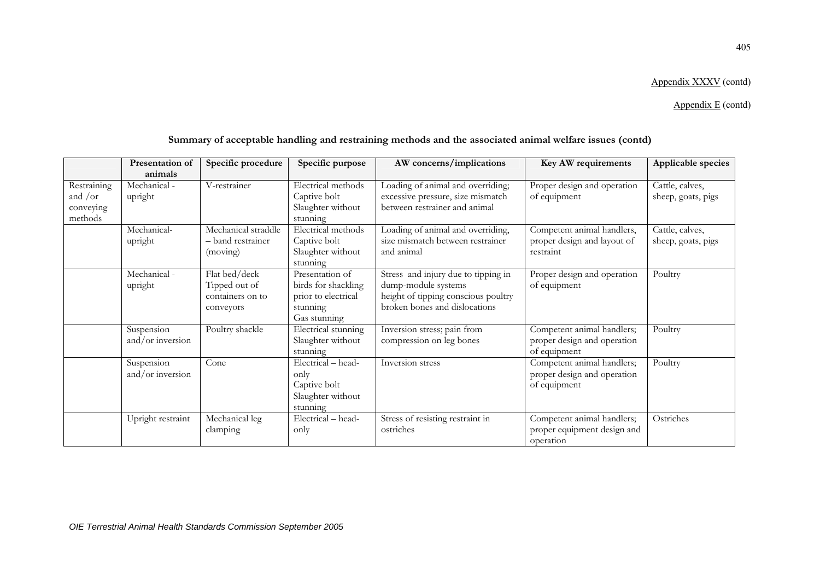# Appendix E (contd)

|                | <b>Presentation of</b> | Specific procedure  | Specific purpose    | AW concerns/implications            | Key AW requirements         | Applicable species |
|----------------|------------------------|---------------------|---------------------|-------------------------------------|-----------------------------|--------------------|
|                | animals                |                     |                     |                                     |                             |                    |
| Restraining    | Mechanical -           | V-restrainer        | Electrical methods  | Loading of animal and overriding;   | Proper design and operation | Cattle, calves,    |
| and / $\sigma$ | upright                |                     | Captive bolt        | excessive pressure, size mismatch   | of equipment                | sheep, goats, pigs |
| conveying      |                        |                     | Slaughter without   | between restrainer and animal       |                             |                    |
| methods        |                        |                     | stunning            |                                     |                             |                    |
|                | Mechanical-            | Mechanical straddle | Electrical methods  | Loading of animal and overriding,   | Competent animal handlers,  | Cattle, calves,    |
|                | upright                | - band restrainer   | Captive bolt        | size mismatch between restrainer    | proper design and layout of | sheep, goats, pigs |
|                |                        | (moving)            | Slaughter without   | and animal                          | restraint                   |                    |
|                |                        |                     | stunning            |                                     |                             |                    |
|                | Mechanical -           | Flat bed/deck       | Presentation of     | Stress and injury due to tipping in | Proper design and operation | Poultry            |
|                | upright                | Tipped out of       | birds for shackling | dump-module systems                 | of equipment                |                    |
|                |                        | containers on to    | prior to electrical | height of tipping conscious poultry |                             |                    |
|                |                        | conveyors           | stunning            | broken bones and dislocations       |                             |                    |
|                |                        |                     | Gas stunning        |                                     |                             |                    |
|                | Suspension             | Poultry shackle     | Electrical stunning | Inversion stress; pain from         | Competent animal handlers;  | Poultry            |
|                | and/or inversion       |                     | Slaughter without   | compression on leg bones            | proper design and operation |                    |
|                |                        |                     | stunning            |                                     | of equipment                |                    |
|                | Suspension             | Cone                | Electrical - head-  | Inversion stress                    | Competent animal handlers;  | Poultry            |
|                | and/or inversion       |                     | only                |                                     | proper design and operation |                    |
|                |                        |                     | Captive bolt        |                                     | of equipment                |                    |
|                |                        |                     | Slaughter without   |                                     |                             |                    |
|                |                        |                     | stunning            |                                     |                             |                    |
|                | Upright restraint      | Mechanical leg      | Electrical - head-  | Stress of resisting restraint in    | Competent animal handlers;  | Ostriches          |
|                |                        | clamping            | only                | ostriches                           | proper equipment design and |                    |
|                |                        |                     |                     |                                     | operation                   |                    |

# **Summary of acceptable handling and restraining methods and the associated animal welfare issues (contd)**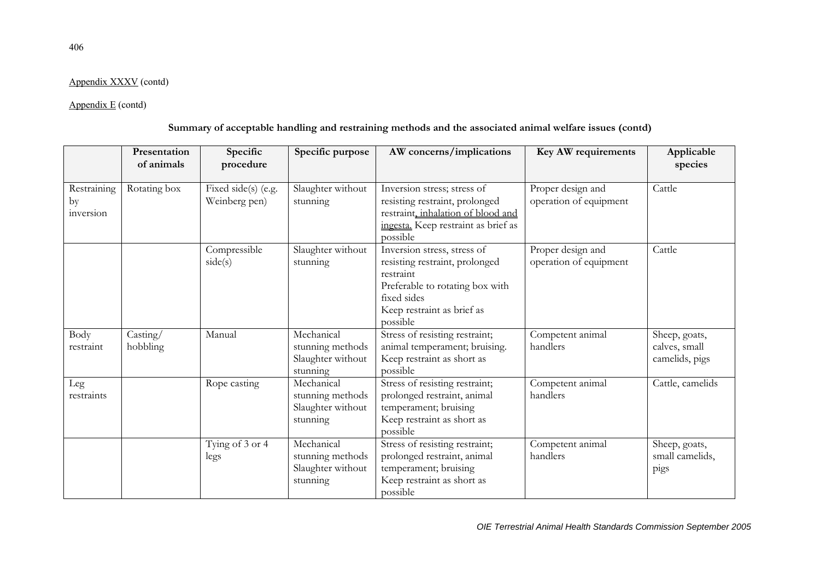# Appendix E (contd)

# **Summary of acceptable handling and restraining methods and the associated animal welfare issues (contd)**

|                                | Presentation<br>of animals | Specific<br>procedure                | Specific purpose                                                | AW concerns/implications                                                                                                                                               | Key AW requirements                         | Applicable<br>species                            |
|--------------------------------|----------------------------|--------------------------------------|-----------------------------------------------------------------|------------------------------------------------------------------------------------------------------------------------------------------------------------------------|---------------------------------------------|--------------------------------------------------|
| Restraining<br>by<br>inversion | Rotating box               | Fixed side(s) (e.g.<br>Weinberg pen) | Slaughter without<br>stunning                                   | Inversion stress; stress of<br>resisting restraint, prolonged<br>restraint, inhalation of blood and<br>ingesta. Keep restraint as brief as<br>possible                 | Proper design and<br>operation of equipment | Cattle                                           |
|                                |                            | Compressible<br>side(s)              | Slaughter without<br>stunning                                   | Inversion stress, stress of<br>resisting restraint, prolonged<br>restraint<br>Preferable to rotating box with<br>fixed sides<br>Keep restraint as brief as<br>possible | Proper design and<br>operation of equipment | Cattle                                           |
| Body<br>restraint              | Casting/<br>hobbling       | Manual                               | Mechanical<br>stunning methods<br>Slaughter without<br>stunning | Stress of resisting restraint;<br>animal temperament; bruising.<br>Keep restraint as short as<br>possible                                                              | Competent animal<br>handlers                | Sheep, goats,<br>calves, small<br>camelids, pigs |
| Leg<br>restraints              |                            | Rope casting                         | Mechanical<br>stunning methods<br>Slaughter without<br>stunning | Stress of resisting restraint;<br>prolonged restraint, animal<br>temperament; bruising<br>Keep restraint as short as<br>possible                                       | Competent animal<br>handlers                | Cattle, camelids                                 |
|                                |                            | Tying of 3 or 4<br>legs              | Mechanical<br>stunning methods<br>Slaughter without<br>stunning | Stress of resisting restraint;<br>prolonged restraint, animal<br>temperament; bruising<br>Keep restraint as short as<br>possible                                       | Competent animal<br>handlers                | Sheep, goats,<br>small camelids,<br>pigs         |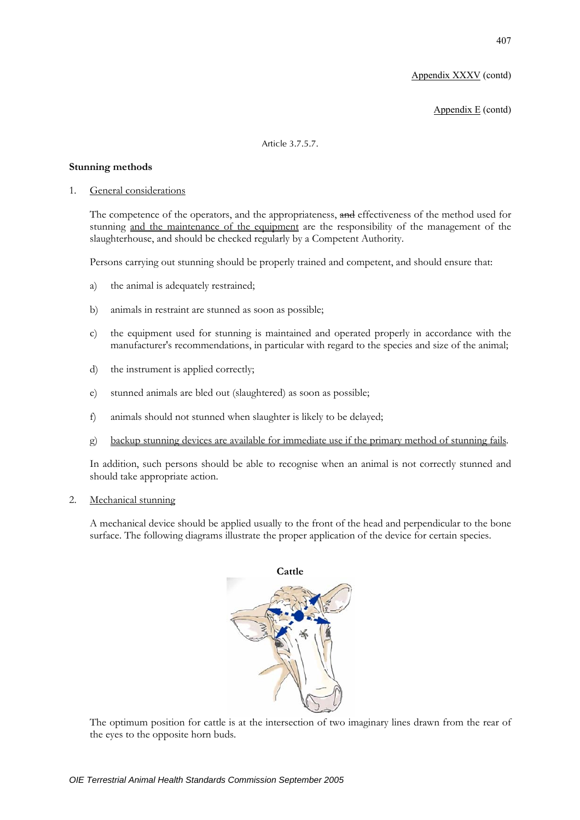Appendix E (contd)

### Article 3.7.5.7.

### **Stunning methods**

### 1. General considerations

The competence of the operators, and the appropriateness, and effectiveness of the method used for stunning and the maintenance of the equipment are the responsibility of the management of the slaughterhouse, and should be checked regularly by a Competent Authority.

Persons carrying out stunning should be properly trained and competent, and should ensure that:

- a) the animal is adequately restrained;
- b) animals in restraint are stunned as soon as possible;
- c) the equipment used for stunning is maintained and operated properly in accordance with the manufacturer's recommendations, in particular with regard to the species and size of the animal;
- d) the instrument is applied correctly;
- e) stunned animals are bled out (slaughtered) as soon as possible;
- f) animals should not stunned when slaughter is likely to be delayed;
- g) backup stunning devices are available for immediate use if the primary method of stunning fails.

In addition, such persons should be able to recognise when an animal is not correctly stunned and should take appropriate action.

#### 2. Mechanical stunning

A mechanical device should be applied usually to the front of the head and perpendicular to the bone surface. The following diagrams illustrate the proper application of the device for certain species.



The optimum position for cattle is at the intersection of two imaginary lines drawn from the rear of the eyes to the opposite horn buds.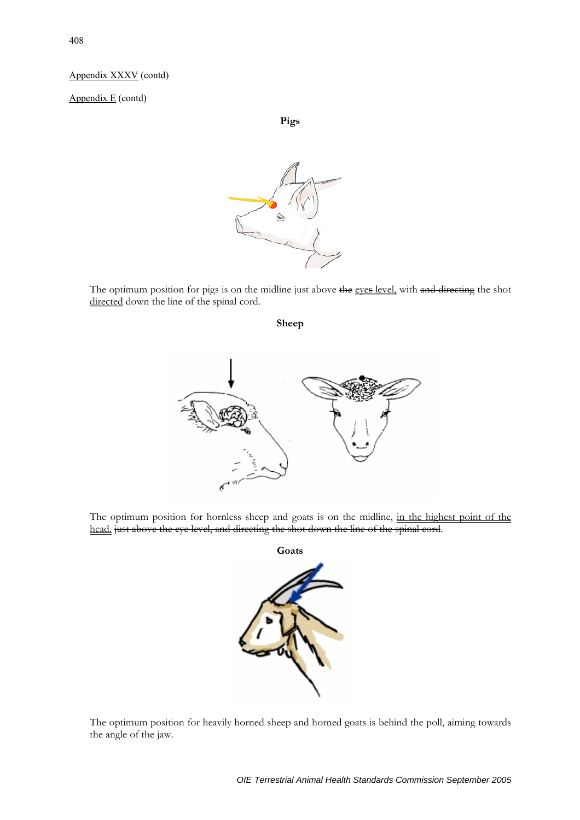Appendix E (contd)

#### **Pigs**



The optimum position for pigs is on the midline just above the eyes level, with and directing the shot directed down the line of the spinal cord.

#### **Sheep**



The optimum position for hornless sheep and goats is on the midline, in the highest point of the head. just above the eye level, and directing the shot down the line of the spinal cord.



The optimum position for heavily horned sheep and horned goats is behind the poll, aiming towards the angle of the jaw.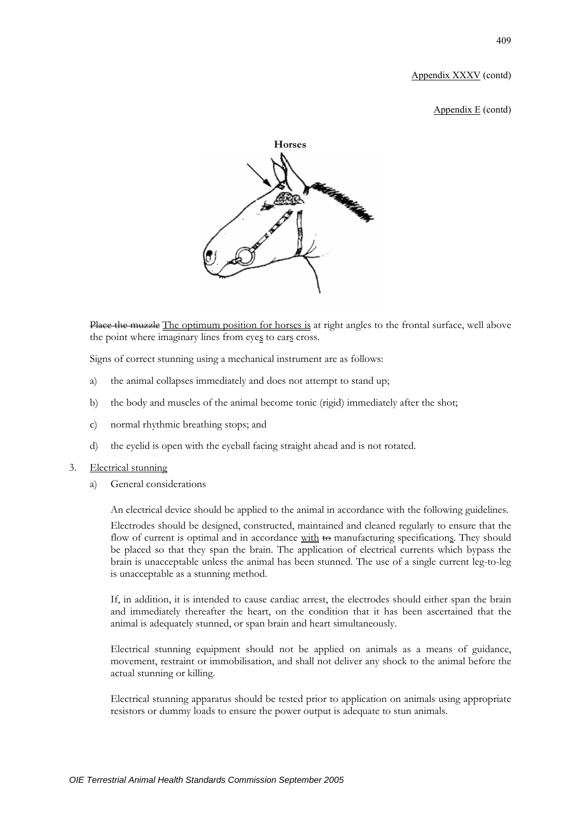Appendix E (contd)



Place the muzzle The optimum position for horses is at right angles to the frontal surface, well above the point where imaginary lines from eyes to ears cross.

Signs of correct stunning using a mechanical instrument are as follows:

- a) the animal collapses immediately and does not attempt to stand up;
- b) the body and muscles of the animal become tonic (rigid) immediately after the shot;
- c) normal rhythmic breathing stops; and
- d) the eyelid is open with the eyeball facing straight ahead and is not rotated.

#### 3. Electrical stunning

a) General considerations

An electrical device should be applied to the animal in accordance with the following guidelines.

Electrodes should be designed, constructed, maintained and cleaned regularly to ensure that the flow of current is optimal and in accordance with to manufacturing specifications. They should be placed so that they span the brain. The application of electrical currents which bypass the brain is unacceptable unless the animal has been stunned. The use of a single current leg-to-leg is unacceptable as a stunning method.

If, in addition, it is intended to cause cardiac arrest, the electrodes should either span the brain and immediately thereafter the heart, on the condition that it has been ascertained that the animal is adequately stunned, or span brain and heart simultaneously.

Electrical stunning equipment should not be applied on animals as a means of guidance, movement, restraint or immobilisation, and shall not deliver any shock to the animal before the actual stunning or killing.

Electrical stunning apparatus should be tested prior to application on animals using appropriate resistors or dummy loads to ensure the power output is adequate to stun animals.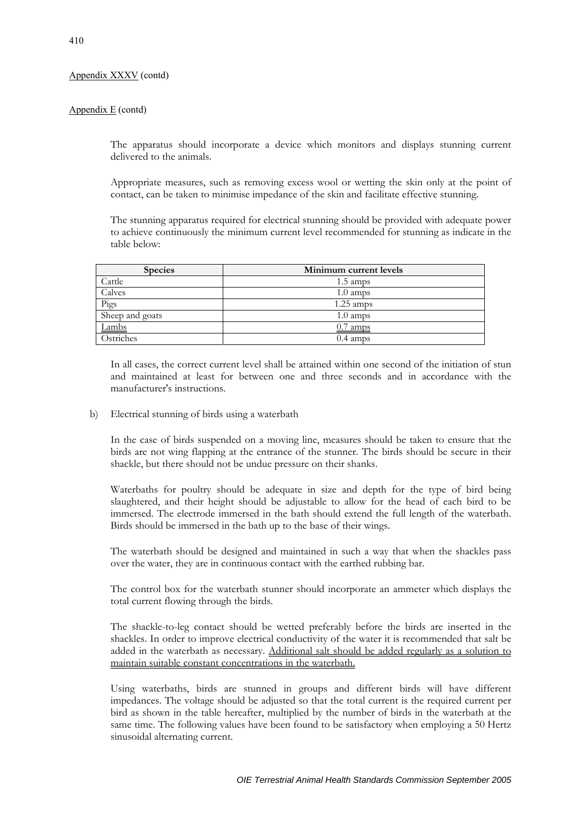### Appendix E (contd)

The apparatus should incorporate a device which monitors and displays stunning current delivered to the animals.

Appropriate measures, such as removing excess wool or wetting the skin only at the point of contact, can be taken to minimise impedance of the skin and facilitate effective stunning.

The stunning apparatus required for electrical stunning should be provided with adequate power to achieve continuously the minimum current level recommended for stunning as indicate in the table below:

| <b>Species</b>  | Minimum current levels |
|-----------------|------------------------|
| Cattle          | $1.5 \text{ amps}$     |
| Calves          | $1.0 \text{ amps}$     |
| Pigs            | $1.25 \text{ amps}$    |
| Sheep and goats | $1.0 \text{ amps}$     |
| Lambs           | $0.7 \text{ amps}$     |
| Ostriches       | $0.4 \text{ amps}$     |

In all cases, the correct current level shall be attained within one second of the initiation of stun and maintained at least for between one and three seconds and in accordance with the manufacturer's instructions.

b) Electrical stunning of birds using a waterbath

In the case of birds suspended on a moving line, measures should be taken to ensure that the birds are not wing flapping at the entrance of the stunner. The birds should be secure in their shackle, but there should not be undue pressure on their shanks.

Waterbaths for poultry should be adequate in size and depth for the type of bird being slaughtered, and their height should be adjustable to allow for the head of each bird to be immersed. The electrode immersed in the bath should extend the full length of the waterbath. Birds should be immersed in the bath up to the base of their wings.

The waterbath should be designed and maintained in such a way that when the shackles pass over the water, they are in continuous contact with the earthed rubbing bar.

The control box for the waterbath stunner should incorporate an ammeter which displays the total current flowing through the birds.

The shackle-to-leg contact should be wetted preferably before the birds are inserted in the shackles. In order to improve electrical conductivity of the water it is recommended that salt be added in the waterbath as necessary. Additional salt should be added regularly as a solution to maintain suitable constant concentrations in the waterbath.

Using waterbaths, birds are stunned in groups and different birds will have different impedances. The voltage should be adjusted so that the total current is the required current per bird as shown in the table hereafter, multiplied by the number of birds in the waterbath at the same time. The following values have been found to be satisfactory when employing a 50 Hertz sinusoidal alternating current.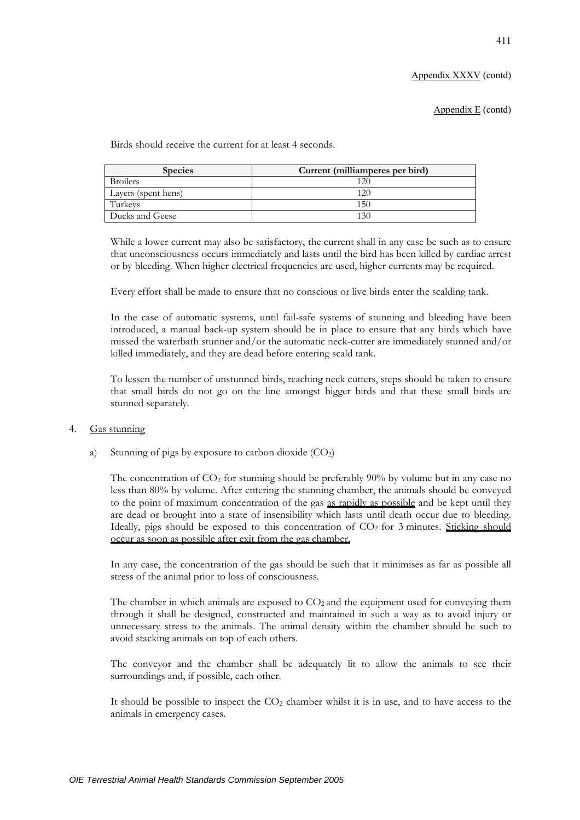# Appendix E (contd)

Birds should receive the current for at least 4 seconds.

| <b>Species</b>      | Current (milliamperes per bird) |
|---------------------|---------------------------------|
| <b>Broilers</b>     | 120                             |
| Layers (spent hens) | 120                             |
| Turkeys             | 150                             |
| Ducks and Geese     | 130                             |

While a lower current may also be satisfactory, the current shall in any case be such as to ensure that unconsciousness occurs immediately and lasts until the bird has been killed by cardiac arrest or by bleeding. When higher electrical frequencies are used, higher currents may be required.

Every effort shall be made to ensure that no conscious or live birds enter the scalding tank.

In the case of automatic systems, until fail-safe systems of stunning and bleeding have been introduced, a manual back-up system should be in place to ensure that any birds which have missed the waterbath stunner and/or the automatic neck-cutter are immediately stunned and/or killed immediately, and they are dead before entering scald tank.

To lessen the number of unstunned birds, reaching neck cutters, steps should be taken to ensure that small birds do not go on the line amongst bigger birds and that these small birds are stunned separately.

- 4. Gas stunning
	- a) Stunning of pigs by exposure to carbon dioxide (CO2)

The concentration of  $CO<sub>2</sub>$  for stunning should be preferably 90% by volume but in any case no less than 80% by volume. After entering the stunning chamber, the animals should be conveyed to the point of maximum concentration of the gas as rapidly as possible and be kept until they are dead or brought into a state of insensibility which lasts until death occur due to bleeding. Ideally, pigs should be exposed to this concentration of  $CO<sub>2</sub>$  for 3 minutes. Sticking should occur as soon as possible after exit from the gas chamber.

In any case, the concentration of the gas should be such that it minimises as far as possible all stress of the animal prior to loss of consciousness.

The chamber in which animals are exposed to  $CO<sub>2</sub>$  and the equipment used for conveying them through it shall be designed, constructed and maintained in such a way as to avoid injury or unnecessary stress to the animals. The animal density within the chamber should be such to avoid stacking animals on top of each others.

The conveyor and the chamber shall be adequately lit to allow the animals to see their surroundings and, if possible, each other.

It should be possible to inspect the  $CO<sub>2</sub>$  chamber whilst it is in use, and to have access to the animals in emergency cases.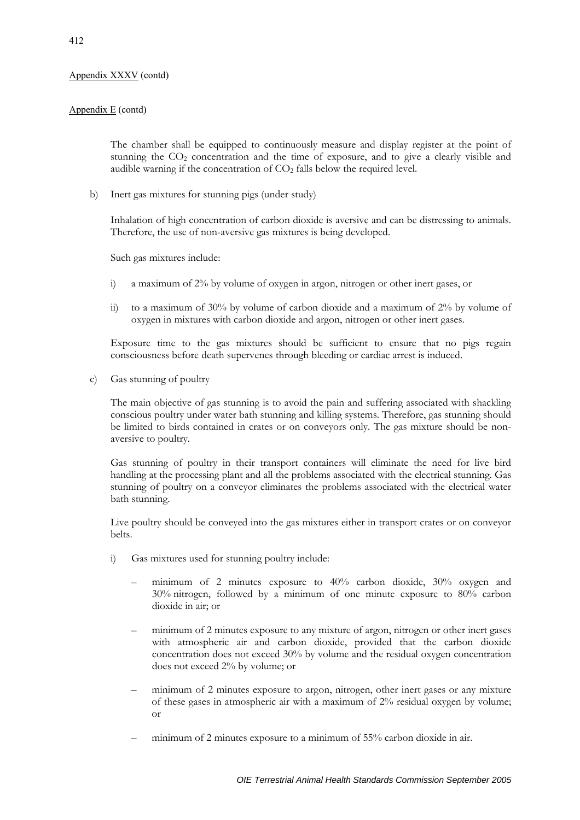### Appendix E (contd)

The chamber shall be equipped to continuously measure and display register at the point of stunning the  $CO<sub>2</sub>$  concentration and the time of exposure, and to give a clearly visible and audible warning if the concentration of  $CO<sub>2</sub>$  falls below the required level.

b) Inert gas mixtures for stunning pigs (under study)

Inhalation of high concentration of carbon dioxide is aversive and can be distressing to animals. Therefore, the use of non-aversive gas mixtures is being developed.

Such gas mixtures include:

- i) a maximum of 2% by volume of oxygen in argon, nitrogen or other inert gases, or
- ii) to a maximum of 30% by volume of carbon dioxide and a maximum of 2% by volume of oxygen in mixtures with carbon dioxide and argon, nitrogen or other inert gases.

Exposure time to the gas mixtures should be sufficient to ensure that no pigs regain consciousness before death supervenes through bleeding or cardiac arrest is induced.

c) Gas stunning of poultry

The main objective of gas stunning is to avoid the pain and suffering associated with shackling conscious poultry under water bath stunning and killing systems. Therefore, gas stunning should be limited to birds contained in crates or on conveyors only. The gas mixture should be nonaversive to poultry.

Gas stunning of poultry in their transport containers will eliminate the need for live bird handling at the processing plant and all the problems associated with the electrical stunning. Gas stunning of poultry on a conveyor eliminates the problems associated with the electrical water bath stunning.

Live poultry should be conveyed into the gas mixtures either in transport crates or on conveyor belts.

- i) Gas mixtures used for stunning poultry include:
	- minimum of 2 minutes exposure to 40% carbon dioxide, 30% oxygen and 30% nitrogen, followed by a minimum of one minute exposure to 80% carbon dioxide in air; or
	- minimum of 2 minutes exposure to any mixture of argon, nitrogen or other inert gases with atmospheric air and carbon dioxide, provided that the carbon dioxide concentration does not exceed 30% by volume and the residual oxygen concentration does not exceed 2% by volume; or
	- minimum of 2 minutes exposure to argon, nitrogen, other inert gases or any mixture of these gases in atmospheric air with a maximum of 2% residual oxygen by volume; or
	- minimum of 2 minutes exposure to a minimum of 55% carbon dioxide in air.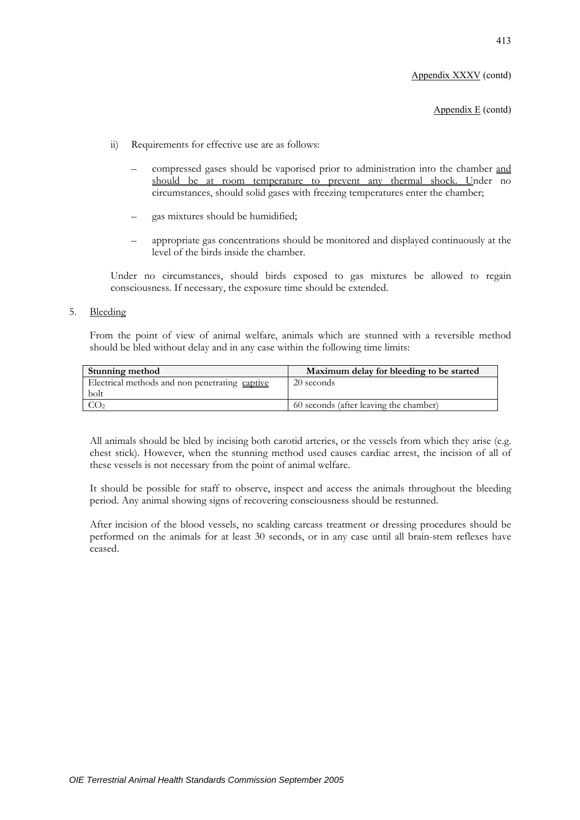Appendix E (contd)

- ii) Requirements for effective use are as follows:
	- compressed gases should be vaporised prior to administration into the chamber and should be at room temperature to prevent any thermal shock. Under no circumstances, should solid gases with freezing temperatures enter the chamber;
	- gas mixtures should be humidified;
	- appropriate gas concentrations should be monitored and displayed continuously at the level of the birds inside the chamber.

Under no circumstances, should birds exposed to gas mixtures be allowed to regain consciousness. If necessary, the exposure time should be extended.

#### 5. Bleeding

From the point of view of animal welfare, animals which are stunned with a reversible method should be bled without delay and in any case within the following time limits:

| Stunning method                                | Maximum delay for bleeding to be started |
|------------------------------------------------|------------------------------------------|
| Electrical methods and non penetrating captive | 20 seconds                               |
| bolt                                           |                                          |
|                                                | 60 seconds (after leaving the chamber)   |

All animals should be bled by incising both carotid arteries, or the vessels from which they arise (e.g. chest stick). However, when the stunning method used causes cardiac arrest, the incision of all of these vessels is not necessary from the point of animal welfare.

It should be possible for staff to observe, inspect and access the animals throughout the bleeding period. Any animal showing signs of recovering consciousness should be restunned.

After incision of the blood vessels, no scalding carcass treatment or dressing procedures should be performed on the animals for at least 30 seconds, or in any case until all brain-stem reflexes have ceased.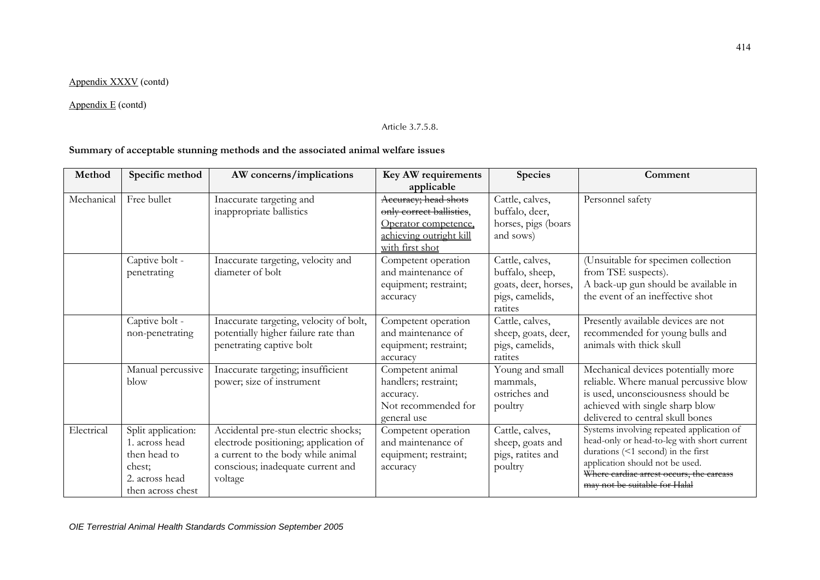Appendix E (contd)

#### Article 3.7.5.8.

# **Summary of acceptable stunning methods and the associated animal welfare issues**

| Method     | Specific method    | AW concerns/implications                | Key AW requirements      | <b>Species</b>       | Comment                                                                     |
|------------|--------------------|-----------------------------------------|--------------------------|----------------------|-----------------------------------------------------------------------------|
|            |                    |                                         | applicable               |                      |                                                                             |
| Mechanical | Free bullet        | Inaccurate targeting and                | Accuracy; head shots     | Cattle, calves,      | Personnel safety                                                            |
|            |                    | inappropriate ballistics                | only correct ballistics, | buffalo, deer,       |                                                                             |
|            |                    |                                         | Operator competence,     | horses, pigs (boars  |                                                                             |
|            |                    |                                         | achieving outright kill  | and sows)            |                                                                             |
|            |                    |                                         | with first shot          |                      |                                                                             |
|            | Captive bolt -     | Inaccurate targeting, velocity and      | Competent operation      | Cattle, calves,      | (Unsuitable for specimen collection                                         |
|            | penetrating        | diameter of bolt                        | and maintenance of       | buffalo, sheep,      | from TSE suspects).                                                         |
|            |                    |                                         | equipment; restraint;    | goats, deer, horses, | A back-up gun should be available in                                        |
|            |                    |                                         | accuracy                 | pigs, camelids,      | the event of an ineffective shot                                            |
|            |                    |                                         |                          | ratites              |                                                                             |
|            | Captive bolt -     | Inaccurate targeting, velocity of bolt, | Competent operation      | Cattle, calves,      | Presently available devices are not                                         |
|            | non-penetrating    | potentially higher failure rate than    | and maintenance of       | sheep, goats, deer,  | recommended for young bulls and                                             |
|            |                    | penetrating captive bolt                | equipment; restraint;    | pigs, camelids,      | animals with thick skull                                                    |
|            |                    |                                         | accuracy                 | ratites              |                                                                             |
|            | Manual percussive  | Inaccurate targeting; insufficient      | Competent animal         | Young and small      | Mechanical devices potentially more                                         |
|            | blow               | power; size of instrument               | handlers; restraint;     | mammals,             | reliable. Where manual percussive blow                                      |
|            |                    |                                         | accuracy.                | ostriches and        | is used, unconsciousness should be                                          |
|            |                    |                                         | Not recommended for      | poultry              | achieved with single sharp blow                                             |
|            |                    |                                         | general use              |                      | delivered to central skull bones                                            |
| Electrical | Split application: | Accidental pre-stun electric shocks;    | Competent operation      | Cattle, calves,      | Systems involving repeated application of                                   |
|            | 1. across head     | electrode positioning; application of   | and maintenance of       | sheep, goats and     | head-only or head-to-leg with short current                                 |
|            | then head to       | a current to the body while animal      | equipment; restraint;    | pigs, ratites and    | durations $($ 1 second) in the first                                        |
|            | chest:             | conscious; inadequate current and       | accuracy                 | poultry              | application should not be used.<br>Where cardiac arrest occurs, the carcass |
|            | 2. across head     | voltage                                 |                          |                      | may not be suitable for Halal                                               |
|            | then across chest  |                                         |                          |                      |                                                                             |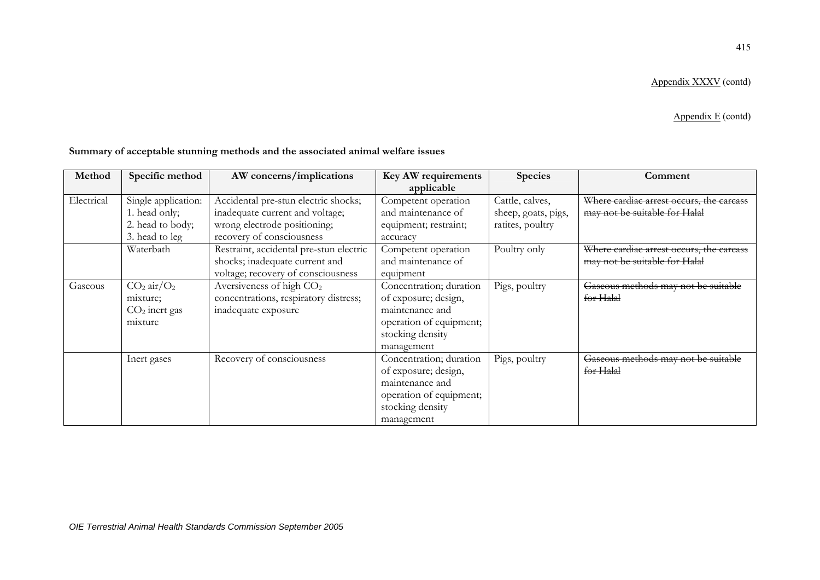Appendix E (contd)

| Method     | Specific method     | AW concerns/implications                | Key AW requirements     | <b>Species</b>      | Comment                                  |
|------------|---------------------|-----------------------------------------|-------------------------|---------------------|------------------------------------------|
|            |                     |                                         | applicable              |                     |                                          |
| Electrical | Single application: | Accidental pre-stun electric shocks;    | Competent operation     | Cattle, calves,     | Where cardiac arrest occurs, the carcass |
|            | 1. head only;       | inadequate current and voltage;         | and maintenance of      | sheep, goats, pigs, | may not be suitable for Halal            |
|            | 2. head to body;    | wrong electrode positioning;            | equipment; restraint;   | ratites, poultry    |                                          |
|            | 3. head to leg      | recovery of consciousness               | accuracy                |                     |                                          |
|            | Waterbath           | Restraint, accidental pre-stun electric | Competent operation     | Poultry only        | Where cardiac arrest occurs, the carcass |
|            |                     | shocks; inadequate current and          | and maintenance of      |                     | may not be suitable for Halal            |
|            |                     | voltage; recovery of consciousness      | equipment               |                     |                                          |
| Gaseous    | $CO2$ air/ $O2$     | Aversiveness of high $CO2$              | Concentration; duration | Pigs, poultry       | Gaseous methods may not be suitable      |
|            | mixture;            | concentrations, respiratory distress;   | of exposure; design,    |                     | for Halal                                |
|            | $CO2$ inert gas     | inadequate exposure                     | maintenance and         |                     |                                          |
|            | mixture             |                                         | operation of equipment; |                     |                                          |
|            |                     |                                         | stocking density        |                     |                                          |
|            |                     |                                         | management              |                     |                                          |
|            | Inert gases         | Recovery of consciousness               | Concentration; duration | Pigs, poultry       | Gaseous methods may not be suitable      |
|            |                     |                                         | of exposure; design,    |                     | for Halal                                |
|            |                     |                                         | maintenance and         |                     |                                          |
|            |                     |                                         | operation of equipment; |                     |                                          |
|            |                     |                                         | stocking density        |                     |                                          |
|            |                     |                                         | management              |                     |                                          |

**Summary of acceptable stunning methods and the associated animal welfare issues**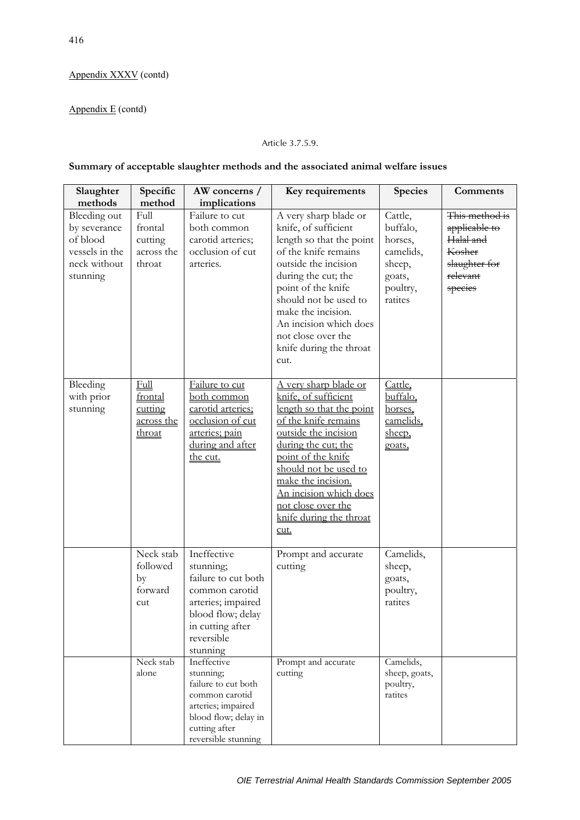# Appendix E (contd)

#### Article 3.7.5.9.

# **Summary of acceptable slaughter methods and the associated animal welfare issues**

| Slaughter                                                                              | Specific                                           | AW concerns /                                                                                                                                              | Key requirements                                                                                                                                                                                                                                                                                         | <b>Species</b>                                                                         | Comments                                                                                       |
|----------------------------------------------------------------------------------------|----------------------------------------------------|------------------------------------------------------------------------------------------------------------------------------------------------------------|----------------------------------------------------------------------------------------------------------------------------------------------------------------------------------------------------------------------------------------------------------------------------------------------------------|----------------------------------------------------------------------------------------|------------------------------------------------------------------------------------------------|
| methods                                                                                | method                                             | implications                                                                                                                                               |                                                                                                                                                                                                                                                                                                          |                                                                                        |                                                                                                |
| Bleeding out<br>by severance<br>of blood<br>vessels in the<br>neck without<br>stunning | Full<br>frontal<br>cutting<br>across the<br>throat | Failure to cut<br>both common<br>carotid arteries;<br>occlusion of cut<br>arteries.                                                                        | A very sharp blade or<br>knife, of sufficient<br>length so that the point<br>of the knife remains<br>outside the incision<br>during the cut; the<br>point of the knife<br>should not be used to<br>make the incision.<br>An incision which does<br>not close over the<br>knife during the throat<br>cut. | Cattle,<br>buffalo,<br>horses,<br>camelids,<br>sheep,<br>goats,<br>poultry,<br>ratites | This method is<br>applicable to<br>Halal and<br>Kosher<br>slaughter for<br>relevant<br>species |
| Bleeding<br>with prior<br>stunning                                                     | Full<br>frontal<br>cutting<br>across the<br>throat | Failure to cut<br>both common<br>carotid arteries;<br>occlusion of cut<br>arteries; pain<br>during and after<br>the cut.                                   | A very sharp blade or<br>knife, of sufficient<br>length so that the point<br>of the knife remains<br>outside the incision<br>during the cut; the<br>point of the knife<br>should not be used to<br>make the incision.<br>An incision which does<br>not close over the<br>knife during the throat<br>cut. | Cattle,<br>buffalo,<br>horses,<br>camelids,<br>sheep,<br>goats,                        |                                                                                                |
|                                                                                        | Neck stab<br>followed<br>by<br>forward<br>cut      | Ineffective<br>stunning;<br>failure to cut both<br>common carotid<br>arteries; impaired<br>blood flow; delay<br>in cutting after<br>reversible<br>stunning | Prompt and accurate<br>cutting                                                                                                                                                                                                                                                                           | Camelids,<br>sheep,<br>goats,<br>poultry,<br>ratites                                   |                                                                                                |
|                                                                                        | Neck stab<br>alone                                 | Ineffective<br>stunning;<br>failure to cut both<br>common carotid<br>arteries; impaired<br>blood flow; delay in<br>cutting after<br>reversible stunning    | Prompt and accurate<br>cutting                                                                                                                                                                                                                                                                           | Camelids,<br>sheep, goats,<br>poultry,<br>ratites                                      |                                                                                                |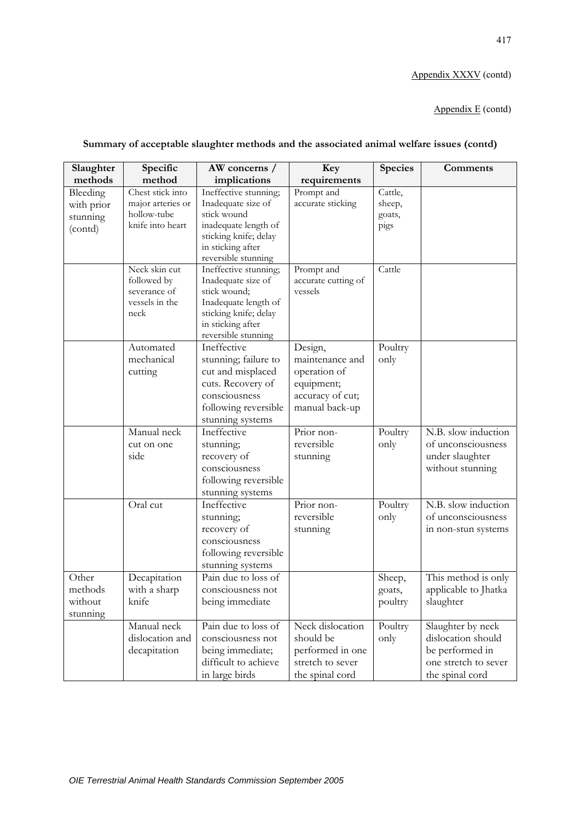# Appendix E (contd)

| Slaughter                                     | Specific                                                                 | AW concerns /                                                                                                                                            | Key                                                                                            | <b>Species</b>                      | <b>Comments</b>                                                                                       |
|-----------------------------------------------|--------------------------------------------------------------------------|----------------------------------------------------------------------------------------------------------------------------------------------------------|------------------------------------------------------------------------------------------------|-------------------------------------|-------------------------------------------------------------------------------------------------------|
| methods                                       | method                                                                   | implications                                                                                                                                             | requirements                                                                                   |                                     |                                                                                                       |
| Bleeding<br>with prior<br>stunning<br>(contd) | Chest stick into<br>major arteries or<br>hollow-tube<br>knife into heart | Ineffective stunning;<br>Inadequate size of<br>stick wound<br>inadequate length of<br>sticking knife; delay<br>in sticking after<br>reversible stunning  | Prompt and<br>accurate sticking                                                                | Cattle,<br>sheep,<br>goats,<br>pigs |                                                                                                       |
|                                               | Neck skin cut<br>followed by<br>severance of<br>vessels in the<br>neck   | Ineffective stunning;<br>Inadequate size of<br>stick wound;<br>Inadequate length of<br>sticking knife; delay<br>in sticking after<br>reversible stunning | Prompt and<br>accurate cutting of<br>vessels                                                   | Cattle                              |                                                                                                       |
|                                               | Automated<br>mechanical<br>cutting                                       | Ineffective<br>stunning; failure to<br>cut and misplaced<br>cuts. Recovery of<br>consciousness<br>following reversible<br>stunning systems               | Design,<br>maintenance and<br>operation of<br>equipment;<br>accuracy of cut;<br>manual back-up | Poultry<br>only                     |                                                                                                       |
|                                               | Manual neck<br>cut on one<br>side                                        | Ineffective<br>stunning;<br>recovery of<br>consciousness<br>following reversible<br>stunning systems                                                     | Prior non-<br>reversible<br>stunning                                                           | Poultry<br>only                     | N.B. slow induction<br>of unconsciousness<br>under slaughter<br>without stunning                      |
|                                               | Oral cut                                                                 | Ineffective<br>stunning;<br>recovery of<br>consciousness<br>following reversible<br>stunning systems                                                     | Prior non-<br>reversible<br>stunning                                                           | Poultry<br>only                     | N.B. slow induction<br>of unconsciousness<br>in non-stun systems                                      |
| Other<br>methods<br>without<br>stunning       | Decapitation<br>with a sharp<br>knife                                    | Pain due to loss of<br>consciousness not<br>being immediate                                                                                              |                                                                                                | Sheep,<br>goats,<br>poultry         | This method is only<br>applicable to Jhatka<br>slaughter                                              |
|                                               | Manual neck<br>dislocation and<br>decapitation                           | Pain due to loss of<br>consciousness not<br>being immediate;<br>difficult to achieve<br>in large birds                                                   | Neck dislocation<br>should be<br>performed in one<br>stretch to sever<br>the spinal cord       | Poultry<br>only                     | Slaughter by neck<br>dislocation should<br>be performed in<br>one stretch to sever<br>the spinal cord |

# **Summary of acceptable slaughter methods and the associated animal welfare issues (contd)**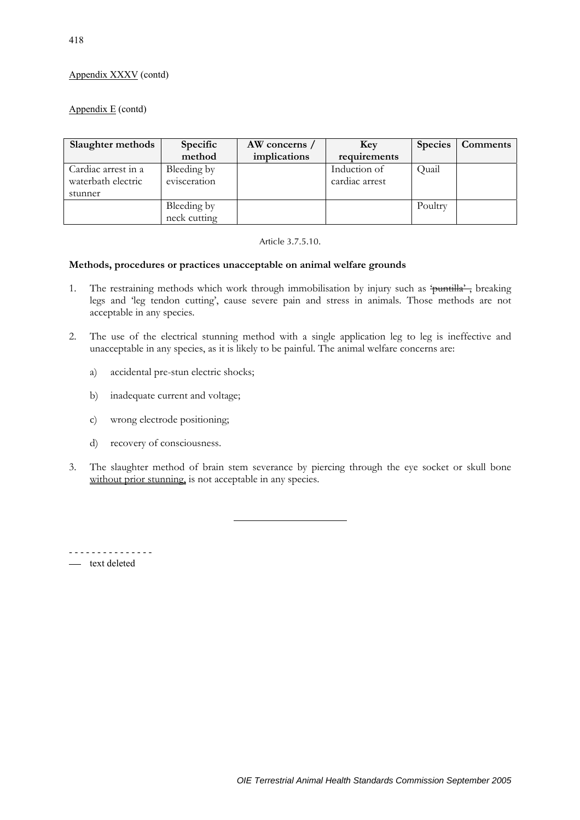# Appendix  $E$  (contd)

| Slaughter methods   | Specific     | AW concerns / | Key            | <b>Species</b> | Comments |
|---------------------|--------------|---------------|----------------|----------------|----------|
|                     | method       | implications  | requirements   |                |          |
| Cardiac arrest in a | Bleeding by  |               | Induction of   | Quail          |          |
| waterbath electric  | evisceration |               | cardiac arrest |                |          |
| stunner             |              |               |                |                |          |
|                     | Bleeding by  |               |                | Poultry        |          |
|                     | neck cutting |               |                |                |          |

Article 3.7.5.10.

# **Methods, procedures or practices unacceptable on animal welfare grounds**

- 1. The restraining methods which work through immobilisation by injury such as 'puntilla', breaking legs and 'leg tendon cutting', cause severe pain and stress in animals. Those methods are not acceptable in any species.
- 2. The use of the electrical stunning method with a single application leg to leg is ineffective and unacceptable in any species, as it is likely to be painful. The animal welfare concerns are:
	- a) accidental pre-stun electric shocks;
	- b) inadequate current and voltage;
	- c) wrong electrode positioning;
	- d) recovery of consciousness.
- 3. The slaughter method of brain stem severance by piercing through the eye socket or skull bone without prior stunning, is not acceptable in any species.

- - - - - - - - - - - - - - - - text deleted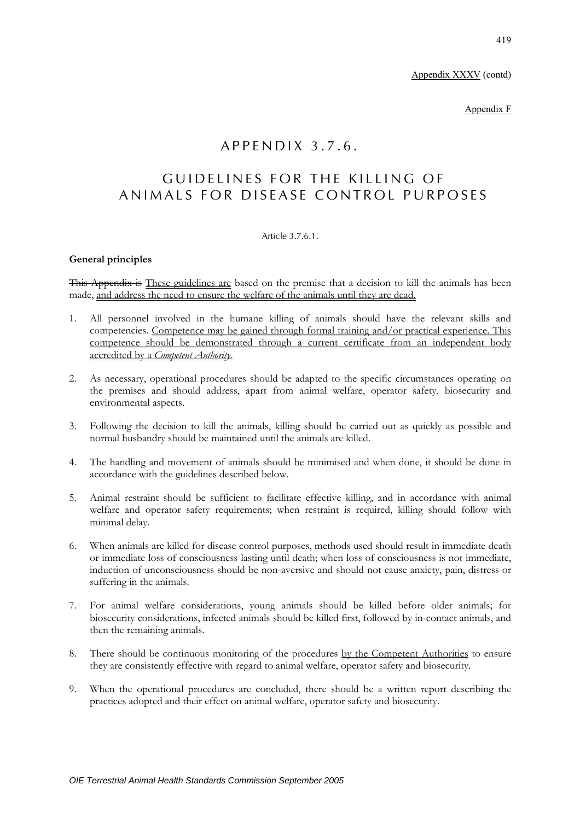Appendix F

# APPENDIX 3.7.6.

# GUIDELINES FOR THE KILLING OF ANIMALS FOR DISEASE CONTROL PURPOSES

### Article 3.7.6.1.

### **General principles**

This Appendix is These guidelines are based on the premise that a decision to kill the animals has been made, and address the need to ensure the welfare of the animals until they are dead.

- 1. All personnel involved in the humane killing of animals should have the relevant skills and competencies. Competence may be gained through formal training and/or practical experience. This competence should be demonstrated through a current certificate from an independent body accredited by a *Competent Authority.*
- 2. As necessary, operational procedures should be adapted to the specific circumstances operating on the premises and should address, apart from animal welfare, operator safety, biosecurity and environmental aspects.
- 3. Following the decision to kill the animals, killing should be carried out as quickly as possible and normal husbandry should be maintained until the animals are killed.
- 4. The handling and movement of animals should be minimised and when done, it should be done in accordance with the guidelines described below.
- 5. Animal restraint should be sufficient to facilitate effective killing, and in accordance with animal welfare and operator safety requirements; when restraint is required, killing should follow with minimal delay.
- 6. When animals are killed for disease control purposes, methods used should result in immediate death or immediate loss of consciousness lasting until death; when loss of consciousness is not immediate, induction of unconsciousness should be non-aversive and should not cause anxiety, pain, distress or suffering in the animals.
- 7. For animal welfare considerations, young animals should be killed before older animals; for biosecurity considerations, infected animals should be killed first, followed by in-contact animals, and then the remaining animals.
- 8. There should be continuous monitoring of the procedures by the Competent Authorities to ensure they are consistently effective with regard to animal welfare, operator safety and biosecurity.
- 9. When the operational procedures are concluded, there should be a written report describing the practices adopted and their effect on animal welfare, operator safety and biosecurity.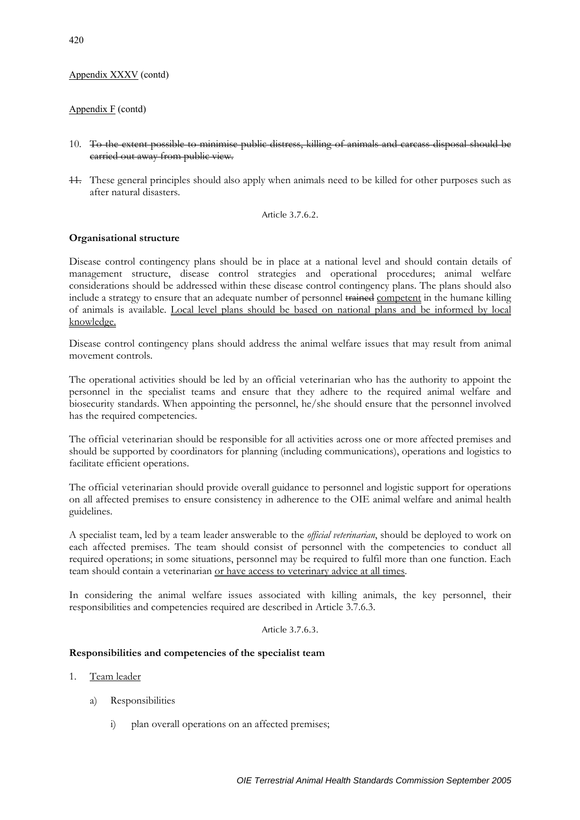### Appendix  $F$  (contd)

- 10. To the extent possible to minimise public distress, killing of animals and carcass disposal should be carried out away from public view.
- 11. These general principles should also apply when animals need to be killed for other purposes such as after natural disasters.

Article  $3.76.2$ 

#### **Organisational structure**

Disease control contingency plans should be in place at a national level and should contain details of management structure, disease control strategies and operational procedures; animal welfare considerations should be addressed within these disease control contingency plans. The plans should also include a strategy to ensure that an adequate number of personnel trained competent in the humane killing of animals is available. Local level plans should be based on national plans and be informed by local knowledge.

Disease control contingency plans should address the animal welfare issues that may result from animal movement controls.

The operational activities should be led by an official veterinarian who has the authority to appoint the personnel in the specialist teams and ensure that they adhere to the required animal welfare and biosecurity standards. When appointing the personnel, he/she should ensure that the personnel involved has the required competencies.

The official veterinarian should be responsible for all activities across one or more affected premises and should be supported by coordinators for planning (including communications), operations and logistics to facilitate efficient operations.

The official veterinarian should provide overall guidance to personnel and logistic support for operations on all affected premises to ensure consistency in adherence to the OIE animal welfare and animal health guidelines.

A specialist team, led by a team leader answerable to the *official veterinarian*, should be deployed to work on each affected premises. The team should consist of personnel with the competencies to conduct all required operations; in some situations, personnel may be required to fulfil more than one function. Each team should contain a veterinarian or have access to veterinary advice at all times.

In considering the animal welfare issues associated with killing animals, the key personnel, their responsibilities and competencies required are described in Article 3.7.6.3.

#### Article 3.7.6.3.

#### **Responsibilities and competencies of the specialist team**

- 1. Team leader
	- a) Responsibilities
		- i) plan overall operations on an affected premises;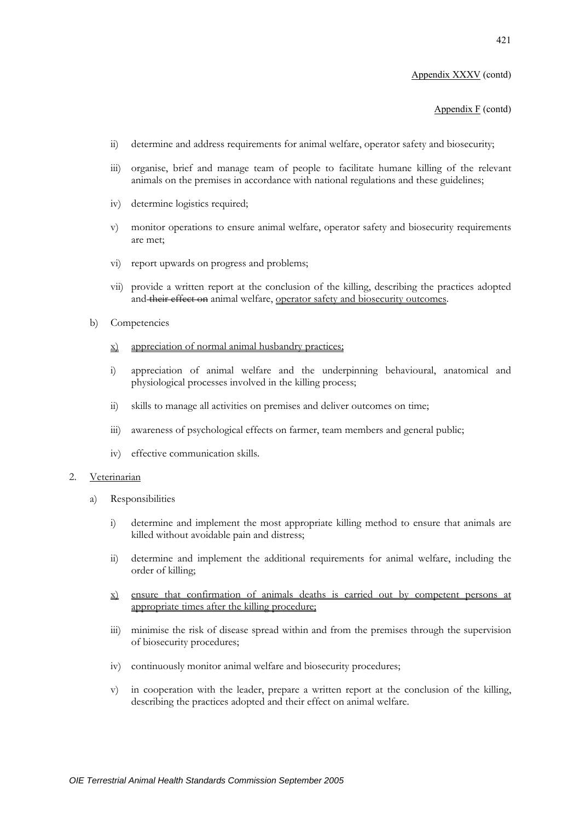### Appendix  $F$  (contd)

- ii) determine and address requirements for animal welfare, operator safety and biosecurity;
- iii) organise, brief and manage team of people to facilitate humane killing of the relevant animals on the premises in accordance with national regulations and these guidelines;
- iv) determine logistics required;
- v) monitor operations to ensure animal welfare, operator safety and biosecurity requirements are met;
- vi) report upwards on progress and problems;
- vii) provide a written report at the conclusion of the killing, describing the practices adopted and their effect on animal welfare, operator safety and biosecurity outcomes.
- b) Competencies
	- x) appreciation of normal animal husbandry practices;
	- i) appreciation of animal welfare and the underpinning behavioural, anatomical and physiological processes involved in the killing process;
	- ii) skills to manage all activities on premises and deliver outcomes on time;
	- iii) awareness of psychological effects on farmer, team members and general public;
	- iv) effective communication skills.

#### 2. Veterinarian

- a) Responsibilities
	- i) determine and implement the most appropriate killing method to ensure that animals are killed without avoidable pain and distress;
	- ii) determine and implement the additional requirements for animal welfare, including the order of killing;
	- x) ensure that confirmation of animals deaths is carried out by competent persons at appropriate times after the killing procedure;
	- iii) minimise the risk of disease spread within and from the premises through the supervision of biosecurity procedures;
	- iv) continuously monitor animal welfare and biosecurity procedures;
	- v) in cooperation with the leader, prepare a written report at the conclusion of the killing, describing the practices adopted and their effect on animal welfare.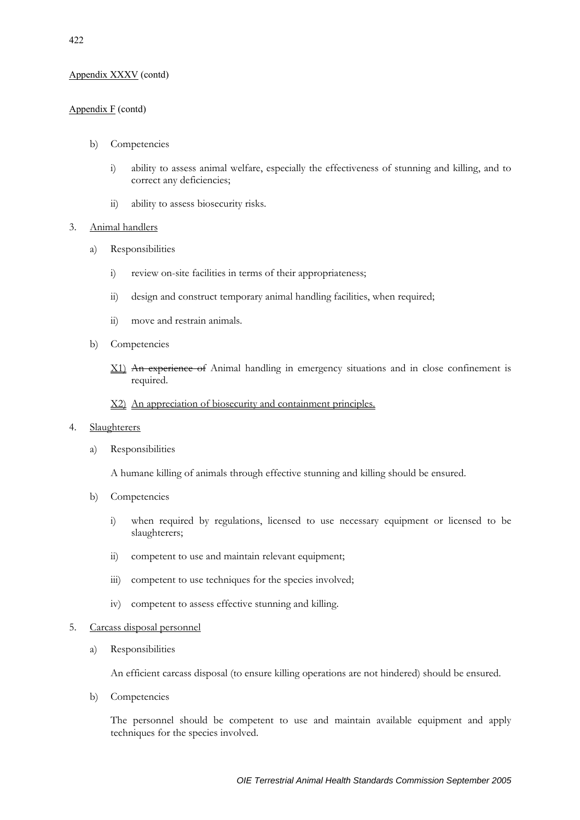### Appendix  $F$  (contd)

- b) Competencies
	- i) ability to assess animal welfare, especially the effectiveness of stunning and killing, and to correct any deficiencies;
	- ii) ability to assess biosecurity risks.

### 3. Animal handlers

- a) Responsibilities
	- i) review on-site facilities in terms of their appropriateness;
	- ii) design and construct temporary animal handling facilities, when required;
	- ii) move and restrain animals.
- b) Competencies
	- X1) An experience of Animal handling in emergency situations and in close confinement is required.
	- X2) An appreciation of biosecurity and containment principles.

### 4. Slaughterers

a) Responsibilities

A humane killing of animals through effective stunning and killing should be ensured.

- b) Competencies
	- i) when required by regulations, licensed to use necessary equipment or licensed to be slaughterers;
	- ii) competent to use and maintain relevant equipment;
	- iii) competent to use techniques for the species involved;
	- iv) competent to assess effective stunning and killing.

#### 5. Carcass disposal personnel

a) Responsibilities

An efficient carcass disposal (to ensure killing operations are not hindered) should be ensured.

b) Competencies

The personnel should be competent to use and maintain available equipment and apply techniques for the species involved.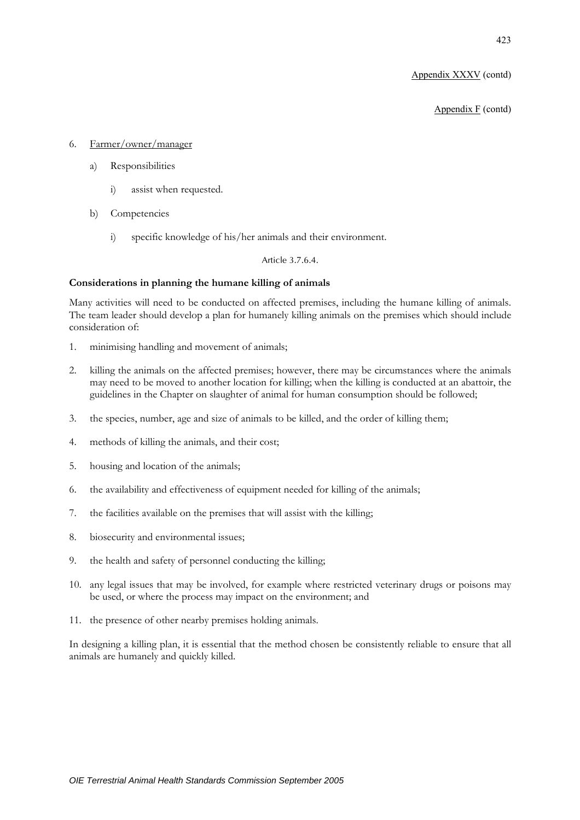Appendix  $F$  (contd)

### 6. Farmer/owner/manager

- a) Responsibilities
	- i) assist when requested.
- b) Competencies
	- i) specific knowledge of his/her animals and their environment.

#### Article 3.7.6.4.

#### **Considerations in planning the humane killing of animals**

Many activities will need to be conducted on affected premises, including the humane killing of animals. The team leader should develop a plan for humanely killing animals on the premises which should include consideration of:

- 1. minimising handling and movement of animals;
- 2. killing the animals on the affected premises; however, there may be circumstances where the animals may need to be moved to another location for killing; when the killing is conducted at an abattoir, the guidelines in the Chapter on slaughter of animal for human consumption should be followed;
- 3. the species, number, age and size of animals to be killed, and the order of killing them;
- 4. methods of killing the animals, and their cost;
- 5. housing and location of the animals;
- 6. the availability and effectiveness of equipment needed for killing of the animals;
- 7. the facilities available on the premises that will assist with the killing;
- 8. biosecurity and environmental issues;
- 9. the health and safety of personnel conducting the killing;
- 10. any legal issues that may be involved, for example where restricted veterinary drugs or poisons may be used, or where the process may impact on the environment; and
- 11. the presence of other nearby premises holding animals.

In designing a killing plan, it is essential that the method chosen be consistently reliable to ensure that all animals are humanely and quickly killed.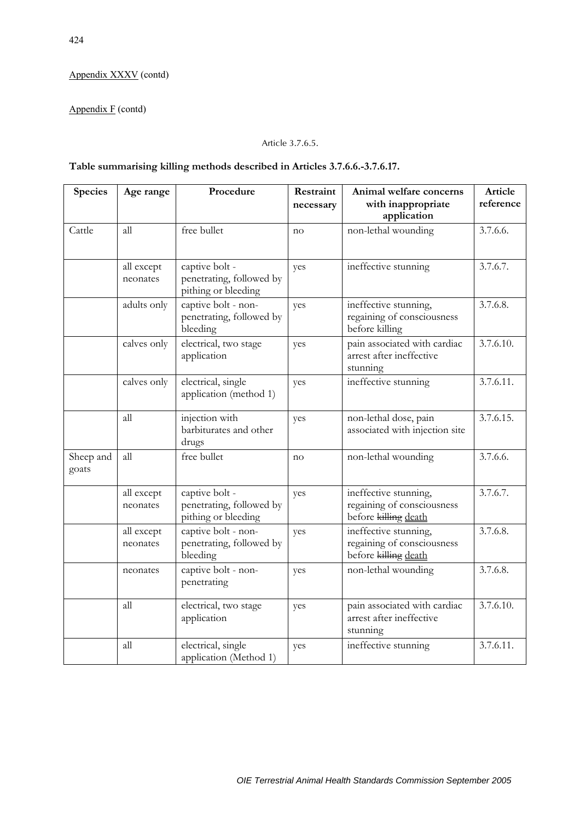Appendix F (contd)

### Article 3.7.6.5.

# **Table summarising killing methods described in Articles 3.7.6.6.-3.7.6.17.**

| Species            | Age range              | Procedure                                                         | Restraint<br>necessary | Animal welfare concerns<br>with inappropriate                               | Article<br>reference |
|--------------------|------------------------|-------------------------------------------------------------------|------------------------|-----------------------------------------------------------------------------|----------------------|
|                    |                        |                                                                   |                        | application                                                                 |                      |
| Cattle             | all                    | free bullet                                                       | no                     | non-lethal wounding                                                         | 3.7.6.6.             |
|                    | all except<br>neonates | captive bolt -<br>penetrating, followed by<br>pithing or bleeding | yes                    | ineffective stunning                                                        | 3.7.6.7.             |
|                    | adults only            | captive bolt - non-<br>penetrating, followed by<br>bleeding       | yes                    | ineffective stunning,<br>regaining of consciousness<br>before killing       | 3.7.6.8.             |
|                    | calves only            | electrical, two stage<br>application                              | yes                    | pain associated with cardiac<br>arrest after ineffective<br>stunning        | 3.7.6.10.            |
|                    | calves only            | electrical, single<br>application (method 1)                      | yes                    | ineffective stunning                                                        | 3.7.6.11.            |
|                    | all                    | injection with<br>barbiturates and other<br>drugs                 | yes                    | non-lethal dose, pain<br>associated with injection site                     | 3.7.6.15.            |
| Sheep and<br>goats | all                    | free bullet                                                       | no                     | non-lethal wounding                                                         | 3.7.6.6.             |
|                    | all except<br>neonates | captive bolt -<br>penetrating, followed by<br>pithing or bleeding | yes                    | ineffective stunning,<br>regaining of consciousness<br>before killing death | 3.7.6.7.             |
|                    | all except<br>neonates | captive bolt - non-<br>penetrating, followed by<br>bleeding       | yes                    | ineffective stunning,<br>regaining of consciousness<br>before killing death | 3.7.6.8.             |
|                    | neonates               | captive bolt - non-<br>penetrating                                | yes                    | non-lethal wounding                                                         | 3.7.6.8.             |
|                    | all                    | electrical, two stage<br>application                              | yes                    | pain associated with cardiac<br>arrest after ineffective<br>stunning        | 3.7.6.10.            |
|                    | all                    | electrical, single<br>application (Method 1)                      | yes                    | ineffective stunning                                                        | 3.7.6.11.            |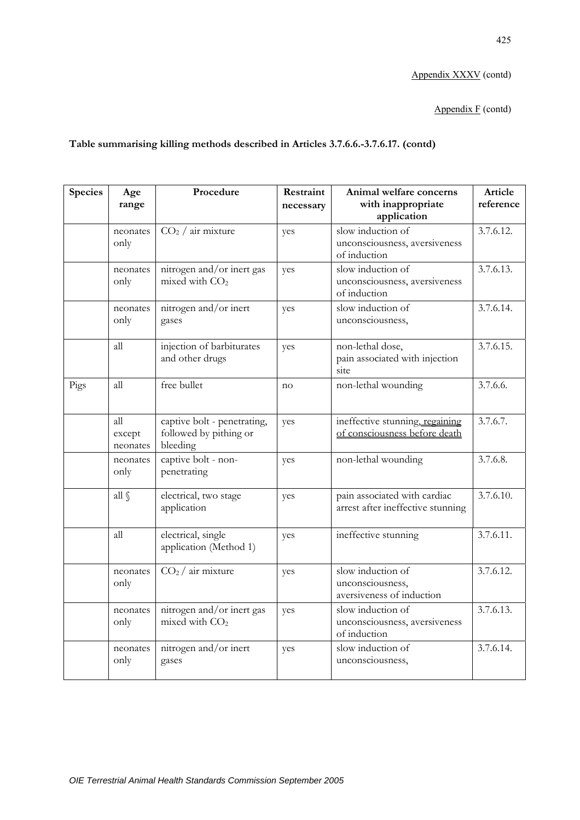# Appendix F (contd)

# **Table summarising killing methods described in Articles 3.7.6.6.-3.7.6.17. (contd)**

| Species | Age                       | Procedure                                                         | Restraint | Animal welfare concerns                                            | Article   |
|---------|---------------------------|-------------------------------------------------------------------|-----------|--------------------------------------------------------------------|-----------|
|         | range                     |                                                                   | necessary | with inappropriate<br>application                                  | reference |
|         | neonates<br>only          | $CO2$ / air mixture                                               | yes       | slow induction of<br>unconsciousness, aversiveness<br>of induction | 3.7.6.12. |
|         | neonates<br>only          | nitrogen and/or inert gas<br>mixed with $CO2$                     | yes       | slow induction of<br>unconsciousness, aversiveness<br>of induction | 3.7.6.13. |
|         | neonates<br>only          | nitrogen and/or inert<br>gases                                    | yes       | slow induction of<br>unconsciousness,                              | 3.7.6.14. |
|         | all                       | injection of barbiturates<br>and other drugs                      | yes       | non-lethal dose,<br>pain associated with injection<br>site         | 3.7.6.15. |
| Pigs    | all                       | free bullet                                                       | no        | non-lethal wounding                                                | 3.7.6.6.  |
|         | all<br>except<br>neonates | captive bolt - penetrating,<br>followed by pithing or<br>bleeding | yes       | ineffective stunning, regaining<br>of consciousness before death   | 3.7.6.7.  |
|         | neonates<br>only          | captive bolt - non-<br>penetrating                                | yes       | non-lethal wounding                                                | 3.7.6.8.  |
|         | all $\langle$             | electrical, two stage<br>application                              | yes       | pain associated with cardiac<br>arrest after ineffective stunning  | 3.7.6.10. |
|         | all                       | electrical, single<br>application (Method 1)                      | yes       | ineffective stunning                                               | 3.7.6.11. |
|         | neonates<br>only          | $CO2$ / air mixture                                               | yes       | slow induction of<br>unconsciousness,<br>aversiveness of induction | 3.7.6.12. |
|         | neonates<br>only          | nitrogen and/or inert gas<br>mixed with $CO2$                     | yes       | slow induction of<br>unconsciousness, aversiveness<br>of induction | 3.7.6.13. |
|         | neonates<br>only          | nitrogen and/or inert<br>gases                                    | yes       | slow induction of<br>unconsciousness,                              | 3.7.6.14. |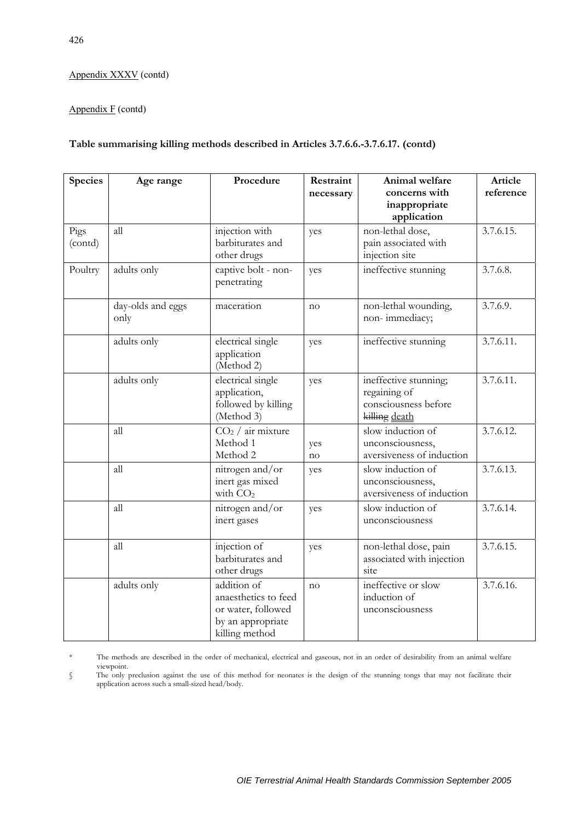### Appendix  $F$  (contd)

### **Table summarising killing methods described in Articles 3.7.6.6.-3.7.6.17. (contd)**

| <b>Species</b>  | Age range                 | Procedure                                                                                        | Restraint<br>necessary | Animal welfare<br>concerns with<br>inappropriate<br>application                | Article<br>reference |
|-----------------|---------------------------|--------------------------------------------------------------------------------------------------|------------------------|--------------------------------------------------------------------------------|----------------------|
| Pigs<br>(contd) | all                       | injection with<br>barbiturates and<br>other drugs                                                | yes                    | non-lethal dose,<br>pain associated with<br>injection site                     | 3.7.6.15.            |
| Poultry         | adults only               | captive bolt - non-<br>penetrating                                                               | ves                    | ineffective stunning                                                           | 3.7.6.8.             |
|                 | day-olds and eggs<br>only | maceration                                                                                       | no                     | non-lethal wounding,<br>non-immediacy;                                         | 3.7.6.9.             |
|                 | adults only               | electrical single<br>application<br>(Method 2)                                                   | yes                    | ineffective stunning                                                           | 3.7.6.11.            |
|                 | adults only               | electrical single<br>application,<br>followed by killing<br>(Method 3)                           | yes                    | ineffective stunning;<br>regaining of<br>consciousness before<br>killing death | 3.7.6.11.            |
|                 | all                       | $CO2$ / air mixture<br>Method 1<br>Method 2                                                      | yes<br>no              | slow induction of<br>unconsciousness,<br>aversiveness of induction             | 3.7.6.12.            |
|                 | all                       | nitrogen and/or<br>inert gas mixed<br>with $CO2$                                                 | yes                    | slow induction of<br>unconsciousness,<br>aversiveness of induction             | 3.7.6.13.            |
|                 | all                       | nitrogen and/or<br>inert gases                                                                   | yes                    | slow induction of<br>unconsciousness                                           | 3.7.6.14.            |
|                 | all                       | injection of<br>barbiturates and<br>other drugs                                                  | yes                    | non-lethal dose, pain<br>associated with injection<br>site                     | 3.7.6.15.            |
|                 | adults only               | addition of<br>anaesthetics to feed<br>or water, followed<br>by an appropriate<br>killing method | no                     | ineffective or slow<br>induction of<br>unconsciousness                         | 3.7.6.16.            |

\* The methods are described in the order of mechanical, electrical and gaseous, not in an order of desirability from an animal welfare viewpoint.

§ The only preclusion against the use of this method for neonates is the design of the stunning tongs that may not facilitate their application across such a small-sized head/body.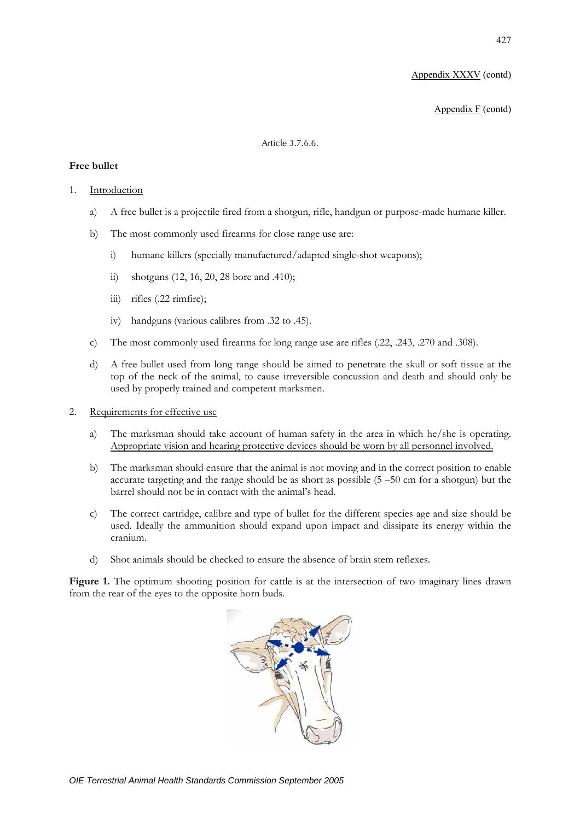### Appendix  $F$  (contd)

#### Article 3.7.6.6.

### **Free bullet**

### 1. Introduction

- a) A free bullet is a projectile fired from a shotgun, rifle, handgun or purpose-made humane killer.
- b) The most commonly used firearms for close range use are:
	- i) humane killers (specially manufactured/adapted single-shot weapons);
	- ii) shotguns (12, 16, 20, 28 bore and .410);
	- iii) rifles (.22 rimfire);
	- iv) handguns (various calibres from .32 to .45).
- c) The most commonly used firearms for long range use are rifles (.22, .243, .270 and .308).
- d) A free bullet used from long range should be aimed to penetrate the skull or soft tissue at the top of the neck of the animal, to cause irreversible concussion and death and should only be used by properly trained and competent marksmen.
- 2. Requirements for effective use
	- a) The marksman should take account of human safety in the area in which he/she is operating. Appropriate vision and hearing protective devices should be worn by all personnel involved.
	- b) The marksman should ensure that the animal is not moving and in the correct position to enable accurate targeting and the range should be as short as possible (5 –50 cm for a shotgun) but the barrel should not be in contact with the animal's head.
	- c) The correct cartridge, calibre and type of bullet for the different species age and size should be used. Ideally the ammunition should expand upon impact and dissipate its energy within the cranium.
	- d) Shot animals should be checked to ensure the absence of brain stem reflexes.

Figure 1. The optimum shooting position for cattle is at the intersection of two imaginary lines drawn from the rear of the eyes to the opposite horn buds.

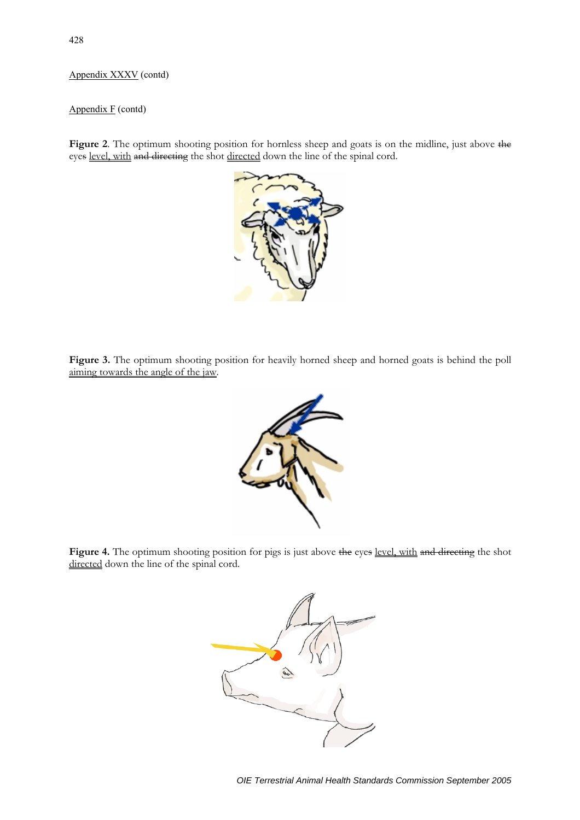### Appendix  $F$  (contd)

Figure 2. The optimum shooting position for hornless sheep and goats is on the midline, just above the eyes level, with and directing the shot directed down the line of the spinal cord.



Figure 3. The optimum shooting position for heavily horned sheep and horned goats is behind the poll aiming towards the angle of the jaw.



Figure 4. The optimum shooting position for pigs is just above the eyes level, with and directing the shot directed down the line of the spinal cord.

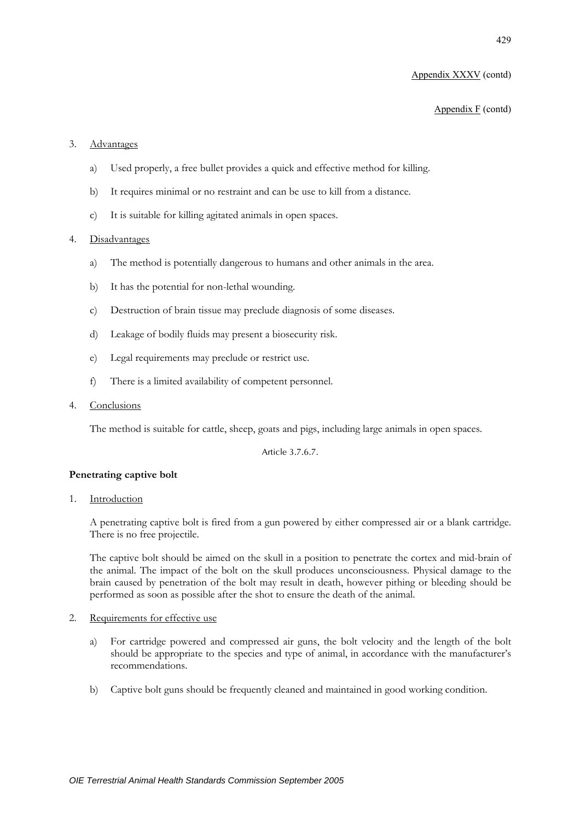### Appendix  $F$  (contd)

### 3. Advantages

- a) Used properly, a free bullet provides a quick and effective method for killing.
- b) It requires minimal or no restraint and can be use to kill from a distance.
- c) It is suitable for killing agitated animals in open spaces.

### 4. Disadvantages

- a) The method is potentially dangerous to humans and other animals in the area.
- b) It has the potential for non-lethal wounding.
- c) Destruction of brain tissue may preclude diagnosis of some diseases.
- d) Leakage of bodily fluids may present a biosecurity risk.
- e) Legal requirements may preclude or restrict use.
- f) There is a limited availability of competent personnel.

### 4. Conclusions

The method is suitable for cattle, sheep, goats and pigs, including large animals in open spaces.

Article 3.7.6.7.

### **Penetrating captive bolt**

1. Introduction

A penetrating captive bolt is fired from a gun powered by either compressed air or a blank cartridge. There is no free projectile.

The captive bolt should be aimed on the skull in a position to penetrate the cortex and mid-brain of the animal. The impact of the bolt on the skull produces unconsciousness. Physical damage to the brain caused by penetration of the bolt may result in death, however pithing or bleeding should be performed as soon as possible after the shot to ensure the death of the animal.

- 2. Requirements for effective use
	- a) For cartridge powered and compressed air guns, the bolt velocity and the length of the bolt should be appropriate to the species and type of animal, in accordance with the manufacturer's recommendations.
	- b) Captive bolt guns should be frequently cleaned and maintained in good working condition.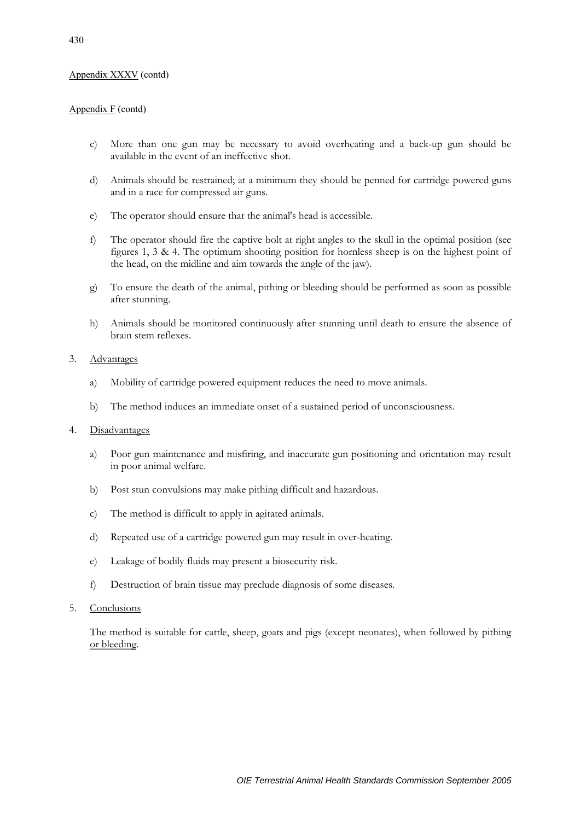### Appendix  $F$  (contd)

- c) More than one gun may be necessary to avoid overheating and a back-up gun should be available in the event of an ineffective shot.
- d) Animals should be restrained; at a minimum they should be penned for cartridge powered guns and in a race for compressed air guns.
- e) The operator should ensure that the animal's head is accessible.
- f) The operator should fire the captive bolt at right angles to the skull in the optimal position (see figures 1, 3 & 4. The optimum shooting position for hornless sheep is on the highest point of the head, on the midline and aim towards the angle of the jaw).
- g) To ensure the death of the animal, pithing or bleeding should be performed as soon as possible after stunning.
- h) Animals should be monitored continuously after stunning until death to ensure the absence of brain stem reflexes.

### 3. Advantages

- a) Mobility of cartridge powered equipment reduces the need to move animals.
- b) The method induces an immediate onset of a sustained period of unconsciousness.
- 4. Disadvantages
	- a) Poor gun maintenance and misfiring, and inaccurate gun positioning and orientation may result in poor animal welfare.
	- b) Post stun convulsions may make pithing difficult and hazardous.
	- c) The method is difficult to apply in agitated animals.
	- d) Repeated use of a cartridge powered gun may result in over-heating.
	- e) Leakage of bodily fluids may present a biosecurity risk.
	- f) Destruction of brain tissue may preclude diagnosis of some diseases.
- 5. Conclusions

The method is suitable for cattle, sheep, goats and pigs (except neonates), when followed by pithing or bleeding.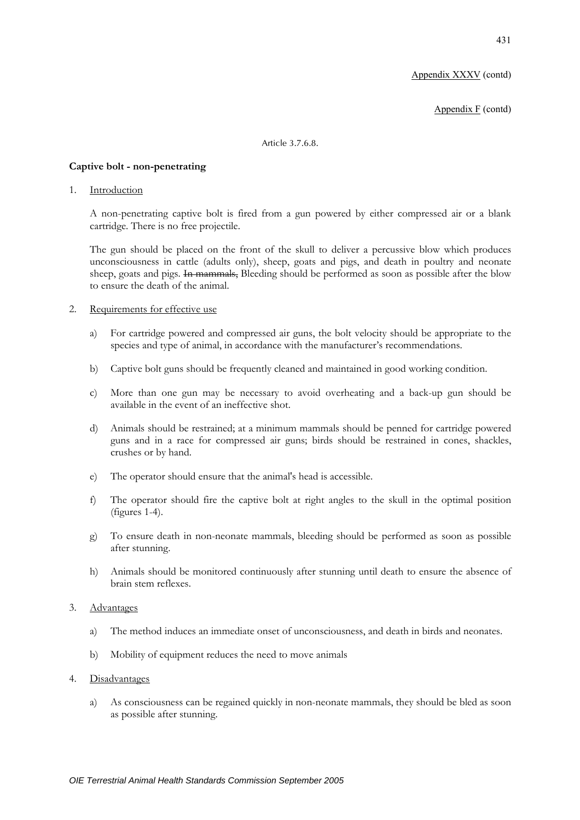Appendix  $F$  (contd)

Article 3.7.6.8.

### **Captive bolt - non-penetrating**

### 1. Introduction

A non-penetrating captive bolt is fired from a gun powered by either compressed air or a blank cartridge. There is no free projectile.

The gun should be placed on the front of the skull to deliver a percussive blow which produces unconsciousness in cattle (adults only), sheep, goats and pigs, and death in poultry and neonate sheep, goats and pigs. In mammals, Bleeding should be performed as soon as possible after the blow to ensure the death of the animal.

### 2. Requirements for effective use

- a) For cartridge powered and compressed air guns, the bolt velocity should be appropriate to the species and type of animal, in accordance with the manufacturer's recommendations.
- b) Captive bolt guns should be frequently cleaned and maintained in good working condition.
- c) More than one gun may be necessary to avoid overheating and a back-up gun should be available in the event of an ineffective shot.
- d) Animals should be restrained; at a minimum mammals should be penned for cartridge powered guns and in a race for compressed air guns; birds should be restrained in cones, shackles, crushes or by hand.
- e) The operator should ensure that the animal's head is accessible.
- f) The operator should fire the captive bolt at right angles to the skull in the optimal position (figures 1-4).
- g) To ensure death in non-neonate mammals, bleeding should be performed as soon as possible after stunning.
- h) Animals should be monitored continuously after stunning until death to ensure the absence of brain stem reflexes.

### 3. Advantages

- a) The method induces an immediate onset of unconsciousness, and death in birds and neonates.
- b) Mobility of equipment reduces the need to move animals

### 4. Disadvantages

a) As consciousness can be regained quickly in non-neonate mammals, they should be bled as soon as possible after stunning.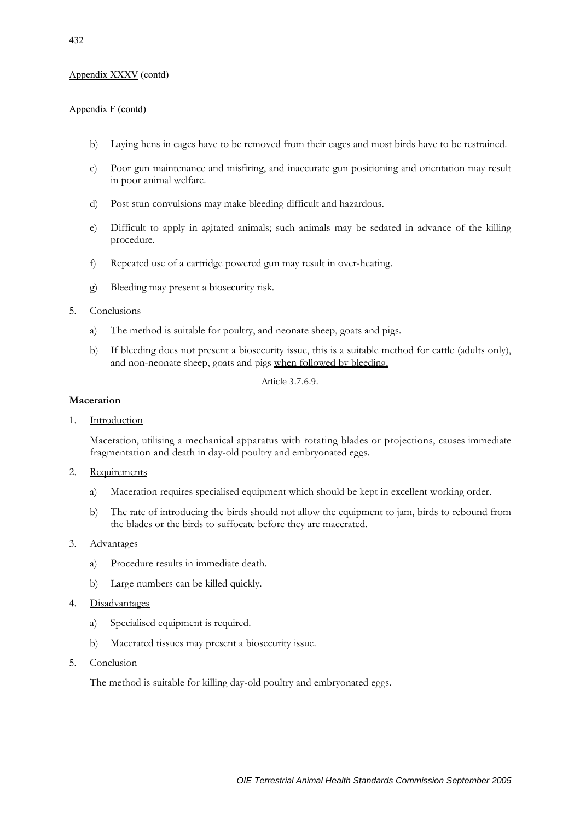#### Appendix  $F$  (contd)

- b) Laying hens in cages have to be removed from their cages and most birds have to be restrained.
- c) Poor gun maintenance and misfiring, and inaccurate gun positioning and orientation may result in poor animal welfare.
- d) Post stun convulsions may make bleeding difficult and hazardous.
- e) Difficult to apply in agitated animals; such animals may be sedated in advance of the killing procedure.
- f) Repeated use of a cartridge powered gun may result in over-heating.
- g) Bleeding may present a biosecurity risk.

#### 5. Conclusions

- a) The method is suitable for poultry, and neonate sheep, goats and pigs.
- b) If bleeding does not present a biosecurity issue, this is a suitable method for cattle (adults only), and non-neonate sheep, goats and pigs when followed by bleeding.

Article 3.7.6.9.

### **Maceration**

1. Introduction

Maceration, utilising a mechanical apparatus with rotating blades or projections, causes immediate fragmentation and death in day-old poultry and embryonated eggs.

#### 2. Requirements

- a) Maceration requires specialised equipment which should be kept in excellent working order.
- b) The rate of introducing the birds should not allow the equipment to jam, birds to rebound from the blades or the birds to suffocate before they are macerated.

#### 3. Advantages

- a) Procedure results in immediate death.
- b) Large numbers can be killed quickly.
- 4. Disadvantages
	- a) Specialised equipment is required.
	- b) Macerated tissues may present a biosecurity issue.
- 5. Conclusion

The method is suitable for killing day-old poultry and embryonated eggs.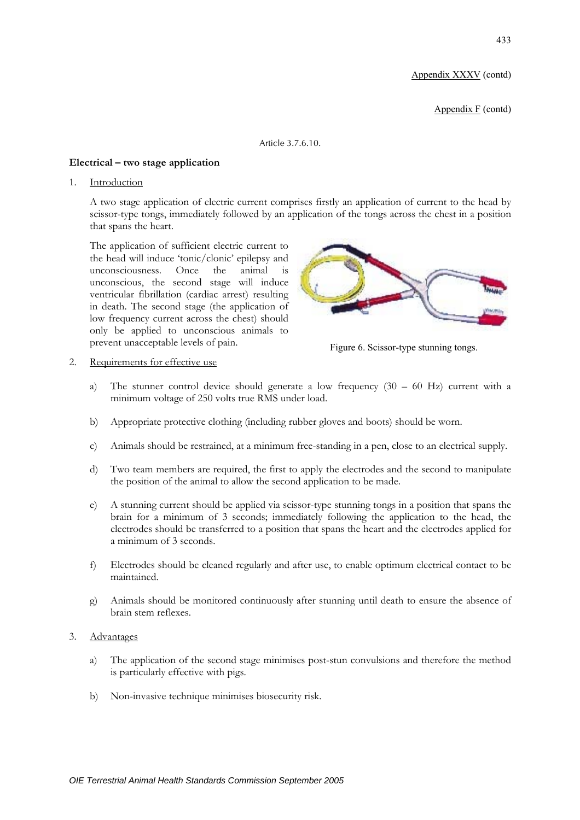Appendix  $F$  (contd)

Article 3.7.6.10.

### **Electrical – two stage application**

#### 1. Introduction

A two stage application of electric current comprises firstly an application of current to the head by scissor-type tongs, immediately followed by an application of the tongs across the chest in a position that spans the heart.

The application of sufficient electric current to the head will induce 'tonic/clonic' epilepsy and unconsciousness. Once the animal is unconscious, the second stage will induce ventricular fibrillation (cardiac arrest) resulting in death. The second stage (the application of low frequency current across the chest) should only be applied to unconscious animals to prevent unacceptable levels of pain.



Figure 6. Scissor-type stunning tongs.

#### 2. Requirements for effective use

- a) The stunner control device should generate a low frequency  $(30 60 \text{ Hz})$  current with a minimum voltage of 250 volts true RMS under load.
- b) Appropriate protective clothing (including rubber gloves and boots) should be worn.
- c) Animals should be restrained, at a minimum free-standing in a pen, close to an electrical supply.
- d) Two team members are required, the first to apply the electrodes and the second to manipulate the position of the animal to allow the second application to be made.
- e) A stunning current should be applied via scissor-type stunning tongs in a position that spans the brain for a minimum of 3 seconds; immediately following the application to the head, the electrodes should be transferred to a position that spans the heart and the electrodes applied for a minimum of 3 seconds.
- f) Electrodes should be cleaned regularly and after use, to enable optimum electrical contact to be maintained.
- g) Animals should be monitored continuously after stunning until death to ensure the absence of brain stem reflexes.

### 3. Advantages

- a) The application of the second stage minimises post-stun convulsions and therefore the method is particularly effective with pigs.
- b) Non-invasive technique minimises biosecurity risk.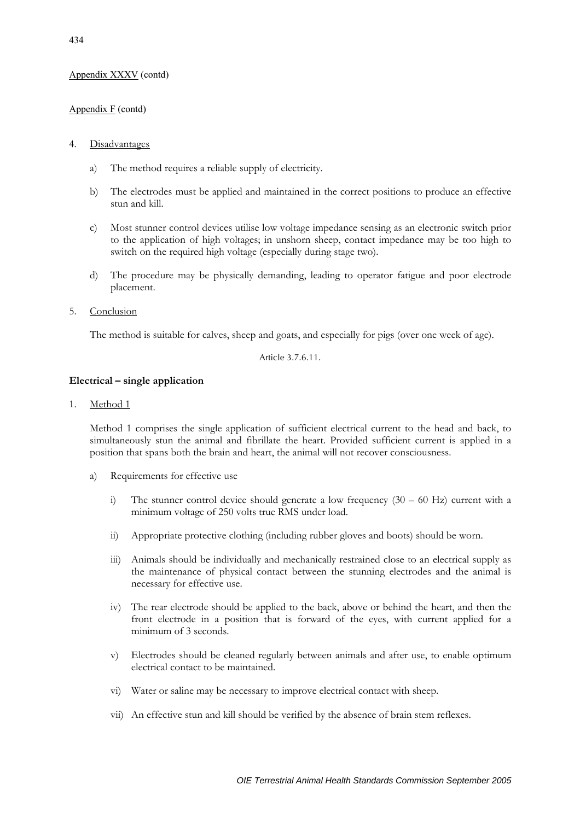#### Appendix  $F$  (contd)

#### 4. Disadvantages

- a) The method requires a reliable supply of electricity.
- b) The electrodes must be applied and maintained in the correct positions to produce an effective stun and kill.
- c) Most stunner control devices utilise low voltage impedance sensing as an electronic switch prior to the application of high voltages; in unshorn sheep, contact impedance may be too high to switch on the required high voltage (especially during stage two).
- d) The procedure may be physically demanding, leading to operator fatigue and poor electrode placement.

#### 5. Conclusion

The method is suitable for calves, sheep and goats, and especially for pigs (over one week of age).

Article 3.7.6.11.

#### **Electrical – single application**

1. Method 1

Method 1 comprises the single application of sufficient electrical current to the head and back, to simultaneously stun the animal and fibrillate the heart. Provided sufficient current is applied in a position that spans both the brain and heart, the animal will not recover consciousness.

- a) Requirements for effective use
	- i) The stunner control device should generate a low frequency  $(30 60 \text{ Hz})$  current with a minimum voltage of 250 volts true RMS under load.
	- ii) Appropriate protective clothing (including rubber gloves and boots) should be worn.
	- iii) Animals should be individually and mechanically restrained close to an electrical supply as the maintenance of physical contact between the stunning electrodes and the animal is necessary for effective use.
	- iv) The rear electrode should be applied to the back, above or behind the heart, and then the front electrode in a position that is forward of the eyes, with current applied for a minimum of 3 seconds.
	- v) Electrodes should be cleaned regularly between animals and after use, to enable optimum electrical contact to be maintained.
	- vi) Water or saline may be necessary to improve electrical contact with sheep.
	- vii) An effective stun and kill should be verified by the absence of brain stem reflexes.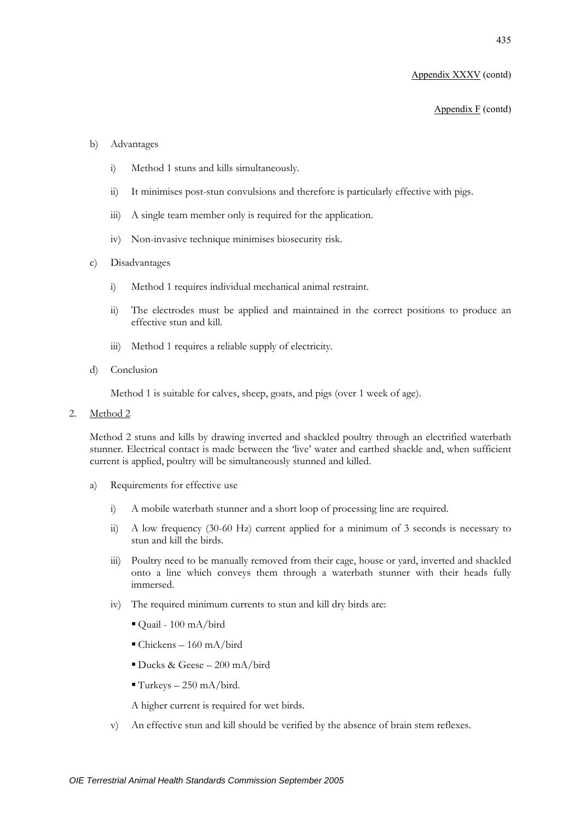### Appendix  $F$  (contd)

- b) Advantages
	- i) Method 1 stuns and kills simultaneously.
	- ii) It minimises post-stun convulsions and therefore is particularly effective with pigs.
	- iii) A single team member only is required for the application.
	- iv) Non-invasive technique minimises biosecurity risk.

#### c) Disadvantages

- i) Method 1 requires individual mechanical animal restraint.
- ii) The electrodes must be applied and maintained in the correct positions to produce an effective stun and kill.
- iii) Method 1 requires a reliable supply of electricity.
- d) Conclusion

Method 1 is suitable for calves, sheep, goats, and pigs (over 1 week of age).

2. Method 2

Method 2 stuns and kills by drawing inverted and shackled poultry through an electrified waterbath stunner. Electrical contact is made between the 'live' water and earthed shackle and, when sufficient current is applied, poultry will be simultaneously stunned and killed.

- a) Requirements for effective use
	- i) A mobile waterbath stunner and a short loop of processing line are required.
	- ii) A low frequency (30-60 Hz) current applied for a minimum of 3 seconds is necessary to stun and kill the birds.
	- iii) Poultry need to be manually removed from their cage, house or yard, inverted and shackled onto a line which conveys them through a waterbath stunner with their heads fully immersed.
	- iv) The required minimum currents to stun and kill dry birds are:
		- $\blacksquare$  Ouail 100 mA/bird
		- $\blacksquare$ Chickens 160 mA/bird
		- Ducks & Geese 200 mA/bird
		- Turkeys  $-250$  mA/bird.

A higher current is required for wet birds.

v) An effective stun and kill should be verified by the absence of brain stem reflexes.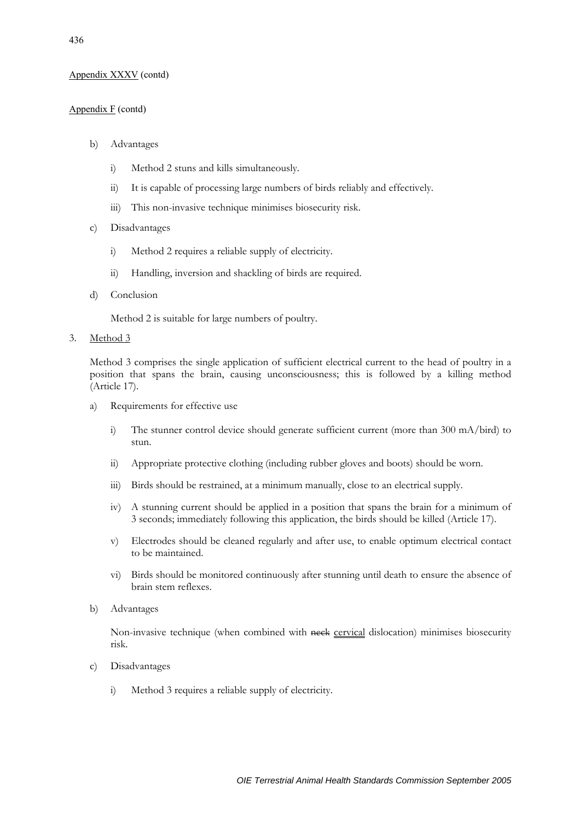#### Appendix  $F$  (contd)

- b) Advantages
	- i) Method 2 stuns and kills simultaneously.
	- ii) It is capable of processing large numbers of birds reliably and effectively.
	- iii) This non-invasive technique minimises biosecurity risk.
- c) Disadvantages
	- i) Method 2 requires a reliable supply of electricity.
	- ii) Handling, inversion and shackling of birds are required.
- d) Conclusion

Method 2 is suitable for large numbers of poultry.

3. Method 3

Method 3 comprises the single application of sufficient electrical current to the head of poultry in a position that spans the brain, causing unconsciousness; this is followed by a killing method (Article 17).

- a) Requirements for effective use
	- i) The stunner control device should generate sufficient current (more than 300 mA/bird) to stun.
	- ii) Appropriate protective clothing (including rubber gloves and boots) should be worn.
	- iii) Birds should be restrained, at a minimum manually, close to an electrical supply.
	- iv) A stunning current should be applied in a position that spans the brain for a minimum of 3 seconds; immediately following this application, the birds should be killed (Article 17).
	- v) Electrodes should be cleaned regularly and after use, to enable optimum electrical contact to be maintained.
	- vi) Birds should be monitored continuously after stunning until death to ensure the absence of brain stem reflexes.
- b) Advantages

Non-invasive technique (when combined with neck cervical dislocation) minimises biosecurity risk.

- c) Disadvantages
	- i) Method 3 requires a reliable supply of electricity.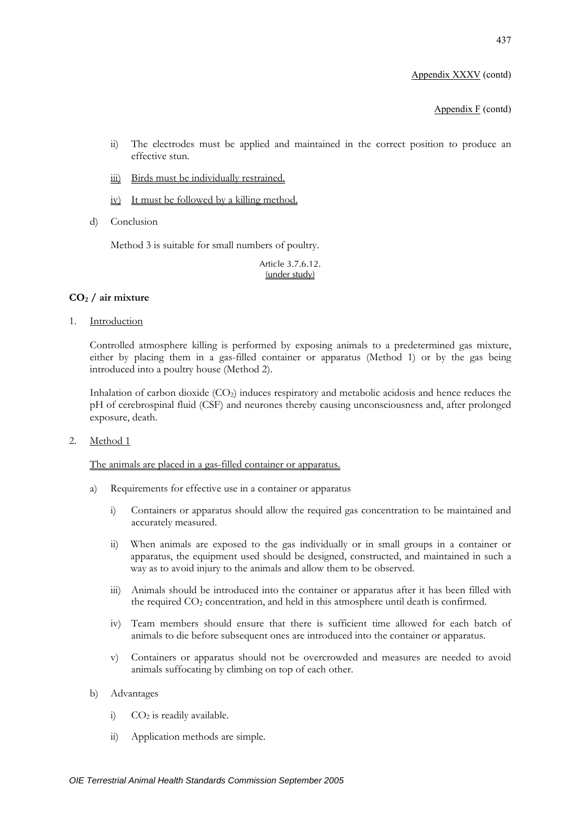### Appendix  $F$  (contd)

- ii) The electrodes must be applied and maintained in the correct position to produce an effective stun.
- iii) Birds must be individually restrained.
- iv) It must be followed by a killing method.
- d) Conclusion

Method 3 is suitable for small numbers of poultry.

### Article 3.7.6.12. (under study)

### **CO2 / air mixture**

1. Introduction

Controlled atmosphere killing is performed by exposing animals to a predetermined gas mixture, either by placing them in a gas-filled container or apparatus (Method 1) or by the gas being introduced into a poultry house (Method 2).

Inhalation of carbon dioxide  $(CO<sub>2</sub>)$  induces respiratory and metabolic acidosis and hence reduces the pH of cerebrospinal fluid (CSF) and neurones thereby causing unconsciousness and, after prolonged exposure, death.

### 2. Method 1

The animals are placed in a gas-filled container or apparatus.

- a) Requirements for effective use in a container or apparatus
	- i) Containers or apparatus should allow the required gas concentration to be maintained and accurately measured.
	- ii) When animals are exposed to the gas individually or in small groups in a container or apparatus, the equipment used should be designed, constructed, and maintained in such a way as to avoid injury to the animals and allow them to be observed.
	- iii) Animals should be introduced into the container or apparatus after it has been filled with the required CO2 concentration, and held in this atmosphere until death is confirmed.
	- iv) Team members should ensure that there is sufficient time allowed for each batch of animals to die before subsequent ones are introduced into the container or apparatus.
	- v) Containers or apparatus should not be overcrowded and measures are needed to avoid animals suffocating by climbing on top of each other.
- b) Advantages
	- i)  $CO<sub>2</sub>$  is readily available.
	- ii) Application methods are simple.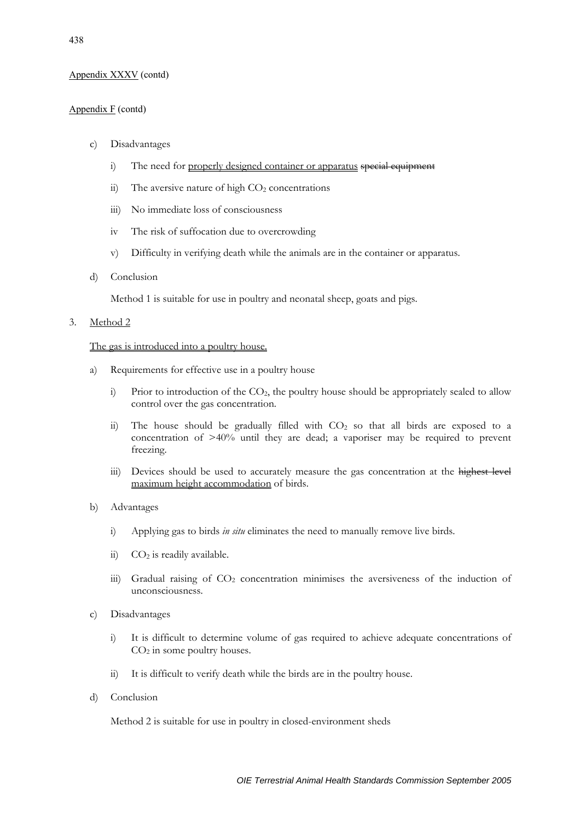#### Appendix  $F$  (contd)

- c) Disadvantages
	- i) The need for properly designed container or apparatus special equipment
	- ii) The aversive nature of high  $CO<sub>2</sub>$  concentrations
	- iii) No immediate loss of consciousness
	- iv The risk of suffocation due to overcrowding
	- v) Difficulty in verifying death while the animals are in the container or apparatus.
- d) Conclusion

Method 1 is suitable for use in poultry and neonatal sheep, goats and pigs.

### 3. Method 2

### The gas is introduced into a poultry house.

- a) Requirements for effective use in a poultry house
	- i) Prior to introduction of the CO2, the poultry house should be appropriately sealed to allow control over the gas concentration.
	- ii) The house should be gradually filled with  $CO<sub>2</sub>$  so that all birds are exposed to a concentration of >40% until they are dead; a vaporiser may be required to prevent freezing.
	- iii) Devices should be used to accurately measure the gas concentration at the highest level maximum height accommodation of birds.
- b) Advantages
	- i) Applying gas to birds *in situ* eliminates the need to manually remove live birds.
	- ii)  $CO<sub>2</sub>$  is readily available.
	- iii) Gradual raising of  $CO<sub>2</sub>$  concentration minimises the aversiveness of the induction of unconsciousness.
- c) Disadvantages
	- i) It is difficult to determine volume of gas required to achieve adequate concentrations of  $CO<sub>2</sub>$  in some poultry houses.
	- ii) It is difficult to verify death while the birds are in the poultry house.
- d) Conclusion

Method 2 is suitable for use in poultry in closed-environment sheds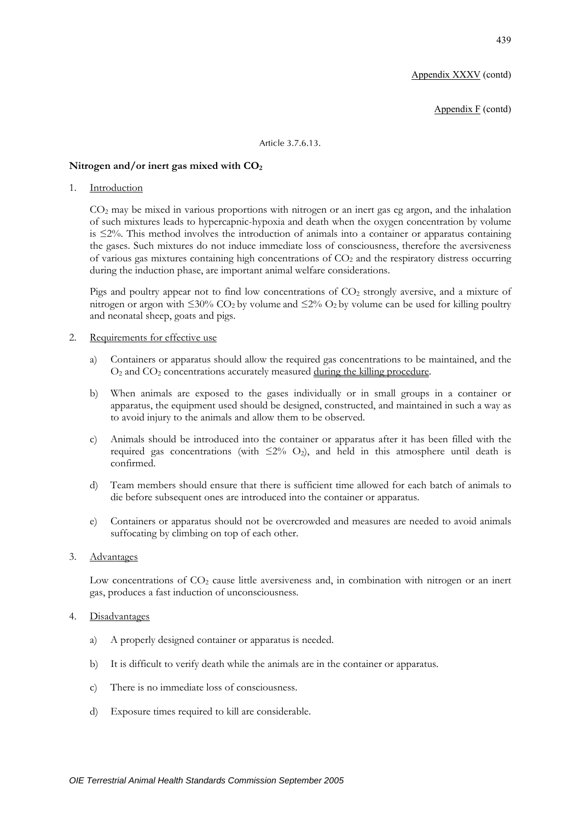Appendix  $F$  (contd)

#### Article 3.7.6.13.

### Nitrogen and/or inert gas mixed with  $CO<sub>2</sub>$

1. Introduction

CO2 may be mixed in various proportions with nitrogen or an inert gas eg argon, and the inhalation of such mixtures leads to hypercapnic-hypoxia and death when the oxygen concentration by volume is  $\leq 2\%$ . This method involves the introduction of animals into a container or apparatus containing the gases. Such mixtures do not induce immediate loss of consciousness, therefore the aversiveness of various gas mixtures containing high concentrations of CO2 and the respiratory distress occurring during the induction phase, are important animal welfare considerations.

Pigs and poultry appear not to find low concentrations of  $CO<sub>2</sub>$  strongly aversive, and a mixture of nitrogen or argon with  $\leq 30\%$  CO<sub>2</sub> by volume and  $\leq 2\%$  O<sub>2</sub> by volume can be used for killing poultry and neonatal sheep, goats and pigs.

- 2. Requirements for effective use
	- a) Containers or apparatus should allow the required gas concentrations to be maintained, and the O2 and CO2 concentrations accurately measured during the killing procedure.
	- b) When animals are exposed to the gases individually or in small groups in a container or apparatus, the equipment used should be designed, constructed, and maintained in such a way as to avoid injury to the animals and allow them to be observed.
	- c) Animals should be introduced into the container or apparatus after it has been filled with the required gas concentrations (with  $\leq 2\%$  O<sub>2</sub>), and held in this atmosphere until death is confirmed.
	- d) Team members should ensure that there is sufficient time allowed for each batch of animals to die before subsequent ones are introduced into the container or apparatus.
	- e) Containers or apparatus should not be overcrowded and measures are needed to avoid animals suffocating by climbing on top of each other.
- 3. Advantages

Low concentrations of  $CO<sub>2</sub>$  cause little aversiveness and, in combination with nitrogen or an inert gas, produces a fast induction of unconsciousness.

- 4. Disadvantages
	- a) A properly designed container or apparatus is needed.
	- b) It is difficult to verify death while the animals are in the container or apparatus.
	- c) There is no immediate loss of consciousness.
	- d) Exposure times required to kill are considerable.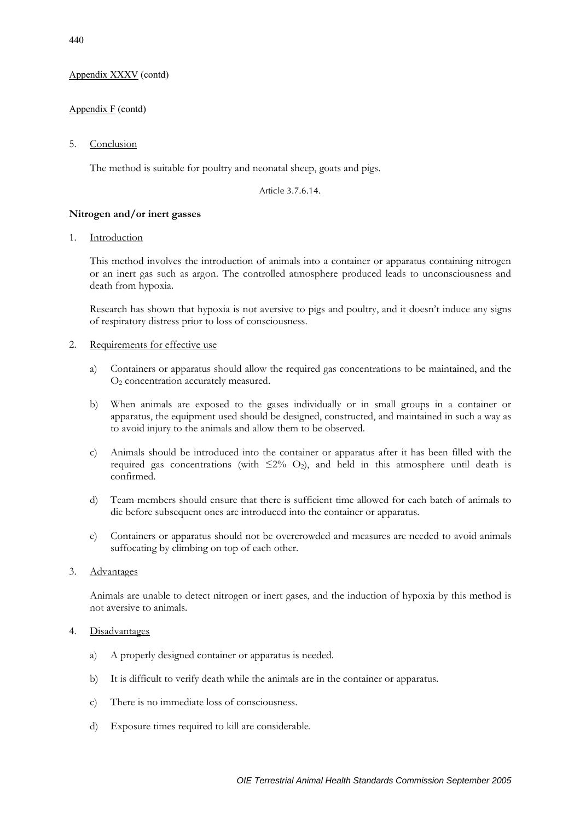### Appendix  $F$  (contd)

5. Conclusion

The method is suitable for poultry and neonatal sheep, goats and pigs.

Article 3.7.6.14.

### **Nitrogen and/or inert gasses**

#### 1. Introduction

This method involves the introduction of animals into a container or apparatus containing nitrogen or an inert gas such as argon. The controlled atmosphere produced leads to unconsciousness and death from hypoxia.

Research has shown that hypoxia is not aversive to pigs and poultry, and it doesn't induce any signs of respiratory distress prior to loss of consciousness.

#### 2. Requirements for effective use

- a) Containers or apparatus should allow the required gas concentrations to be maintained, and the O2 concentration accurately measured.
- b) When animals are exposed to the gases individually or in small groups in a container or apparatus, the equipment used should be designed, constructed, and maintained in such a way as to avoid injury to the animals and allow them to be observed.
- c) Animals should be introduced into the container or apparatus after it has been filled with the required gas concentrations (with  $\leq 2\%$  O<sub>2</sub>), and held in this atmosphere until death is confirmed.
- d) Team members should ensure that there is sufficient time allowed for each batch of animals to die before subsequent ones are introduced into the container or apparatus.
- e) Containers or apparatus should not be overcrowded and measures are needed to avoid animals suffocating by climbing on top of each other.

### 3. Advantages

Animals are unable to detect nitrogen or inert gases, and the induction of hypoxia by this method is not aversive to animals.

#### 4. Disadvantages

- a) A properly designed container or apparatus is needed.
- b) It is difficult to verify death while the animals are in the container or apparatus.
- c) There is no immediate loss of consciousness.
- d) Exposure times required to kill are considerable.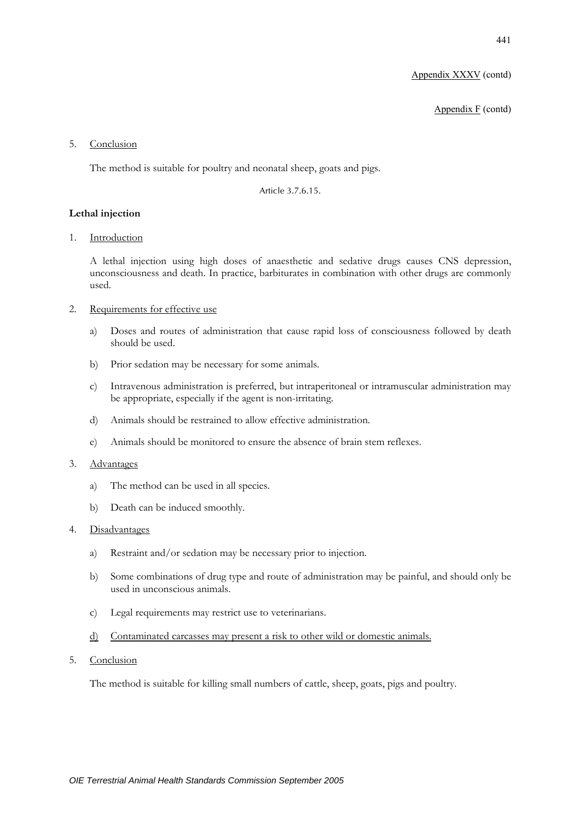### Appendix  $F$  (contd)

### 5. Conclusion

The method is suitable for poultry and neonatal sheep, goats and pigs.

Article 3.7.6.15.

### **Lethal injection**

1. Introduction

A lethal injection using high doses of anaesthetic and sedative drugs causes CNS depression, unconsciousness and death. In practice, barbiturates in combination with other drugs are commonly used.

### 2. Requirements for effective use

- a) Doses and routes of administration that cause rapid loss of consciousness followed by death should be used.
- b) Prior sedation may be necessary for some animals.
- c) Intravenous administration is preferred, but intraperitoneal or intramuscular administration may be appropriate, especially if the agent is non-irritating.
- d) Animals should be restrained to allow effective administration.
- e) Animals should be monitored to ensure the absence of brain stem reflexes.

#### 3. Advantages

- a) The method can be used in all species.
- b) Death can be induced smoothly.

### 4. Disadvantages

- a) Restraint and/or sedation may be necessary prior to injection.
- b) Some combinations of drug type and route of administration may be painful, and should only be used in unconscious animals.
- c) Legal requirements may restrict use to veterinarians.
- d) Contaminated carcasses may present a risk to other wild or domestic animals.
- 5. Conclusion

The method is suitable for killing small numbers of cattle, sheep, goats, pigs and poultry.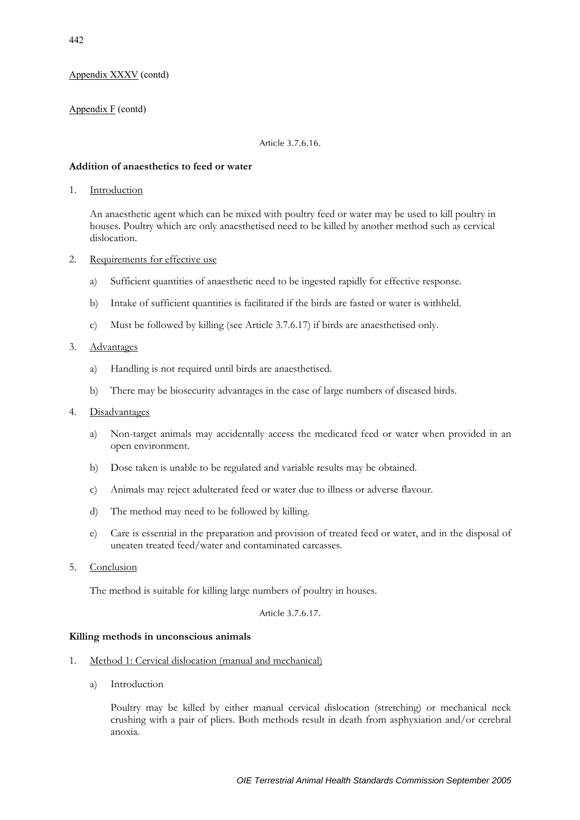Appendix  $F$  (contd)

Article 3.7.6.16.

### **Addition of anaesthetics to feed or water**

1. Introduction

An anaesthetic agent which can be mixed with poultry feed or water may be used to kill poultry in houses. Poultry which are only anaesthetised need to be killed by another method such as cervical dislocation.

- 2. Requirements for effective use
	- a) Sufficient quantities of anaesthetic need to be ingested rapidly for effective response.
	- b) Intake of sufficient quantities is facilitated if the birds are fasted or water is withheld.
	- c) Must be followed by killing (see Article 3.7.6.17) if birds are anaesthetised only.

### 3. Advantages

- a) Handling is not required until birds are anaesthetised.
- b) There may be biosecurity advantages in the case of large numbers of diseased birds.

#### 4. Disadvantages

- a) Non-target animals may accidentally access the medicated feed or water when provided in an open environment.
- b) Dose taken is unable to be regulated and variable results may be obtained.
- c) Animals may reject adulterated feed or water due to illness or adverse flavour.
- d) The method may need to be followed by killing.
- e) Care is essential in the preparation and provision of treated feed or water, and in the disposal of uneaten treated feed/water and contaminated carcasses.
- 5. Conclusion

The method is suitable for killing large numbers of poultry in houses.

```
Article 3.7.6.17.
```
#### **Killing methods in unconscious animals**

- 1. Method 1: Cervical dislocation (manual and mechanical)
	- a) Introduction

Poultry may be killed by either manual cervical dislocation (stretching) or mechanical neck crushing with a pair of pliers. Both methods result in death from asphyxiation and/or cerebral anoxia.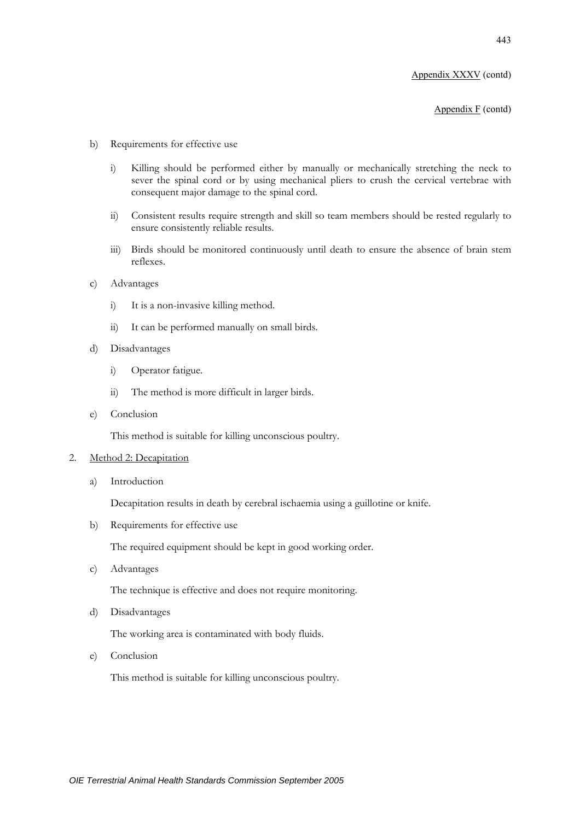Appendix  $F$  (contd)

- b) Requirements for effective use
	- i) Killing should be performed either by manually or mechanically stretching the neck to sever the spinal cord or by using mechanical pliers to crush the cervical vertebrae with consequent major damage to the spinal cord.
	- ii) Consistent results require strength and skill so team members should be rested regularly to ensure consistently reliable results.
	- iii) Birds should be monitored continuously until death to ensure the absence of brain stem reflexes.
- c) Advantages
	- i) It is a non-invasive killing method.
	- ii) It can be performed manually on small birds.
- d) Disadvantages
	- i) Operator fatigue.
	- ii) The method is more difficult in larger birds.
- e) Conclusion

This method is suitable for killing unconscious poultry.

#### 2. Method 2: Decapitation

a) Introduction

Decapitation results in death by cerebral ischaemia using a guillotine or knife.

b) Requirements for effective use

The required equipment should be kept in good working order.

c) Advantages

The technique is effective and does not require monitoring.

d) Disadvantages

The working area is contaminated with body fluids.

e) Conclusion

This method is suitable for killing unconscious poultry.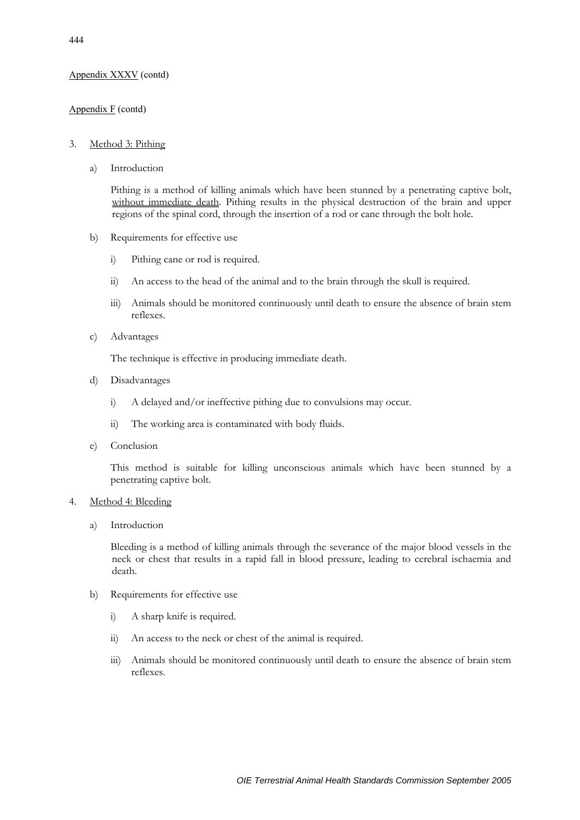### Appendix  $F$  (contd)

### 3. Method 3: Pithing

a) Introduction

Pithing is a method of killing animals which have been stunned by a penetrating captive bolt, without immediate death. Pithing results in the physical destruction of the brain and upper regions of the spinal cord, through the insertion of a rod or cane through the bolt hole.

- b) Requirements for effective use
	- i) Pithing cane or rod is required.
	- ii) An access to the head of the animal and to the brain through the skull is required.
	- iii) Animals should be monitored continuously until death to ensure the absence of brain stem reflexes.
- c) Advantages

The technique is effective in producing immediate death.

- d) Disadvantages
	- i) A delayed and/or ineffective pithing due to convulsions may occur.
	- ii) The working area is contaminated with body fluids.
- e) Conclusion

This method is suitable for killing unconscious animals which have been stunned by a penetrating captive bolt.

#### 4. Method 4: Bleeding

a) Introduction

Bleeding is a method of killing animals through the severance of the major blood vessels in the neck or chest that results in a rapid fall in blood pressure, leading to cerebral ischaemia and death.

- b) Requirements for effective use
	- i) A sharp knife is required.
	- ii) An access to the neck or chest of the animal is required.
	- iii) Animals should be monitored continuously until death to ensure the absence of brain stem reflexes.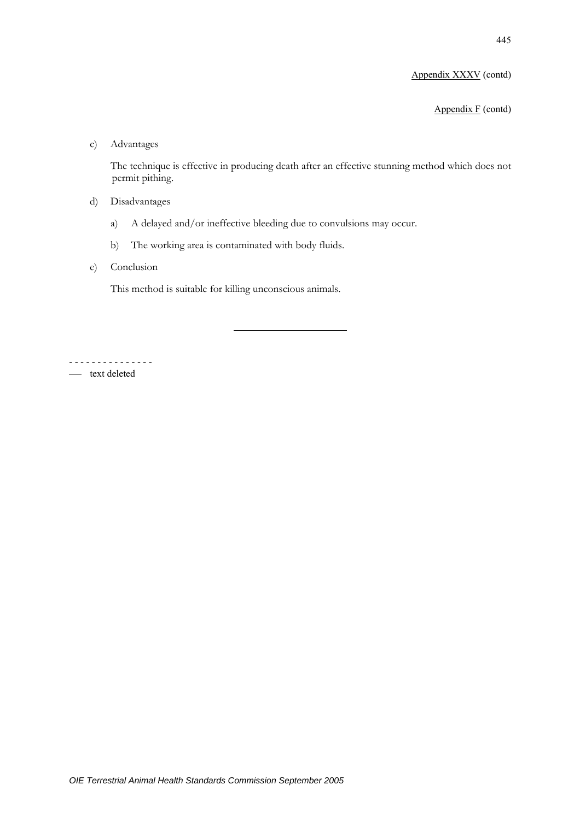Appendix F (contd)

c) Advantages

The technique is effective in producing death after an effective stunning method which does not permit pithing.

- d) Disadvantages
	- a) A delayed and/or ineffective bleeding due to convulsions may occur.
	- b) The working area is contaminated with body fluids.
- e) Conclusion

This method is suitable for killing unconscious animals.

- - - - - - - - - - - - - - - - text deleted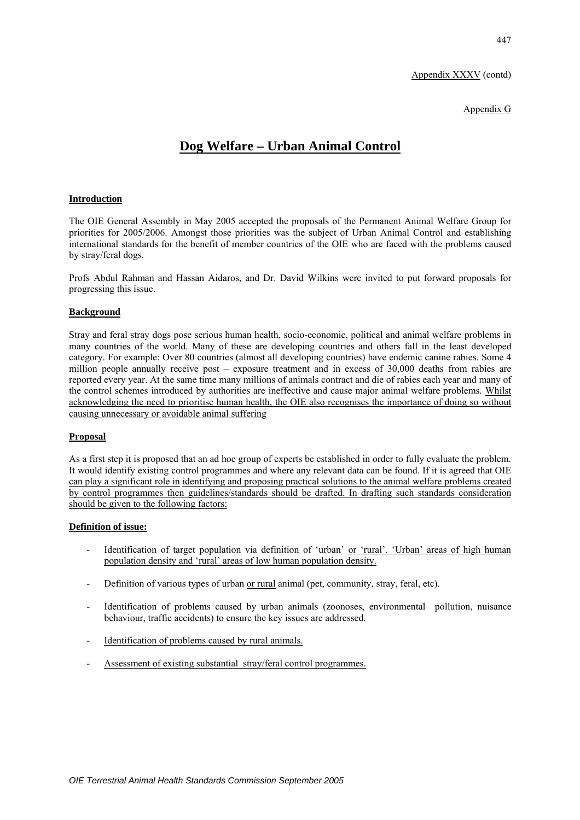### Appendix G

# **Dog Welfare – Urban Animal Control**

### **Introduction**

The OIE General Assembly in May 2005 accepted the proposals of the Permanent Animal Welfare Group for priorities for 2005/2006. Amongst those priorities was the subject of Urban Animal Control and establishing international standards for the benefit of member countries of the OIE who are faced with the problems caused by stray/feral dogs.

Profs Abdul Rahman and Hassan Aidaros, and Dr. David Wilkins were invited to put forward proposals for progressing this issue.

### **Background**

Stray and feral stray dogs pose serious human health, socio-economic, political and animal welfare problems in many countries of the world. Many of these are developing countries and others fall in the least developed category. For example: Over 80 countries (almost all developing countries) have endemic canine rabies. Some 4 million people annually receive post – exposure treatment and in excess of 30,000 deaths from rabies are reported every year. At the same time many millions of animals contract and die of rabies each year and many of the control schemes introduced by authorities are ineffective and cause major animal welfare problems. Whilst acknowledging the need to prioritise human health, the OIE also recognises the importance of doing so without causing unnecessary or avoidable animal suffering

#### **Proposal**

As a first step it is proposed that an ad hoc group of experts be established in order to fully evaluate the problem. It would identify existing control programmes and where any relevant data can be found. If it is agreed that OIE can play a significant role in identifying and proposing practical solutions to the animal welfare problems created by control programmes then guidelines/standards should be drafted. In drafting such standards consideration should be given to the following factors:

#### **Definition of issue:**

- Identification of target population via definition of 'urban' or 'rural'. 'Urban' areas of high human population density and 'rural' areas of low human population density.
- Definition of various types of urban <u>or rural</u> animal (pet, community, stray, feral, etc).
- Identification of problems caused by urban animals (zoonoses, environmental pollution, nuisance behaviour, traffic accidents) to ensure the key issues are addressed.
- Identification of problems caused by rural animals.
- Assessment of existing substantial stray/feral control programmes.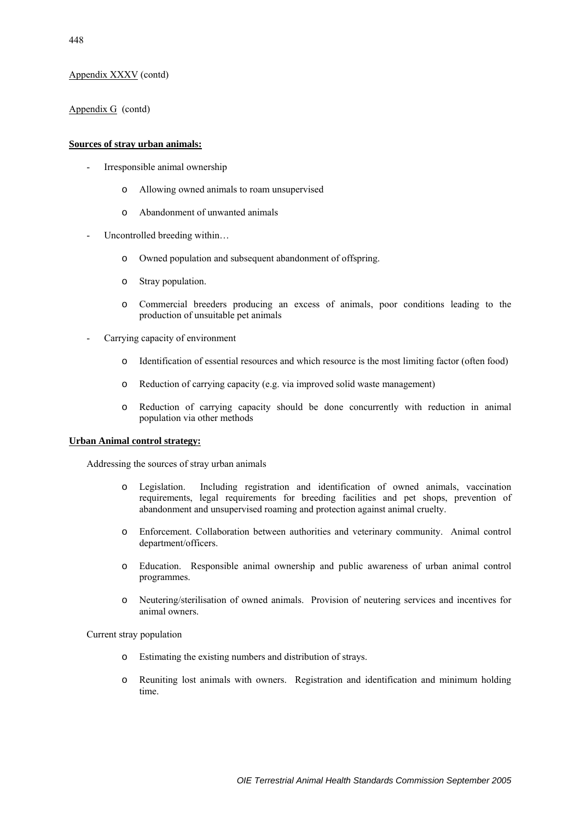Appendix G (contd)

#### **Sources of stray urban animals:**

- Irresponsible animal ownership
	- o Allowing owned animals to roam unsupervised
	- o Abandonment of unwanted animals
- Uncontrolled breeding within…
	- o Owned population and subsequent abandonment of offspring.
	- o Stray population.
	- o Commercial breeders producing an excess of animals, poor conditions leading to the production of unsuitable pet animals
- Carrying capacity of environment
	- o Identification of essential resources and which resource is the most limiting factor (often food)
	- o Reduction of carrying capacity (e.g. via improved solid waste management)
	- o Reduction of carrying capacity should be done concurrently with reduction in animal population via other methods

#### **Urban Animal control strategy:**

Addressing the sources of stray urban animals

- o Legislation. Including registration and identification of owned animals, vaccination requirements, legal requirements for breeding facilities and pet shops, prevention of abandonment and unsupervised roaming and protection against animal cruelty.
- o Enforcement. Collaboration between authorities and veterinary community. Animal control department/officers.
- o Education. Responsible animal ownership and public awareness of urban animal control programmes.
- o Neutering/sterilisation of owned animals. Provision of neutering services and incentives for animal owners.

Current stray population

- o Estimating the existing numbers and distribution of strays.
- o Reuniting lost animals with owners. Registration and identification and minimum holding time.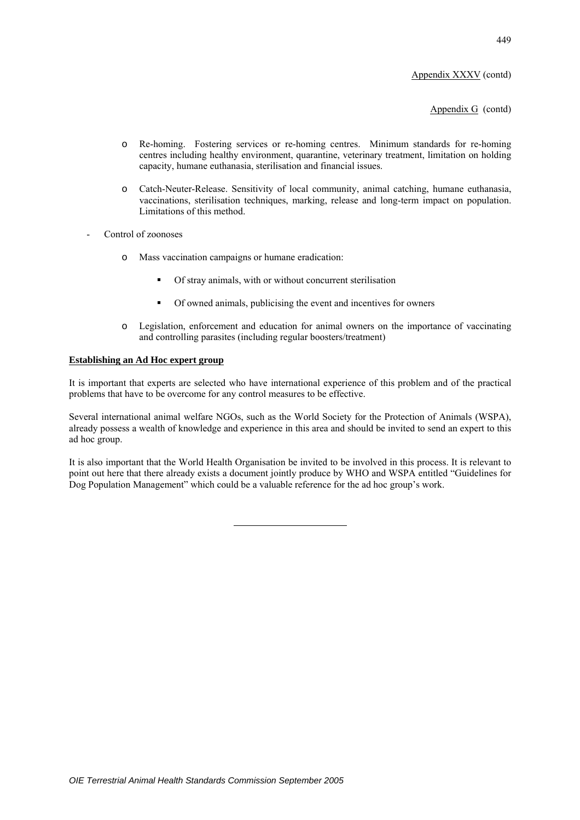Appendix G (contd)

- o Re-homing. Fostering services or re-homing centres. Minimum standards for re-homing centres including healthy environment, quarantine, veterinary treatment, limitation on holding capacity, humane euthanasia, sterilisation and financial issues.
- o Catch-Neuter-Release. Sensitivity of local community, animal catching, humane euthanasia, vaccinations, sterilisation techniques, marking, release and long-term impact on population. Limitations of this method.
- Control of zoonoses
	- o Mass vaccination campaigns or humane eradication:
		- Of stray animals, with or without concurrent sterilisation
		- Of owned animals, publicising the event and incentives for owners
	- o Legislation, enforcement and education for animal owners on the importance of vaccinating and controlling parasites (including regular boosters/treatment)

#### **Establishing an Ad Hoc expert group**

It is important that experts are selected who have international experience of this problem and of the practical problems that have to be overcome for any control measures to be effective.

Several international animal welfare NGOs, such as the World Society for the Protection of Animals (WSPA), already possess a wealth of knowledge and experience in this area and should be invited to send an expert to this ad hoc group.

It is also important that the World Health Organisation be invited to be involved in this process. It is relevant to point out here that there already exists a document jointly produce by WHO and WSPA entitled "Guidelines for Dog Population Management" which could be a valuable reference for the ad hoc group's work.

449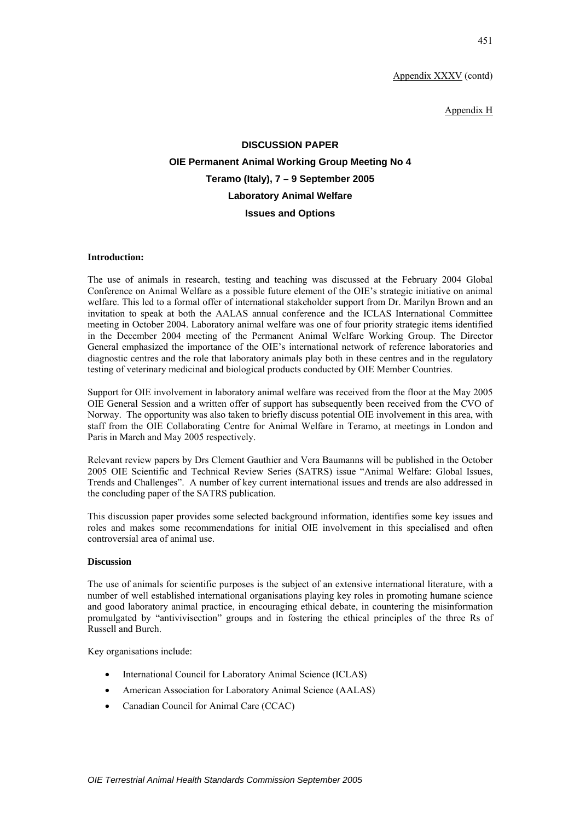Appendix H

# **DISCUSSION PAPER OIE Permanent Animal Working Group Meeting No 4 Teramo (Italy), 7 – 9 September 2005 Laboratory Animal Welfare Issues and Options**

#### **Introduction:**

The use of animals in research, testing and teaching was discussed at the February 2004 Global Conference on Animal Welfare as a possible future element of the OIE's strategic initiative on animal welfare. This led to a formal offer of international stakeholder support from Dr. Marilyn Brown and an invitation to speak at both the AALAS annual conference and the ICLAS International Committee meeting in October 2004. Laboratory animal welfare was one of four priority strategic items identified in the December 2004 meeting of the Permanent Animal Welfare Working Group. The Director General emphasized the importance of the OIE's international network of reference laboratories and diagnostic centres and the role that laboratory animals play both in these centres and in the regulatory testing of veterinary medicinal and biological products conducted by OIE Member Countries.

Support for OIE involvement in laboratory animal welfare was received from the floor at the May 2005 OIE General Session and a written offer of support has subsequently been received from the CVO of Norway. The opportunity was also taken to briefly discuss potential OIE involvement in this area, with staff from the OIE Collaborating Centre for Animal Welfare in Teramo, at meetings in London and Paris in March and May 2005 respectively.

Relevant review papers by Drs Clement Gauthier and Vera Baumanns will be published in the October 2005 OIE Scientific and Technical Review Series (SATRS) issue "Animal Welfare: Global Issues, Trends and Challenges". A number of key current international issues and trends are also addressed in the concluding paper of the SATRS publication.

This discussion paper provides some selected background information, identifies some key issues and roles and makes some recommendations for initial OIE involvement in this specialised and often controversial area of animal use.

#### **Discussion**

The use of animals for scientific purposes is the subject of an extensive international literature, with a number of well established international organisations playing key roles in promoting humane science and good laboratory animal practice, in encouraging ethical debate, in countering the misinformation promulgated by "antivivisection" groups and in fostering the ethical principles of the three Rs of Russell and Burch.

Key organisations include:

- International Council for Laboratory Animal Science (ICLAS)
- American Association for Laboratory Animal Science (AALAS)
- Canadian Council for Animal Care (CCAC)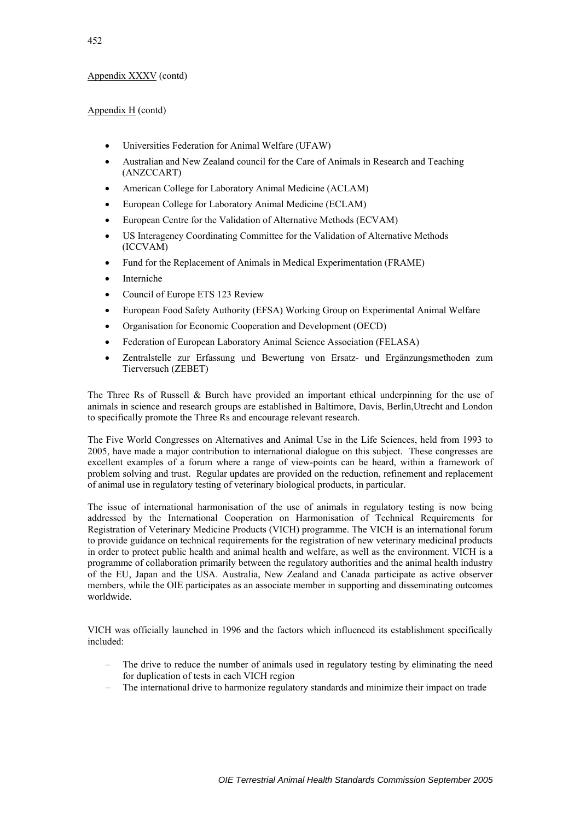### Appendix H (contd)

- Universities Federation for Animal Welfare (UFAW)
- Australian and New Zealand council for the Care of Animals in Research and Teaching (ANZCCART)
- American College for Laboratory Animal Medicine (ACLAM)
- European College for Laboratory Animal Medicine (ECLAM)
- European Centre for the Validation of Alternative Methods (ECVAM)
- US Interagency Coordinating Committee for the Validation of Alternative Methods (ICCVAM)
- Fund for the Replacement of Animals in Medical Experimentation (FRAME)
- **Interniche**
- Council of Europe ETS 123 Review
- European Food Safety Authority (EFSA) Working Group on Experimental Animal Welfare
- Organisation for Economic Cooperation and Development (OECD)
- Federation of European Laboratory Animal Science Association (FELASA)
- Zentralstelle zur Erfassung und Bewertung von Ersatz- und Ergänzungsmethoden zum Tierversuch (ZEBET)

The Three Rs of Russell & Burch have provided an important ethical underpinning for the use of animals in science and research groups are established in Baltimore, Davis, Berlin,Utrecht and London to specifically promote the Three Rs and encourage relevant research.

The Five World Congresses on Alternatives and Animal Use in the Life Sciences, held from 1993 to 2005, have made a major contribution to international dialogue on this subject. These congresses are excellent examples of a forum where a range of view-points can be heard, within a framework of problem solving and trust. Regular updates are provided on the reduction, refinement and replacement of animal use in regulatory testing of veterinary biological products, in particular.

The issue of international harmonisation of the use of animals in regulatory testing is now being addressed by the International Cooperation on Harmonisation of Technical Requirements for Registration of Veterinary Medicine Products (VICH) programme. The VICH is an international forum to provide guidance on technical requirements for the registration of new veterinary medicinal products in order to protect public health and animal health and welfare, as well as the environment. VICH is a programme of collaboration primarily between the regulatory authorities and the animal health industry of the EU, Japan and the USA. Australia, New Zealand and Canada participate as active observer members, while the OIE participates as an associate member in supporting and disseminating outcomes worldwide.

VICH was officially launched in 1996 and the factors which influenced its establishment specifically included:

- The drive to reduce the number of animals used in regulatory testing by eliminating the need for duplication of tests in each VICH region
- The international drive to harmonize regulatory standards and minimize their impact on trade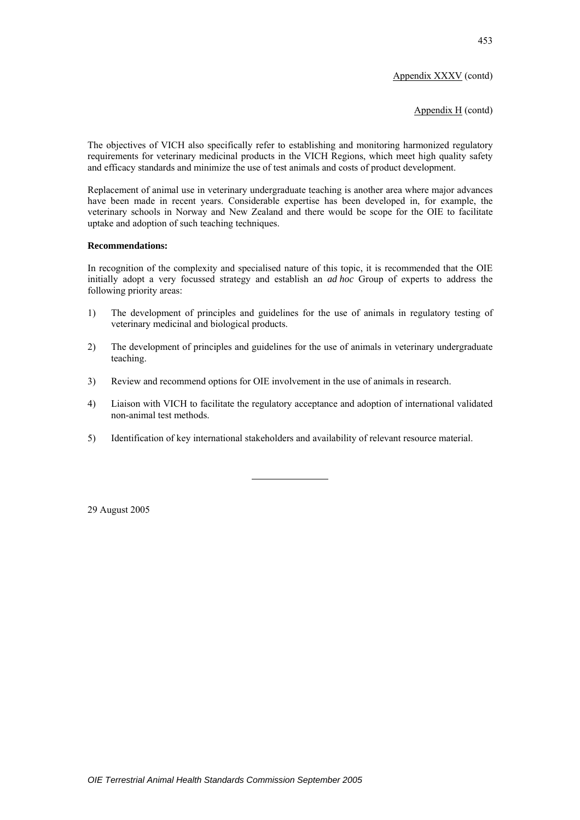Appendix H (contd)

The objectives of VICH also specifically refer to establishing and monitoring harmonized regulatory requirements for veterinary medicinal products in the VICH Regions, which meet high quality safety and efficacy standards and minimize the use of test animals and costs of product development.

Replacement of animal use in veterinary undergraduate teaching is another area where major advances have been made in recent years. Considerable expertise has been developed in, for example, the veterinary schools in Norway and New Zealand and there would be scope for the OIE to facilitate uptake and adoption of such teaching techniques.

#### **Recommendations:**

In recognition of the complexity and specialised nature of this topic, it is recommended that the OIE initially adopt a very focussed strategy and establish an *ad hoc* Group of experts to address the following priority areas:

- 1) The development of principles and guidelines for the use of animals in regulatory testing of veterinary medicinal and biological products.
- 2) The development of principles and guidelines for the use of animals in veterinary undergraduate teaching.
- 3) Review and recommend options for OIE involvement in the use of animals in research.
- 4) Liaison with VICH to facilitate the regulatory acceptance and adoption of international validated non-animal test methods.
- 5) Identification of key international stakeholders and availability of relevant resource material.

29 August 2005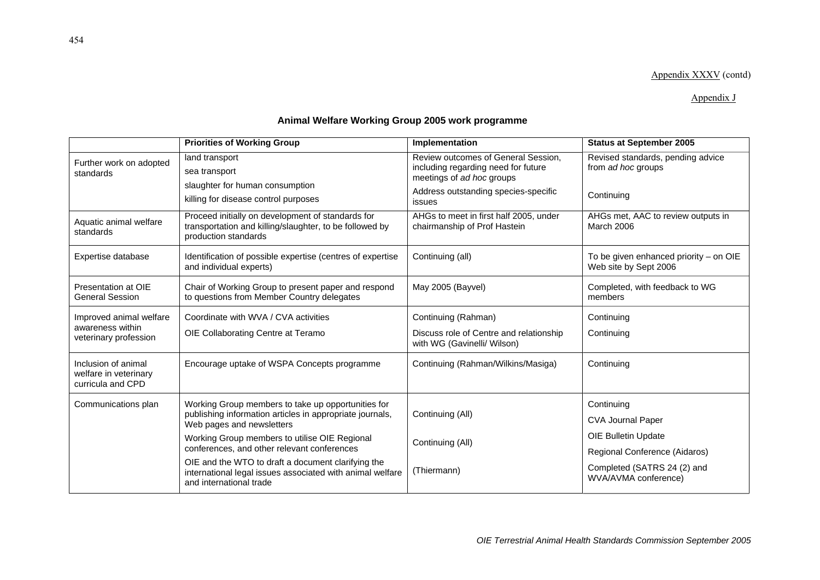# Appendix J

|                                                                   | <b>Priorities of Working Group</b>                                                                                                         | Implementation                                                         | <b>Status at September 2005</b>                                 |
|-------------------------------------------------------------------|--------------------------------------------------------------------------------------------------------------------------------------------|------------------------------------------------------------------------|-----------------------------------------------------------------|
| Further work on adopted                                           | land transport                                                                                                                             | Review outcomes of General Session,                                    | Revised standards, pending advice                               |
| standards                                                         | sea transport                                                                                                                              | including regarding need for future<br>meetings of ad hoc groups       | from ad hoc groups                                              |
|                                                                   | slaughter for human consumption                                                                                                            | Address outstanding species-specific                                   |                                                                 |
|                                                                   | killing for disease control purposes                                                                                                       | issues                                                                 | Continuing                                                      |
| Aquatic animal welfare<br>standards                               | Proceed initially on development of standards for<br>transportation and killing/slaughter, to be followed by<br>production standards       | AHGs to meet in first half 2005, under<br>chairmanship of Prof Hastein | AHGs met, AAC to review outputs in<br>March 2006                |
| Expertise database                                                | Identification of possible expertise (centres of expertise<br>and individual experts)                                                      | Continuing (all)                                                       | To be given enhanced priority - on OIE<br>Web site by Sept 2006 |
| Presentation at OIE<br><b>General Session</b>                     | Chair of Working Group to present paper and respond<br>to questions from Member Country delegates                                          | May 2005 (Bayvel)                                                      | Completed, with feedback to WG<br>members                       |
| Improved animal welfare                                           | Coordinate with WVA / CVA activities                                                                                                       | Continuing (Rahman)                                                    | Continuing                                                      |
| awareness within<br>veterinary profession                         | OIE Collaborating Centre at Teramo                                                                                                         | Discuss role of Centre and relationship<br>with WG (Gavinelli/ Wilson) | Continuing                                                      |
| Inclusion of animal<br>welfare in veterinary<br>curricula and CPD | Encourage uptake of WSPA Concepts programme                                                                                                | Continuing (Rahman/Wilkins/Masiga)                                     | Continuing                                                      |
| Communications plan                                               | Working Group members to take up opportunities for                                                                                         |                                                                        | Continuing                                                      |
|                                                                   | publishing information articles in appropriate journals,<br>Web pages and newsletters                                                      | Continuing (All)                                                       | CVA Journal Paper                                               |
|                                                                   | Working Group members to utilise OIE Regional                                                                                              | Continuing (All)                                                       | OIE Bulletin Update                                             |
|                                                                   | conferences, and other relevant conferences                                                                                                |                                                                        | Regional Conference (Aidaros)                                   |
|                                                                   | OIE and the WTO to draft a document clarifying the<br>international legal issues associated with animal welfare<br>and international trade | (Thiermann)                                                            | Completed (SATRS 24 (2) and<br>WVA/AVMA conference)             |

# **Animal Welfare Working Group 2005 work programme**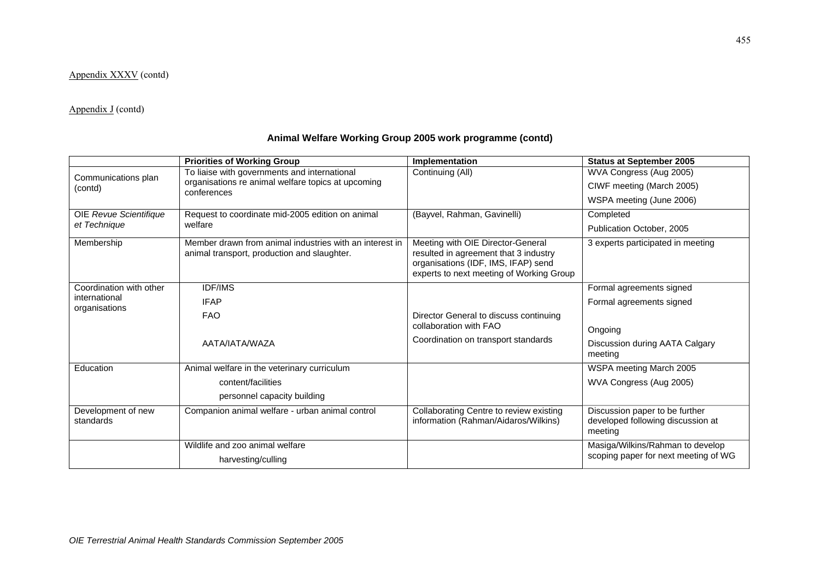# Appendix  $J$  (contd)

# **Animal Welfare Working Group 2005 work programme (contd)**

|                                 | <b>Priorities of Working Group</b>                                                                     | Implementation                                                                                                                                                | <b>Status at September 2005</b>                                                |
|---------------------------------|--------------------------------------------------------------------------------------------------------|---------------------------------------------------------------------------------------------------------------------------------------------------------------|--------------------------------------------------------------------------------|
| Communications plan<br>(contd)  | To liaise with governments and international                                                           | Continuing (All)                                                                                                                                              | WVA Congress (Aug 2005)                                                        |
|                                 | organisations re animal welfare topics at upcoming<br>conferences                                      |                                                                                                                                                               | CIWF meeting (March 2005)                                                      |
|                                 |                                                                                                        |                                                                                                                                                               | WSPA meeting (June 2006)                                                       |
| OIE Revue Scientifique          | Request to coordinate mid-2005 edition on animal                                                       | (Bayvel, Rahman, Gavinelli)                                                                                                                                   | Completed                                                                      |
| et Technique                    | welfare                                                                                                |                                                                                                                                                               | Publication October, 2005                                                      |
| Membership                      | Member drawn from animal industries with an interest in<br>animal transport, production and slaughter. | Meeting with OIE Director-General<br>resulted in agreement that 3 industry<br>organisations (IDF, IMS, IFAP) send<br>experts to next meeting of Working Group | 3 experts participated in meeting                                              |
| Coordination with other         | <b>IDF/IMS</b>                                                                                         |                                                                                                                                                               | Formal agreements signed                                                       |
| international<br>organisations  | <b>IFAP</b>                                                                                            |                                                                                                                                                               | Formal agreements signed                                                       |
|                                 | <b>FAO</b>                                                                                             | Director General to discuss continuing<br>collaboration with FAO                                                                                              | Ongoing                                                                        |
|                                 | AATA/IATA/WAZA                                                                                         | Coordination on transport standards                                                                                                                           | Discussion during AATA Calgary<br>meeting                                      |
| Education                       | Animal welfare in the veterinary curriculum                                                            |                                                                                                                                                               | WSPA meeting March 2005                                                        |
|                                 | content/facilities                                                                                     |                                                                                                                                                               | WVA Congress (Aug 2005)                                                        |
|                                 | personnel capacity building                                                                            |                                                                                                                                                               |                                                                                |
| Development of new<br>standards | Companion animal welfare - urban animal control                                                        | Collaborating Centre to review existing<br>information (Rahman/Aidaros/Wilkins)                                                                               | Discussion paper to be further<br>developed following discussion at<br>meeting |
|                                 | Wildlife and zoo animal welfare                                                                        |                                                                                                                                                               | Masiga/Wilkins/Rahman to develop                                               |
|                                 | harvesting/culling                                                                                     |                                                                                                                                                               | scoping paper for next meeting of WG                                           |